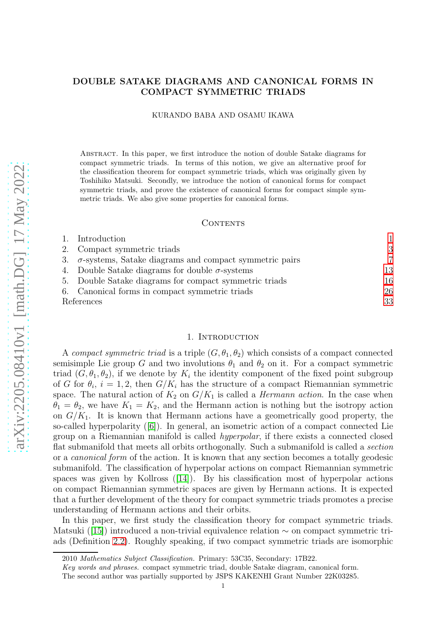# DOUBLE SATAKE DIAGRAMS AND CANONICAL FORMS IN COMPACT SYMMETRIC TRIADS

#### KURANDO BABA AND OSAMU IKAWA

Abstract. In this paper, we first introduce the notion of double Satake diagrams for compact symmetric triads. In terms of this notion, we give an alternative proof for the classification theorem for compact symmetric triads, which was originally given by Toshihiko Matsuki. Secondly, we introduce the notion of canonical forms for compact symmetric triads, and prove the existence of canonical forms for compact simple symmetric triads. We also give some properties for canonical forms.

## CONTENTS

| 2. Compact symmetric triads<br>$\sigma$ -systems, Satake diagrams and compact symmetric pairs<br>3.<br>4. Double Satake diagrams for double $\sigma$ -systems<br>5. Double Satake diagrams for compact symmetric triads<br>6. Canonical forms in compact symmetric triads<br>References | Introduction |                |
|-----------------------------------------------------------------------------------------------------------------------------------------------------------------------------------------------------------------------------------------------------------------------------------------|--------------|----------------|
|                                                                                                                                                                                                                                                                                         |              | 3              |
|                                                                                                                                                                                                                                                                                         |              | $\overline{7}$ |
|                                                                                                                                                                                                                                                                                         |              | 13             |
|                                                                                                                                                                                                                                                                                         |              | 16             |
|                                                                                                                                                                                                                                                                                         |              | 26             |
|                                                                                                                                                                                                                                                                                         |              | 33             |

#### 1. INTRODUCTION

<span id="page-0-0"></span>A compact symmetric triad is a triple  $(G, \theta_1, \theta_2)$  which consists of a compact connected semisimple Lie group G and two involutions  $\theta_1$  and  $\theta_2$  on it. For a compact symmetric triad  $(G, \theta_1, \theta_2)$ , if we denote by  $K_i$  the identity component of the fixed point subgroup of G for  $\theta_i$ ,  $i = 1, 2$ , then  $G/K_i$  has the structure of a compact Riemannian symmetric space. The natural action of  $K_2$  on  $G/K_1$  is called a *Hermann action*. In the case when  $\theta_1 = \theta_2$ , we have  $K_1 = K_2$ , and the Hermann action is nothing but the isotropy action on  $G/K_1$ . It is known that Hermann actions have a geometrically good property, the so-called hyperpolarity ([\[6\]](#page-33-0)). In general, an isometric action of a compact connected Lie group on a Riemannian manifold is called hyperpolar, if there exists a connected closed flat submanifold that meets all orbits orthogonally. Such a submanifold is called a *section* or a canonical form of the action. It is known that any section becomes a totally geodesic submanifold. The classification of hyperpolar actions on compact Riemannian symmetric spaces was given by Kollross  $(14)$ . By his classification most of hyperpolar actions on compact Riemannian symmetric spaces are given by Hermann actions. It is expected that a further development of the theory for compact symmetric triads promotes a precise understanding of Hermann actions and their orbits.

In this paper, we first study the classification theory for compact symmetric triads. Matsuki ([\[15\]](#page-33-2)) introduced a non-trivial equivalence relation ∼ on compact symmetric triads (Definition [2.2\)](#page-2-1). Roughly speaking, if two compact symmetric triads are isomorphic

<sup>2010</sup> Mathematics Subject Classification. Primary: 53C35, Secondary: 17B22.

Key words and phrases. compact symmetric triad, double Satake diagram, canonical form.

The second author was partially supported by JSPS KAKENHI Grant Number 22K03285.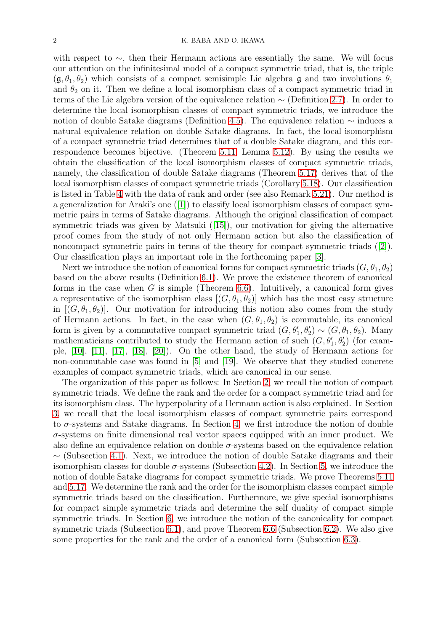with respect to  $\sim$ , then their Hermann actions are essentially the same. We will focus our attention on the infinitesimal model of a compact symmetric triad, that is, the triple  $(\mathfrak{g}, \theta_1, \theta_2)$  which consists of a compact semisimple Lie algebra g and two involutions  $\theta_1$ and  $\theta_2$  on it. Then we define a local isomorphism class of a compact symmetric triad in terms of the Lie algebra version of the equivalence relation ∼ (Definition [2.7\)](#page-5-0). In order to determine the local isomorphism classes of compact symmetric triads, we introduce the notion of double Satake diagrams (Definition [4.5\)](#page-14-0). The equivalence relation ∼ induces a natural equivalence relation on double Satake diagrams. In fact, the local isomorphism of a compact symmetric triad determines that of a double Satake diagram, and this correspondence becomes bijective. (Theorem [5.11,](#page-18-0) Lemma [5.12\)](#page-20-0). By using the results we obtain the classification of the local isomorphism classes of compact symmetric triads, namely, the classification of double Satake diagrams (Theorem [5.17\)](#page-22-0) derives that of the local isomorphism classes of compact symmetric triads (Corollary [5.18\)](#page-23-0). Our classification is listed in Table [4](#page-24-0) with the data of rank and order (see also Remark [5.21\)](#page-24-1). Our method is a generalization for Araki's one ([\[1\]](#page-32-1)) to classify local isomorphism classes of compact symmetric pairs in terms of Satake diagrams. Although the original classification of compact symmetric triads was given by Matsuki ([\[15\]](#page-33-2)), our motivation for giving the alternative proof comes from the study of not only Hermann action but also the classification of noncompact symmetric pairs in terms of the theory for compact symmetric triads ([\[2\]](#page-32-2)). Our classification plays an important role in the forthcoming paper [\[3\]](#page-32-3).

Next we introduce the notion of canonical forms for compact symmetric triads  $(G, \theta_1, \theta_2)$ based on the above results (Definition [6.1\)](#page-26-0). We prove the existence theorem of canonical forms in the case when  $G$  is simple (Theorem [6.6\)](#page-27-0). Intuitively, a canonical form gives a representative of the isomorphism class  $[(G, \theta_1, \theta_2)]$  which has the most easy structure in  $[(G, \theta_1, \theta_2)]$ . Our motivation for introducing this notion also comes from the study of Hermann actions. In fact, in the case when  $(G, \theta_1, \theta_2)$  is commutable, its canonical form is given by a commutative compact symmetric triad  $(G, \theta'_1, \theta'_2) \sim (G, \theta_1, \theta_2)$ . Many mathematicians contributed to study the Hermann action of such  $(G, \theta_1', \theta_2')$  (for example, [\[10\]](#page-33-3), [\[11\]](#page-33-4), [\[17\]](#page-33-5), [\[18\]](#page-33-6), [\[20\]](#page-33-7)). On the other hand, the study of Hermann actions for non-commutable case was found in [\[5\]](#page-32-4) and [\[19\]](#page-33-8). We observe that they studied concrete examples of compact symmetric triads, which are canonical in our sense.

The organization of this paper as follows: In Section [2,](#page-2-0) we recall the notion of compact symmetric triads. We define the rank and the order for a compact symmetric triad and for its isomorphism class. The hyperpolarity of a Hermann action is also explained. In Section [3,](#page-6-0) we recall that the local isomorphism classes of compact symmetric pairs correspond to  $\sigma$ -systems and Satake diagrams. In Section [4,](#page-12-0) we first introduce the notion of double σ-systems on finite dimensional real vector spaces equipped with an inner product. We also define an equivalence relation on double  $\sigma$ -systems based on the equivalence relation  $\sim$  (Subsection [4.1\)](#page-12-1). Next, we introduce the notion of double Satake diagrams and their isomorphism classes for double  $\sigma$ -systems (Subsection [4.2\)](#page-14-1). In Section [5,](#page-15-0) we introduce the notion of double Satake diagrams for compact symmetric triads. We prove Theorems [5.11](#page-18-0) and [5.17.](#page-22-0) We determine the rank and the order for the isomorphism classes compact simple symmetric triads based on the classification. Furthermore, we give special isomorphisms for compact simple symmetric triads and determine the self duality of compact simple symmetric triads. In Section [6,](#page-25-0) we introduce the notion of the canonicality for compact symmetric triads (Subsection [6.1\)](#page-26-1), and prove Theorem [6.6](#page-27-0) (Subsection [6.2\)](#page-27-1). We also give some properties for the rank and the order of a canonical form (Subsection [6.3\)](#page-29-0).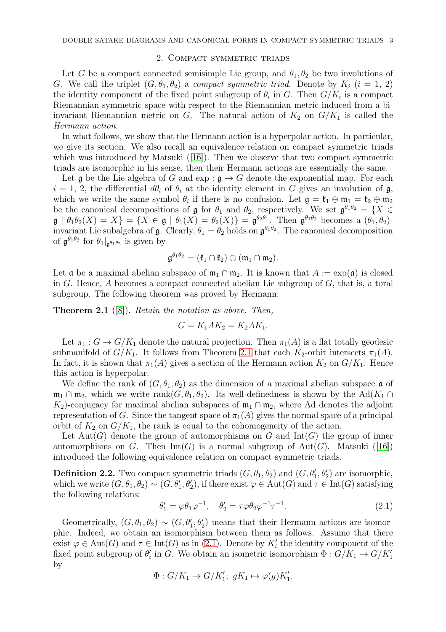#### 2. Compact symmetric triads

<span id="page-2-0"></span>Let G be a compact connected semisimple Lie group, and  $\theta_1, \theta_2$  be two involutions of G. We call the triplet  $(G, \theta_1, \theta_2)$  a compact symmetric triad. Denote by  $K_i$   $(i = 1, 2)$ the identity component of the fixed point subgroup of  $\theta_i$  in G. Then  $G/K_i$  is a compact Riemannian symmetric space with respect to the Riemannian metric induced from a biinvariant Riemannian metric on G. The natural action of  $K_2$  on  $G/K_1$  is called the Hermann action.

In what follows, we show that the Hermann action is a hyperpolar action. In particular, we give its section. We also recall an equivalence relation on compact symmetric triads which was introduced by Matsuki  $([16])$  $([16])$  $([16])$ . Then we observe that two compact symmetric triads are isomorphic in his sense, then their Hermann actions are essentially the same.

Let g be the Lie algebra of G and  $\exp : \mathfrak{g} \to G$  denote the exponential map. For each  $i = 1, 2$ , the differential  $d\theta_i$  of  $\theta_i$  at the identity element in G gives an involution of  $\mathfrak{g}$ , which we write the same symbol  $\theta_i$  if there is no confusion. Let  $\mathfrak{g} = \mathfrak{k}_1 \oplus \mathfrak{m}_1 = \mathfrak{k}_2 \oplus \mathfrak{m}_2$ be the canonical decompositions of  $\mathfrak g$  for  $\theta_1$  and  $\theta_2$ , respectively. We set  $\mathfrak g^{\theta_1\theta_2} = \{X \in$  $\mathfrak{g} \mid \theta_1 \theta_2(X) = X$  = { $X \in \mathfrak{g} \mid \theta_1(X) = \theta_2(X)$ } =  $\mathfrak{g}^{\theta_2 \theta_1}$ . Then  $\mathfrak{g}^{\theta_1 \theta_2}$  becomes a  $(\theta_1, \theta_2)$ invariant Lie subalgebra of  $\mathfrak g$ . Clearly,  $\theta_1 = \theta_2$  holds on  $\mathfrak g^{\theta_1 \theta_2}$ . The canonical decomposition of  $\mathfrak{g}^{\theta_1 \theta_2}$  for  $\theta_1|_{\mathfrak{g}^{\theta_1 \theta_2}}$  is given by

$$
\mathfrak{g}^{\theta_1\theta_2}=(\mathfrak{k}_1\cap\mathfrak{k}_2)\oplus(\mathfrak{m}_1\cap\mathfrak{m}_2).
$$

Let **a** be a maximal abelian subspace of  $m_1 \cap m_2$ . It is known that  $A := \exp(a)$  is closed in G. Hence, A becomes a compact connected abelian Lie subgroup of  $G$ , that is, a toral subgroup. The following theorem was proved by Hermann.

<span id="page-2-2"></span>**Theorem 2.1** ([\[8\]](#page-33-10)). Retain the notation as above. Then,

$$
G = K_1 A K_2 = K_2 A K_1.
$$

Let  $\pi_1 : G \to G/K_1$  denote the natural projection. Then  $\pi_1(A)$  is a flat totally geodesic submanifold of  $G/K_1$ . It follows from Theorem [2.1](#page-2-2) that each  $K_2$ -orbit intersects  $\pi_1(A)$ . In fact, it is shown that  $\pi_1(A)$  gives a section of the Hermann action  $K_2$  on  $G/K_1$ . Hence this action is hyperpolar.

We define the rank of  $(G, \theta_1, \theta_2)$  as the dimension of a maximal abelian subspace  $\mathfrak{a}$  of  $\mathfrak{m}_1 \cap \mathfrak{m}_2$ , which we write rank $(G, \theta_1, \theta_2)$ . Its well-definedness is shown by the Ad $(K_1 \cap$ K<sub>2</sub>)-conjugacy for maximal abelian subspaces of  $m_1 \cap m_2$ , where Ad denotes the adjoint representation of G. Since the tangent space of  $\pi_1(A)$  gives the normal space of a principal orbit of  $K_2$  on  $G/K_1$ , the rank is equal to the cohomogeneity of the action.

Let  $Aut(G)$  denote the group of automorphisms on G and  $Int(G)$  the group of inner automorphisms on G. Then  $Int(G)$  is a normal subgroup of Aut(G). Matsuki ([\[16\]](#page-33-9)) introduced the following equivalence relation on compact symmetric triads.

<span id="page-2-1"></span>**Definition 2.2.** Two compact symmetric triads  $(G, \theta_1, \theta_2)$  and  $(G, \theta'_1, \theta'_2)$  are isomorphic, which we write  $(G, \theta_1, \theta_2) \sim (G, \theta'_1, \theta'_2)$ , if there exist  $\varphi \in \text{Aut}(G)$  and  $\tau \in \text{Int}(G)$  satisfying the following relations:

<span id="page-2-3"></span>
$$
\theta_1' = \varphi \theta_1 \varphi^{-1}, \quad \theta_2' = \tau \varphi \theta_2 \varphi^{-1} \tau^{-1}.
$$
\n(2.1)

Geometrically,  $(G, \theta_1, \theta_2) \sim (G, \theta'_1, \theta'_2)$  means that their Hermann actions are isomorphic. Indeed, we obtain an isomorphism between them as follows. Assume that there exist  $\varphi \in \text{Aut}(G)$  and  $\tau \in \text{Int}(G)$  as in [\(2.1\)](#page-2-3). Denote by  $K'_{i}$  the identity component of the fixed point subgroup of  $\theta_i'$  in G. We obtain an isometric isomorphism  $\Phi: G/K_1 \to G/K'_1$ by

$$
\Phi: G/K_1 \to G/K'_1; \ gK_1 \mapsto \varphi(g)K'_1.
$$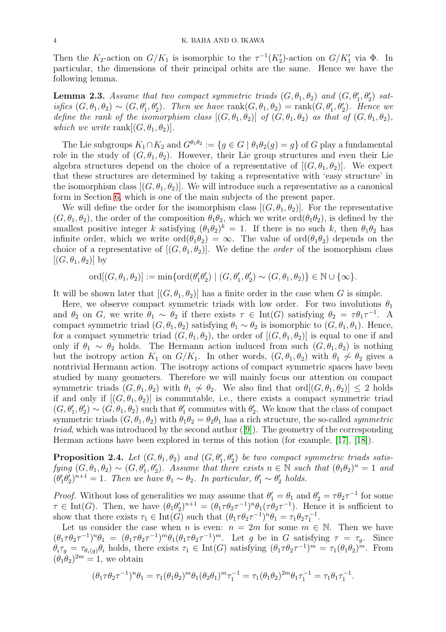Then the  $K_2$ -action on  $G/K_1$  is isomorphic to the  $\tau^{-1}(K_2')$ -action on  $G/K_1'$  via  $\Phi$ . In particular, the dimensions of their principal orbits are the same. Hence we have the following lemma.

**Lemma 2.3.** Assume that two compact symmetric triads  $(G, \theta_1, \theta_2)$  and  $(G, \theta'_1, \theta'_2)$  satisfies  $(G, \theta_1, \theta_2) \sim (G, \theta'_1, \theta'_2)$ . Then we have  $rank(G, \theta_1, \theta_2) = rank(G, \theta'_1, \theta'_2)$ . Hence we define the rank of the isomorphism class  $[(G, \theta_1, \theta_2)]$  of  $(G, \theta_1, \theta_2)$  as that of  $(G, \theta_1, \theta_2)$ , which we write rank  $[(G, \theta_1, \theta_2)].$ 

The Lie subgroups  $K_1 \cap K_2$  and  $G^{\theta_1 \theta_2} := \{g \in G \mid \theta_1 \theta_2(g) = g\}$  of G play a fundamental role in the study of  $(G, \theta_1, \theta_2)$ . However, their Lie group structures and even their Lie algebra structures depend on the choice of a representative of  $[(G, \theta_1, \theta_2)]$ . We expect that these structures are determined by taking a representative with 'easy structure' in the isomorphism class  $[(G, \theta_1, \theta_2)]$ . We will introduce such a representative as a canonical form in Section [6,](#page-25-0) which is one of the main subjects of the present paper.

We will define the order for the isomorphism class  $[(G, \theta_1, \theta_2)]$ . For the representative  $(G, \theta_1, \theta_2)$ , the order of the composition  $\theta_1\theta_2$ , which we write  $\text{ord}(\theta_1\theta_2)$ , is defined by the smallest positive integer k satisfying  $(\theta_1 \theta_2)^k = 1$ . If there is no such k, then  $\theta_1 \theta_2$  has infinite order, which we write  $\text{ord}(\theta_1\theta_2) = \infty$ . The value of  $\text{ord}(\theta_1\theta_2)$  depends on the choice of a representative of  $[(G, \theta_1, \theta_2)]$ . We define the *order* of the isomorphism class  $[(G, \theta_1, \theta_2)]$  by

ord $[(G, \theta_1, \theta_2)] := \min\{\text{ord}(\theta'_1\theta'_2) \mid (G, \theta'_1, \theta'_2) \sim (G, \theta_1, \theta_2)\} \in \mathbb{N} \cup \{\infty\}.$ 

It will be shown later that  $[(G, \theta_1, \theta_2)]$  has a finite order in the case when G is simple.

Here, we observe compact symmetric triads with low order. For two involutions  $\theta_1$ and  $\theta_2$  on G, we write  $\theta_1 \sim \theta_2$  if there exists  $\tau \in \text{Int}(G)$  satisfying  $\theta_2 = \tau \theta_1 \tau^{-1}$ . A compact symmetric triad  $(G, \theta_1, \theta_2)$  satisfying  $\theta_1 \sim \theta_2$  is isomorphic to  $(G, \theta_1, \theta_1)$ . Hence, for a compact symmetric triad  $(G, \theta_1, \theta_2)$ , the order of  $[(G, \theta_1, \theta_2)]$  is equal to one if and only if  $\theta_1 \sim \theta_2$  holds. The Hermann action induced from such  $(G, \theta_1, \theta_2)$  is nothing but the isotropy action  $K_1$  on  $G/K_1$ . In other words,  $(G, \theta_1, \theta_2)$  with  $\theta_1 \nsim \theta_2$  gives a nontrivial Hermann action. The isotropy actions of compact symmetric spaces have been studied by many geometers. Therefore we will mainly focus our attention on compact symmetric triads  $(G, \theta_1, \theta_2)$  with  $\theta_1 \nsim \theta_2$ . We also find that ord $[(G, \theta_1, \theta_2)] \leq 2$  holds if and only if  $[(G, \theta_1, \theta_2)]$  is commutable, i.e., there exists a compact symmetric triad  $(G, \theta_1', \theta_2') \sim (G, \theta_1, \theta_2)$  such that  $\theta_1'$  commutes with  $\theta_2'$ . We know that the class of compact symmetric triads  $(G, \theta_1, \theta_2)$  with  $\theta_1 \theta_2 = \theta_2 \theta_1$  has a rich structure, the so-called *symmetric* triad, which was introduced by the second author ([\[9\]](#page-33-11)). The geometry of the corresponding Herman actions have been explored in terms of this notion (for example, [\[17\]](#page-33-5), [\[18\]](#page-33-6)).

<span id="page-3-0"></span>**Proposition 2.4.** Let  $(G, \theta_1, \theta_2)$  and  $(G, \theta'_1, \theta'_2)$  be two compact symmetric triads satisfying  $(G, \theta_1, \theta_2) \sim (G, \theta'_1, \theta'_2)$ . Assume that there exists  $n \in \mathbb{N}$  such that  $(\theta_1 \theta_2)^n = 1$  and  $(\theta_1'\theta_2')^{n+1} = 1$ . Then we have  $\theta_1 \sim \theta_2$ . In particular,  $\theta_1' \sim \theta_2'$  holds.

*Proof.* Without loss of generalities we may assume that  $\theta'_1 = \theta_1$  and  $\theta'_2 = \tau \theta_2 \tau^{-1}$  for some  $\tau \in \text{Int}(G)$ . Then, we have  $(\theta_1 \theta_2')^{n+1} = (\theta_1 \tau \theta_2 \tau^{-1})^n \theta_1 (\tau \theta_2 \tau^{-1})$ . Hence it is sufficient to show that there exists  $\tau_1 \in \text{Int}(G)$  such that  $(\theta_1 \tau \theta_2 \tau^{-1})^n \theta_1 = \tau_1 \theta_2 \tau_1^{-1}$ .

Let us consider the case when n is even:  $n = 2m$  for some  $m \in \mathbb{N}$ . Then we have  $(\theta_1 \tau \theta_2 \tau^{-1})^n \theta_1 = (\theta_1 \tau \theta_2 \tau^{-1})^m \theta_1 (\theta_1 \tau \theta_2 \tau^{-1})^m$ . Let g be in G satisfying  $\tau = \tau_g$ . Since  $\theta_i \tau_g = \tau_{\theta_i(g)} \theta_i$  holds, there exists  $\tau_1 \in \text{Int}(G)$  satisfying  $(\theta_1 \tau \theta_2 \tau^{-1})^m = \tau_1(\theta_1 \theta_2)^m$ . From  $(\theta_1 \theta_2)^{2m} = 1$ , we obtain

$$
(\theta_1 \tau \theta_2 \tau^{-1})^n \theta_1 = \tau_1 (\theta_1 \theta_2)^m \theta_1 (\theta_2 \theta_1)^m \tau_1^{-1} = \tau_1 (\theta_1 \theta_2)^{2m} \theta_1 \tau_1^{-1} = \tau_1 \theta_1 \tau_1^{-1}.
$$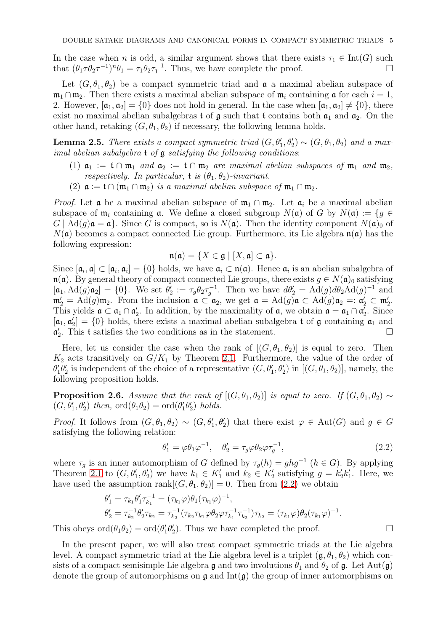In the case when *n* is odd, a similar argument shows that there exists  $\tau_1 \in \text{Int}(G)$  such that  $(\theta_1 \tau \theta_2 \tau^{-1})^n \theta_1 = \tau_1 \theta_2 \tau^{-1}$ . Thus, we have complete the proof. that  $(\theta_1 \tau \theta_2 \tau^{-1})^n \theta_1 = \tau_1 \theta_2 \tau_1^{-1}$ . Thus, we have complete the proof.

Let  $(G, \theta_1, \theta_2)$  be a compact symmetric triad and  $\mathfrak{a}$  a maximal abelian subspace of  $\mathfrak{m}_1 \cap \mathfrak{m}_2$ . Then there exists a maximal abelian subspace of  $\mathfrak{m}_i$  containing  $\mathfrak{a}$  for each  $i = 1$ , 2. However,  $[a_1, a_2] = \{0\}$  does not hold in general. In the case when  $[a_1, a_2] \neq \{0\}$ , there exist no maximal abelian subalgebras t of  $\mathfrak g$  such that t contains both  $\mathfrak a_1$  and  $\mathfrak a_2$ . On the other hand, retaking  $(G, \theta_1, \theta_2)$  if necessary, the following lemma holds.

<span id="page-4-1"></span>**Lemma 2.5.** There exists a compact symmetric triad  $(G, \theta'_1, \theta'_2) \sim (G, \theta_1, \theta_2)$  and a maximal abelian subalgebra  $t$  of  $\alpha$  satisfying the following conditions:

- (1)  $a_1 := \mathfrak{t} \cap \mathfrak{m}_1$  and  $a_2 := \mathfrak{t} \cap \mathfrak{m}_2$  are maximal abelian subspaces of  $\mathfrak{m}_1$  and  $\mathfrak{m}_2$ , respectively. In particular, t is  $(\theta_1, \theta_2)$ -invariant.
- (2)  $\mathfrak{a} := \mathfrak{t} \cap (\mathfrak{m}_1 \cap \mathfrak{m}_2)$  is a maximal abelian subspace of  $\mathfrak{m}_1 \cap \mathfrak{m}_2$ .

*Proof.* Let  $\mathfrak a$  be a maximal abelian subspace of  $\mathfrak m_1 \cap \mathfrak m_2$ . Let  $\mathfrak a_i$  be a maximal abelian subspace of  $\mathfrak{m}_i$  containing  $\mathfrak{a}$ . We define a closed subgroup  $N(\mathfrak{a})$  of G by  $N(\mathfrak{a}) := \{g \in$  $G | \text{Ad}(g) \mathfrak{a} = \mathfrak{a} \text{}.$  Since G is compact, so is  $N(\mathfrak{a})$ . Then the identity component  $N(\mathfrak{a})_0$  of  $N(\mathfrak{a})$  becomes a compact connected Lie group. Furthermore, its Lie algebra  $\mathfrak{n}(\mathfrak{a})$  has the following expression:

$$
\mathfrak{n}(\mathfrak{a})=\{X\in\mathfrak{g}\mid [X,\mathfrak{a}]\subset\mathfrak{a}\}.
$$

Since  $[\mathfrak{a}_i, \mathfrak{a}] \subset [\mathfrak{a}_i, \mathfrak{a}_i] = \{0\}$  holds, we have  $\mathfrak{a}_i \subset \mathfrak{n}(\mathfrak{a})$ . Hence  $\mathfrak{a}_i$  is an abelian subalgebra of  $\mathfrak{n}(\mathfrak{a})$ . By general theory of compact connected Lie groups, there exists  $g \in N(\mathfrak{a})_0$  satisfying  $[\mathfrak{a}_1, \mathrm{Ad}(g)\mathfrak{a}_2] = \{0\}.$  We set  $\theta_2' := \tau_g \theta_2 \tau_g^{-1}$ . Then we have  $d\theta_2' = \mathrm{Ad}(g)d\theta_2\mathrm{Ad}(g)^{-1}$  and  $\mathfrak{m}'_2 = \mathrm{Ad}(g)\mathfrak{m}_2$ . From the inclusion  $\mathfrak{a} \subset \mathfrak{a}_2$ , we get  $\mathfrak{a} = \mathrm{Ad}(g)\mathfrak{a} \subset \mathrm{Ad}(g)\mathfrak{a}_2 =: \mathfrak{a}'_2 \subset \mathfrak{m}'_2$ . This yields  $\mathfrak{a} \subset \mathfrak{a}_1 \cap \mathfrak{a}'_2$ . In addition, by the maximality of  $\mathfrak{a}$ , we obtain  $\mathfrak{a} = \mathfrak{a}_1 \cap \mathfrak{a}'_2$ . Since  $[a_1, a'_2] = \{0\}$  holds, there exists a maximal abelian subalgebra t of g containing  $a_1$  and  $\mathfrak{a}'_2$ . This t satisfies the two conditions as in the statement.

Here, let us consider the case when the rank of  $[(G, \theta_1, \theta_2)]$  is equal to zero. Then  $K_2$  acts transitively on  $G/K_1$  by Theorem [2.1.](#page-2-2) Furthermore, the value of the order of  $\theta'_1\theta'_2$  is independent of the choice of a representative  $(G, \theta'_1, \theta'_2)$  in  $[(G, \theta_1, \theta_2)]$ , namely, the following proposition holds.

<span id="page-4-2"></span>**Proposition 2.6.** Assume that the rank of  $[(G, \theta_1, \theta_2)]$  is equal to zero. If  $(G, \theta_1, \theta_2) \sim$  $(G, \theta'_1, \theta'_2)$  then,  $\text{ord}(\theta_1 \theta_2) = \text{ord}(\theta'_1 \theta'_2)$  holds.

*Proof.* It follows from  $(G, \theta_1, \theta_2) \sim (G, \theta'_1, \theta'_2)$  that there exist  $\varphi \in Aut(G)$  and  $g \in G$ satisfying the following relation:

<span id="page-4-0"></span>
$$
\theta_1' = \varphi \theta_1 \varphi^{-1}, \quad \theta_2' = \tau_g \varphi \theta_2 \varphi \tau_g^{-1}, \tag{2.2}
$$

where  $\tau_g$  is an inner automorphism of G defined by  $\tau_g(h) = ghg^{-1}$   $(h \in G)$ . By applying Theorem [2.1](#page-2-2) to  $(G, \theta_1', \theta_2')$  we have  $k_1 \in K_1'$  and  $k_2 \in K_2'$  satisfying  $g = k_2' k_1'$ . Here, we have used the assumption rank  $[(G, \theta_1, \theta_2)] = 0$ . Then from  $(2.2)$  we obtain

$$
\theta_1' = \tau_{k_1} \theta_1' \tau_{k_1}^{-1} = (\tau_{k_1} \varphi) \theta_1 (\tau_{k_1} \varphi)^{-1},
$$
  
\n
$$
\theta_2' = \tau_{k_2}^{-1} \theta_2' \tau_{k_2} = \tau_{k_2}^{-1} (\tau_{k_2} \tau_{k_1} \varphi \theta_2 \varphi \tau_{k_1}^{-1} \tau_{k_2}^{-1}) \tau_{k_2} = (\tau_{k_1} \varphi) \theta_2 (\tau_{k_1} \varphi)^{-1}.
$$

This obeys  $\text{ord}(\theta_1\theta_2) = \text{ord}(\theta'_1\theta'_2)$ . Thus we have completed the proof.

In the present paper, we will also treat compact symmetric triads at the Lie algebra level. A compact symmetric triad at the Lie algebra level is a triplet  $(\mathfrak{g}, \theta_1, \theta_2)$  which consists of a compact semisimple Lie algebra g and two involutions  $\theta_1$  and  $\theta_2$  of g. Let Aut(g) denote the group of automorphisms on  $\mathfrak g$  and  $\mathrm{Int}(\mathfrak g)$  the group of inner automorphisms on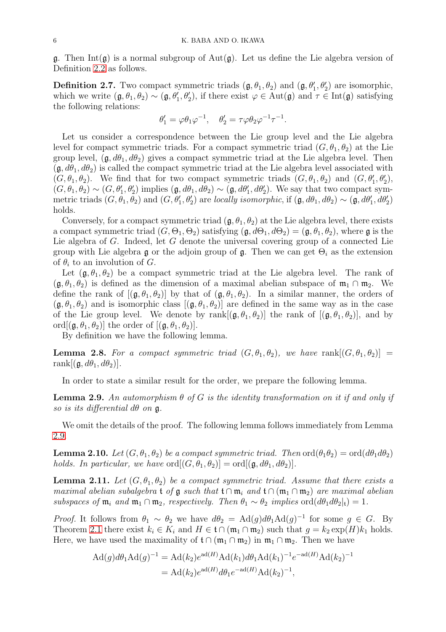$\mathfrak g$ . Then Int( $\mathfrak g$ ) is a normal subgroup of Aut( $\mathfrak g$ ). Let us define the Lie algebra version of Definition [2.2](#page-2-1) as follows.

<span id="page-5-0"></span>**Definition 2.7.** Two compact symmetric triads  $(\mathfrak{g}, \theta_1, \theta_2)$  and  $(\mathfrak{g}, \theta'_1, \theta'_2)$  are isomorphic, which we write  $(\mathfrak{g}, \theta_1, \theta_2) \sim (\mathfrak{g}, \theta'_1, \theta'_2)$ , if there exist  $\varphi \in \text{Aut}(\mathfrak{g})$  and  $\tau \in \text{Int}(\mathfrak{g})$  satisfying the following relations:

$$
\theta_1' = \varphi \theta_1 \varphi^{-1}, \quad \theta_2' = \tau \varphi \theta_2 \varphi^{-1} \tau^{-1}.
$$

Let us consider a correspondence between the Lie group level and the Lie algebra level for compact symmetric triads. For a compact symmetric triad  $(G, \theta_1, \theta_2)$  at the Lie group level,  $(\mathfrak{g}, d\theta_1, d\theta_2)$  gives a compact symmetric triad at the Lie algebra level. Then  $(\mathfrak{g}, d\theta_1, d\theta_2)$  is called the compact symmetric triad at the Lie algebra level associated with  $(G, \theta_1, \theta_2)$ . We find that for two compact symmetric triads  $(G, \theta_1, \theta_2)$  and  $(G, \theta'_1, \theta'_2)$ ,  $(G, \theta_1, \theta_2) \sim (G, \theta_1', \theta_2')$  implies  $(\mathfrak{g}, d\theta_1, d\theta_2) \sim (\mathfrak{g}, d\theta_1', d\theta_2')$ . We say that two compact symmetric triads  $(G, \theta_1, \theta_2)$  and  $(G, \theta'_1, \theta'_2)$  are locally isomorphic, if  $(\mathfrak{g}, d\theta_1, d\theta_2) \sim (\mathfrak{g}, d\theta'_1, d\theta'_2)$ holds.

Conversely, for a compact symmetric triad  $(g, \theta_1, \theta_2)$  at the Lie algebra level, there exists a compact symmetric triad  $(G, \Theta_1, \Theta_2)$  satisfying  $(\mathfrak{g}, d\Theta_1, d\Theta_2) = (\mathfrak{g}, \theta_1, \theta_2)$ , where  $\mathfrak{g}$  is the Lie algebra of G. Indeed, let G denote the universal covering group of a connected Lie group with Lie algebra g or the adjoin group of g. Then we can get  $\Theta_i$  as the extension of  $\theta_i$  to an involution of G.

Let  $(g, \theta_1, \theta_2)$  be a compact symmetric triad at the Lie algebra level. The rank of  $(\mathfrak{g}, \theta_1, \theta_2)$  is defined as the dimension of a maximal abelian subspace of  $\mathfrak{m}_1 \cap \mathfrak{m}_2$ . We define the rank of  $[(\mathfrak{g}, \theta_1, \theta_2)]$  by that of  $(\mathfrak{g}, \theta_1, \theta_2)$ . In a similar manner, the orders of  $(\mathfrak{g}, \theta_1, \theta_2)$  and is isomorphic class  $[(\mathfrak{g}, \theta_1, \theta_2)]$  are defined in the same way as in the case of the Lie group level. We denote by rank $[(\mathfrak{g}, \theta_1, \theta_2)]$  the rank of  $[(\mathfrak{g}, \theta_1, \theta_2)]$ , and by ord $[(\mathfrak{g}, \theta_1, \theta_2)]$  the order of  $[(\mathfrak{g}, \theta_1, \theta_2)]$ .

By definition we have the following lemma.

**Lemma 2.8.** For a compact symmetric triad  $(G, \theta_1, \theta_2)$ , we have rank  $[(G, \theta_1, \theta_2)]$  = rank $[(\mathfrak{g}, d\theta_1, d\theta_2)].$ 

In order to state a similar result for the order, we prepare the following lemma.

<span id="page-5-1"></span>**Lemma 2.9.** An automorphism  $\theta$  of G is the identity transformation on it if and only if so is its differential  $d\theta$  on  $\mathfrak{g}$ .

We omit the details of the proof. The following lemma follows immediately from Lemma [2.9.](#page-5-1)

**Lemma 2.10.** Let  $(G, \theta_1, \theta_2)$  be a compact symmetric triad. Then  $\text{ord}(\theta_1\theta_2) = \text{ord}(d\theta_1 d\theta_2)$ holds. In particular, we have  $\text{ord}[(G, \theta_1, \theta_2)] = \text{ord}[(\mathfrak{g}, d\theta_1, d\theta_2)].$ 

<span id="page-5-2"></span>**Lemma 2.11.** Let  $(G, \theta_1, \theta_2)$  be a compact symmetric triad. Assume that there exists a maximal abelian subalgebra t of g such that t ∩  $\mathfrak{m}_i$  and  $\mathfrak{t} \cap (\mathfrak{m}_1 \cap \mathfrak{m}_2)$  are maximal abelian subspaces of  $\mathfrak{m}_i$  and  $\mathfrak{m}_1 \cap \mathfrak{m}_2$ , respectively. Then  $\theta_1 \sim \theta_2$  implies  $\text{ord}(d\theta_1 d\theta_2|_t) = 1$ .

*Proof.* It follows from  $\theta_1 \sim \theta_2$  we have  $d\theta_2 = \text{Ad}(g)d\theta_1\text{Ad}(g)^{-1}$  for some  $g \in G$ . By Theorem [2.1](#page-2-2) there exist  $k_i \in K_i$  and  $H \in \mathfrak{t} \cap (\mathfrak{m}_1 \cap \mathfrak{m}_2)$  such that  $q = k_2 \exp(H)k_1$  holds. Here, we have used the maximality of  $\mathfrak{t} \cap (\mathfrak{m}_1 \cap \mathfrak{m}_2)$  in  $\mathfrak{m}_1 \cap \mathfrak{m}_2$ . Then we have

$$
Ad(g)d\theta_1 Ad(g)^{-1} = Ad(k_2)e^{ad(H)}Ad(k_1)d\theta_1 Ad(k_1)^{-1}e^{-ad(H)}Ad(k_2)^{-1}
$$
  
= 
$$
Ad(k_2)e^{ad(H)}d\theta_1e^{-ad(H)}Ad(k_2)^{-1},
$$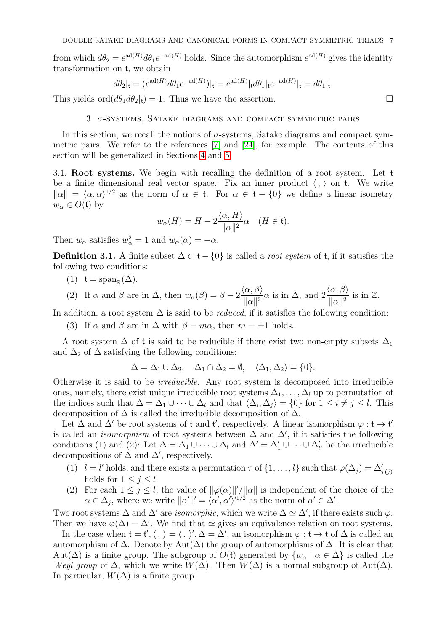from which  $d\theta_2 = e^{ad(H)} d\theta_1 e^{-ad(H)}$  holds. Since the automorphism  $e^{ad(H)}$  gives the identity transformation on t, we obtain

$$
d\theta_2|_{\mathfrak{t}} = (e^{\mathrm{ad}(H)} d\theta_1 e^{-\mathrm{ad}(H)})|_{\mathfrak{t}} = e^{\mathrm{ad}(H)} |_{\mathfrak{t}} d\theta_1|_{\mathfrak{t}} e^{-\mathrm{ad}(H)}|_{\mathfrak{t}} = d\theta_1|_{\mathfrak{t}}.
$$

<span id="page-6-0"></span>This yields  $\text{ord}(d\theta_1 d\theta_2|_t) = 1$ . Thus we have the assertion.

# $3.$   $\sigma$ -systems, Satake diagrams and compact symmetric pairs

In this section, we recall the notions of  $\sigma$ -systems, Satake diagrams and compact symmetric pairs. We refer to the references [\[7\]](#page-33-12) and [\[24\]](#page-33-13), for example. The contents of this section will be generalized in Sections [4](#page-12-0) and [5.](#page-15-0)

3.1. Root systems. We begin with recalling the definition of a root system. Let t be a finite dimensional real vector space. Fix an inner product  $\langle , \rangle$  on t. We write  $\|\alpha\| = \langle \alpha, \alpha \rangle^{1/2}$  as the norm of  $\alpha \in \mathfrak{t}$ . For  $\alpha \in \mathfrak{t} - \{0\}$  we define a linear isometry  $w_{\alpha} \in O(\mathfrak{t})$  by

$$
w_{\alpha}(H) = H - 2 \frac{\langle \alpha, H \rangle}{\|\alpha\|^2} \alpha \quad (H \in \mathfrak{t}).
$$

Then  $w_{\alpha}$  satisfies  $w_{\alpha}^2 = 1$  and  $w_{\alpha}(\alpha) = -\alpha$ .

Definition 3.1. A finite subset  $\Delta \subset \mathfrak{t} - \{0\}$  is called a *root system* of **t**, if it satisfies the following two conditions:

 $(1)$  **t** = span<sub>R</sub> $(\Delta)$ .

(2) If 
$$
\alpha
$$
 and  $\beta$  are in  $\Delta$ , then  $w_{\alpha}(\beta) = \beta - 2 \frac{\langle \alpha, \beta \rangle}{\|\alpha\|^2} \alpha$  is in  $\Delta$ , and  $2 \frac{\langle \alpha, \beta \rangle}{\|\alpha\|^2}$  is in  $\mathbb{Z}$ .

In addition, a root system  $\Delta$  is said to be *reduced*, if it satisfies the following condition:

(3) If  $\alpha$  and  $\beta$  are in  $\Delta$  with  $\beta = m\alpha$ , then  $m = \pm 1$  holds.

A root system  $\Delta$  of t is said to be reducible if there exist two non-empty subsets  $\Delta_1$ and  $\Delta_2$  of  $\Delta$  satisfying the following conditions:

$$
\Delta = \Delta_1 \cup \Delta_2, \quad \Delta_1 \cap \Delta_2 = \emptyset, \quad \langle \Delta_1, \Delta_2 \rangle = \{0\}.
$$

Otherwise it is said to be irreducible. Any root system is decomposed into irreducible ones, namely, there exist unique irreducible root systems  $\Delta_1, \ldots, \Delta_l$  up to permutation of the indices such that  $\Delta = \Delta_1 \cup \cdots \cup \Delta_l$  and that  $\langle \Delta_i, \Delta_j \rangle = \{0\}$  for  $1 \leq i \neq j \leq l$ . This decomposition of  $\Delta$  is called the irreducible decomposition of  $\Delta$ .

Let  $\Delta$  and  $\Delta'$  be root systems of t and t', respectively. A linear isomorphism  $\varphi : t \to t'$ is called an *isomorphism* of root systems between  $\Delta$  and  $\Delta'$ , if it satisfies the following conditions (1) and (2): Let  $\Delta = \Delta_1 \cup \cdots \cup \Delta_l$  and  $\Delta' = \Delta'_1 \cup \cdots \cup \Delta'_{l'}$  be the irreducible decompositions of  $\Delta$  and  $\Delta'$ , respectively.

- (1)  $l = l'$  holds, and there exists a permutation  $\tau$  of  $\{1, \ldots, l\}$  such that  $\varphi(\Delta_j) = \Delta'_{\tau(j)}$ holds for  $1 \leq j \leq l$ .
- (2) For each  $1 \leq j \leq l$ , the value of  $\|\varphi(\alpha)\|'/\|\alpha\|$  is independent of the choice of the  $\alpha \in \Delta_j$ , where we write  $\|\alpha'\|' = \langle \alpha', \alpha' \rangle'^{1/2}$  as the norm of  $\alpha' \in \Delta'$ .

Two root systems  $\Delta$  and  $\Delta'$  are *isomorphic*, which we write  $\Delta \simeq \Delta'$ , if there exists such  $\varphi$ . Then we have  $\varphi(\Delta) = \Delta'$ . We find that  $\simeq$  gives an equivalence relation on root systems.

In the case when  $\mathfrak{t} = \mathfrak{t}', \langle , \rangle = \langle , \rangle', \Delta = \Delta'$ , an isomorphism  $\varphi : \mathfrak{t} \to \mathfrak{t}$  of  $\Delta$  is called an automorphism of  $\Delta$ . Denote by Aut $(\Delta)$  the group of automorphisms of  $\Delta$ . It is clear that Aut( $\Delta$ ) is a finite group. The subgroup of  $O(t)$  generated by  $\{w_{\alpha} \mid \alpha \in \Delta\}$  is called the Weyl group of  $\Delta$ , which we write  $W(\Delta)$ . Then  $W(\Delta)$  is a normal subgroup of Aut( $\Delta$ ). In particular,  $W(\Delta)$  is a finite group.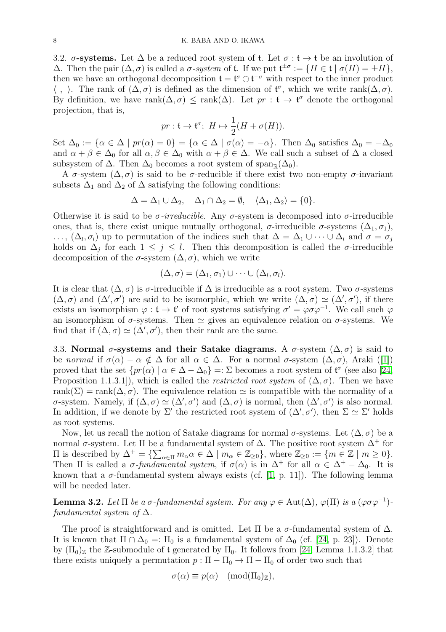3.2.  $\sigma$ -systems. Let  $\Delta$  be a reduced root system of t. Let  $\sigma : t \to t$  be an involution of  $\Delta$ . Then the pair  $(\Delta, \sigma)$  is called a  $\sigma$ -system of **t**. If we put  $\mathfrak{t}^{\pm \sigma} := \{ H \in \mathfrak{t} \mid \sigma(H) = \pm H \},\$ then we have an orthogonal decomposition  $\mathfrak{t} = \mathfrak{t}^{\sigma} \oplus \mathfrak{t}^{-\sigma}$  with respect to the inner product  $\langle , \rangle$ . The rank of  $(\Delta, \sigma)$  is defined as the dimension of  $\mathfrak{t}^{\sigma}$ , which we write rank $(\Delta, \sigma)$ . By definition, we have  $rank(\Delta, \sigma) \leq rank(\Delta)$ . Let  $pr : t \to t^{\sigma}$  denote the orthogonal projection, that is,

$$
pr: \mathfrak{t} \to \mathfrak{t}^\sigma; \ H \mapsto \frac{1}{2}(H + \sigma(H)).
$$

Set  $\Delta_0 := {\alpha \in \Delta \mid pr(\alpha) = 0} = {\alpha \in \Delta \mid \sigma(\alpha) = -\alpha}$ . Then  $\Delta_0$  satisfies  $\Delta_0 = -\Delta_0$ and  $\alpha + \beta \in \Delta_0$  for all  $\alpha, \beta \in \Delta_0$  with  $\alpha + \beta \in \Delta$ . We call such a subset of  $\Delta$  a closed subsystem of  $\Delta$ . Then  $\Delta_0$  becomes a root system of span<sub>R</sub>( $\Delta_0$ ).

A  $\sigma$ -system  $(\Delta, \sigma)$  is said to be  $\sigma$ -reducible if there exist two non-empty  $\sigma$ -invariant subsets  $\Delta_1$  and  $\Delta_2$  of  $\Delta$  satisfying the following conditions:

$$
\Delta = \Delta_1 \cup \Delta_2, \quad \Delta_1 \cap \Delta_2 = \emptyset, \quad \langle \Delta_1, \Delta_2 \rangle = \{0\}.
$$

Otherwise it is said to be  $\sigma$ -irreducible. Any  $\sigma$ -system is decomposed into  $\sigma$ -irreducible ones, that is, there exist unique mutually orthogonal,  $\sigma$ -irreducible  $\sigma$ -systems  $(\Delta_1, \sigma_1)$ ,  $\ldots$ ,  $(\Delta_l, \sigma_l)$  up to permutation of the indices such that  $\Delta = \Delta_1 \cup \cdots \cup \Delta_l$  and  $\sigma = \sigma_j$ holds on  $\Delta_j$  for each  $1 \leq j \leq l$ . Then this decomposition is called the  $\sigma$ -irreducible decomposition of the  $\sigma$ -system  $(\Delta, \sigma)$ , which we write

$$
(\Delta,\sigma)=(\Delta_1,\sigma_1)\cup\cdots\cup(\Delta_l,\sigma_l).
$$

It is clear that  $(\Delta, \sigma)$  is  $\sigma$ -irreducible if  $\Delta$  is irreducible as a root system. Two  $\sigma$ -systems  $(\Delta, \sigma)$  and  $(\Delta', \sigma')$  are said to be isomorphic, which we write  $(\Delta, \sigma) \simeq (\Delta', \sigma')$ , if there exists an isomorphism  $\varphi : \mathfrak{t} \to \mathfrak{t}'$  of root systems satisfying  $\sigma' = \varphi \sigma \varphi^{-1}$ . We call such  $\varphi$ an isomorphism of  $\sigma$ -systems. Then  $\simeq$  gives an equivalence relation on  $\sigma$ -systems. We find that if  $(\Delta, \sigma) \simeq (\Delta', \sigma')$ , then their rank are the same.

<span id="page-7-1"></span>3.3. Normal  $\sigma$ -systems and their Satake diagrams. A  $\sigma$ -system  $(\Delta, \sigma)$  is said to be normal if  $\sigma(\alpha) - \alpha \notin \Delta$  for all  $\alpha \in \Delta$ . For a normal  $\sigma$ -system  $(\Delta, \sigma)$ , Araki ([\[1\]](#page-32-1)) proved that the set  $\{pr(\alpha) \mid \alpha \in \Delta - \Delta_0\} = \Sigma$  becomes a root system of  $\mathfrak{t}^{\sigma}$  (see also [\[24,](#page-33-13) Proposition 1.1.3.1]), which is called the *restricted root system* of  $(\Delta, \sigma)$ . Then we have rank( $\Sigma$ ) = rank( $\Delta$ ,  $\sigma$ ). The equivalence relation  $\simeq$  is compatible with the normality of a  $\sigma$ -system. Namely, if  $(Δ, σ) ≈ (Δ', σ')$  and  $(Δ, σ)$  is normal, then  $(Δ', σ')$  is also normal. In addition, if we denote by  $\Sigma'$  the restricted root system of  $(\Delta', \sigma')$ , then  $\Sigma \simeq \Sigma'$  holds as root systems.

Now, let us recall the notion of Satake diagrams for normal  $\sigma$ -systems. Let  $(\Delta, \sigma)$  be a normal  $\sigma$ -system. Let  $\Pi$  be a fundamental system of  $\Delta$ . The positive root system  $\Delta^+$  for II is described by  $\Delta^+ = \{ \sum_{\alpha \in \Pi} m_\alpha \alpha \in \Delta \mid m_\alpha \in \mathbb{Z}_{\geq 0} \}$ , where  $\mathbb{Z}_{\geq 0} := \{ m \in \mathbb{Z} \mid m \geq 0 \}$ . Then  $\Pi$  is called a  $\sigma$ -fundamental system, if  $\sigma(\alpha)$  is in  $\Delta^+$  for all  $\alpha \in \Delta^+ - \Delta_0$ . It is known that a  $\sigma$ -fundamental system always exists (cf. [\[1,](#page-32-1) p. 11]). The following lemma will be needed later.

<span id="page-7-0"></span>**Lemma 3.2.** Let  $\Pi$  be a  $\sigma$ -fundamental system. For any  $\varphi \in \text{Aut}(\Delta)$ ,  $\varphi(\Pi)$  is a  $(\varphi \sigma \varphi^{-1})$ fundamental system of  $\Delta$ .

The proof is straightforward and is omitted. Let  $\Pi$  be a  $\sigma$ -fundamental system of  $\Delta$ . It is known that  $\Pi \cap \Delta_0 =: \Pi_0$  is a fundamental system of  $\Delta_0$  (cf. [\[24,](#page-33-13) p. 23]). Denote by  $(\Pi_0)_{\mathbb{Z}}$  the Z-submodule of t generated by  $\Pi_0$ . It follows from [\[24,](#page-33-13) Lemma 1.1.3.2] that there exists uniquely a permutation  $p : \Pi - \Pi_0 \to \Pi - \Pi_0$  of order two such that

$$
\sigma(\alpha) \equiv p(\alpha) \pmod{(\Pi_0)_{\mathbb{Z}}},
$$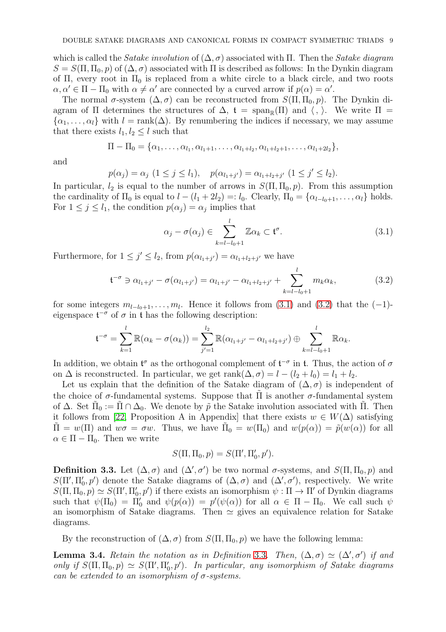which is called the *Satake involution* of  $(\Delta, \sigma)$  associated with Π. Then the *Satake diagram*  $S = S(\Pi, \Pi_0, p)$  of  $(\Delta, \sigma)$  associated with  $\Pi$  is described as follows: In the Dynkin diagram of Π, every root in  $\Pi_0$  is replaced from a white circle to a black circle, and two roots  $\alpha, \alpha' \in \Pi - \Pi_0$  with  $\alpha \neq \alpha'$  are connected by a curved arrow if  $p(\alpha) = \alpha'$ .

The normal  $\sigma$ -system  $(\Delta, \sigma)$  can be reconstructed from  $S(\Pi, \Pi_0, p)$ . The Dynkin diagram of  $\Pi$  determines the structures of  $\Delta$ ,  $t = \text{span}_{\mathbb{R}}(\Pi)$  and  $\langle , \rangle$ . We write  $\Pi$  =  $\{\alpha_1, \ldots, \alpha_l\}$  with  $l = \text{rank}(\Delta)$ . By renumbering the indices if necessary, we may assume that there exists  $l_1, l_2 \leq l$  such that

$$
\Pi - \Pi_0 = \{ \alpha_1, \ldots, \alpha_{l_1}, \alpha_{l_1+1}, \ldots, \alpha_{l_1+l_2}, \alpha_{l_1+l_2+1}, \ldots, \alpha_{l_1+l_2+l_2} \},\
$$

and

$$
p(\alpha_j) = \alpha_j \ (1 \leq j \leq l_1), \quad p(\alpha_{l_1+j'}) = \alpha_{l_1+l_2+j'} \ (1 \leq j' \leq l_2).
$$

In particular,  $l_2$  is equal to the number of arrows in  $S(\Pi, \Pi_0, p)$ . From this assumption the cardinality of  $\Pi_0$  is equal to  $l - (l_1 + 2l_2) =: l_0$ . Clearly,  $\Pi_0 = {\alpha_{l-l_0+1}, \ldots, \alpha_l}$  holds. For  $1 \leq j \leq l_1$ , the condition  $p(\alpha_j) = \alpha_j$  implies that

<span id="page-8-0"></span>
$$
\alpha_j - \sigma(\alpha_j) \in \sum_{k=l-l_0+1}^{l} \mathbb{Z} \alpha_k \subset \mathfrak{t}^{\sigma}.
$$
 (3.1)

Furthermore, for  $1 \leq j' \leq l_2$ , from  $p(\alpha_{l_1+j'}) = \alpha_{l_1+l_2+j'}$  we have

<span id="page-8-1"></span>
$$
\mathfrak{t}^{-\sigma} \ni \alpha_{l_1+j'} - \sigma(\alpha_{l_1+j'}) = \alpha_{l_1+j'} - \alpha_{l_1+l_2+j'} + \sum_{k=l-l_0+1}^{l} m_k \alpha_k, \tag{3.2}
$$

for some integers  $m_{l-l_0+1}, \ldots, m_l$ . Hence it follows from [\(3.1\)](#page-8-0) and [\(3.2\)](#page-8-1) that the (-1)eigenspace  $\mathfrak{t}^{-\sigma}$  of  $\sigma$  in  $\mathfrak t$  has the following description:

$$
\mathfrak{t}^{-\sigma} = \sum_{k=1}^{l} \mathbb{R}(\alpha_k - \sigma(\alpha_k)) = \sum_{j'=1}^{l_2} \mathbb{R}(\alpha_{l_1+j'} - \alpha_{l_1+l_2+j'}) \oplus \sum_{k=l-l_0+1}^{l} \mathbb{R}\alpha_k.
$$

In addition, we obtain  $\mathfrak{t}^{\sigma}$  as the orthogonal complement of  $\mathfrak{t}^{-\sigma}$  in  $\mathfrak{t}$ . Thus, the action of  $\sigma$ on  $\Delta$  is reconstructed. In particular, we get rank $(\Delta, \sigma) = l - (l_2 + l_0) = l_1 + l_2$ .

Let us explain that the definition of the Satake diagram of  $(\Delta, \sigma)$  is independent of the choice of  $\sigma$ -fundamental systems. Suppose that  $\Pi$  is another  $\sigma$ -fundamental system of  $\Delta$ . Set  $\tilde{\Pi}_0 := \tilde{\Pi} \cap \Delta_0$ . We denote by  $\tilde{p}$  the Satake involution associated with  $\tilde{\Pi}$ . Then it follows from [\[22,](#page-33-14) Proposition A in Appendix] that there exists  $w \in W(\Delta)$  satisfying  $\tilde{\Pi} = w(\Pi)$  and  $w\sigma = \sigma w$ . Thus, we have  $\tilde{\Pi}_0 = w(\Pi_0)$  and  $w(p(\alpha)) = \tilde{p}(w(\alpha))$  for all  $\alpha \in \Pi - \Pi_0$ . Then we write

$$
S(\Pi, \Pi_0, p) = S(\Pi', \Pi'_0, p').
$$

<span id="page-8-2"></span>**Definition 3.3.** Let  $(\Delta, \sigma)$  and  $(\Delta', \sigma')$  be two normal  $\sigma$ -systems, and  $S(\Pi, \Pi_0, p)$  and  $S(\Pi', \Pi'_0, p')$  denote the Satake diagrams of  $(\Delta, \sigma)$  and  $(\Delta', \sigma')$ , respectively. We write  $S(\Pi, \Pi_0, p) \simeq S(\Pi', \Pi'_0, p')$  if there exists an isomorphism  $\psi : \Pi \to \Pi'$  of Dynkin diagrams such that  $\psi(\Pi_0) = \Pi'_0$  and  $\psi(p(\alpha)) = p'(\psi(\alpha))$  for all  $\alpha \in \Pi - \Pi_0$ . We call such  $\psi$ an isomorphism of Satake diagrams. Then  $\simeq$  gives an equivalence relation for Satake diagrams.

By the reconstruction of  $(\Delta, \sigma)$  from  $S(\Pi, \Pi_0, p)$  we have the following lemma:

<span id="page-8-3"></span>**Lemma [3](#page-8-2).4.** Retain the notation as in Definition 3.3. Then,  $(\Delta, \sigma) \simeq (\Delta', \sigma')$  if and only if  $S(\Pi, \Pi_0, p) \simeq S(\Pi', \Pi'_0, p')$ . In particular, any isomorphism of Satake diagrams can be extended to an isomorphism of  $\sigma$ -systems.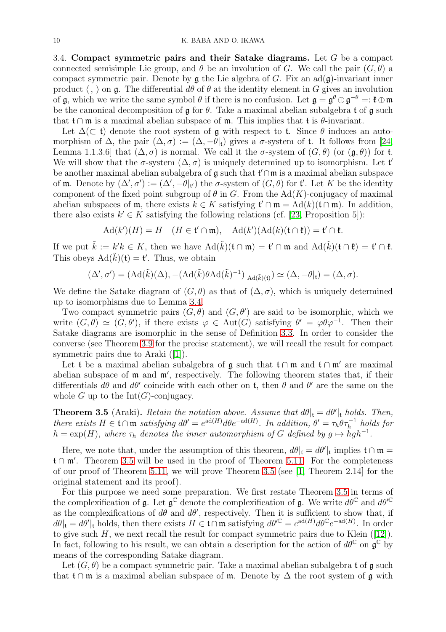3.4. Compact symmetric pairs and their Satake diagrams. Let G be a compact connected semisimple Lie group, and  $\theta$  be an involution of G. We call the pair  $(G, \theta)$  a compact symmetric pair. Denote by  $\frak{g}$  the Lie algebra of G. Fix an ad $(\frak{g})$ -invariant inner product  $\langle , \rangle$  on g. The differential  $d\theta$  of  $\theta$  at the identity element in G gives an involution of g, which we write the same symbol  $\theta$  if there is no confusion. Let  $\mathfrak{g} = \mathfrak{g}^{\theta} \oplus \mathfrak{g}^{-\theta} =: \mathfrak{k} \oplus \mathfrak{m}$ be the canonical decomposition of  $\mathfrak g$  for  $\theta$ . Take a maximal abelian subalgebra t of  $\mathfrak g$  such that  $t \cap \mathfrak{m}$  is a maximal abelian subspace of  $\mathfrak{m}$ . This implies that t is  $\theta$ -invariant.

Let  $\Delta(\subset \mathfrak{t})$  denote the root system of g with respect to t. Since  $\theta$  induces an automorphism of  $\Delta$ , the pair  $(\Delta, \sigma) := (\Delta, -\theta]_t$  gives a  $\sigma$ -system of t. It follows from [\[24,](#page-33-13) Lemma 1.1.3.6] that  $(\Delta, \sigma)$  is normal. We call it the  $\sigma$ -system of  $(G, \theta)$  (or  $(\mathfrak{g}, \theta)$ ) for t. We will show that the  $\sigma$ -system  $(\Delta, \sigma)$  is uniquely determined up to isomorphism. Let  $\mathfrak{t}'$ be another maximal abelian subalgebra of  $\mathfrak g$  such that  $\mathfrak t' \cap \mathfrak m$  is a maximal abelian subspace of **m**. Denote by  $(\Delta', \sigma') := (\Delta', -\theta|_{\mathfrak{t}'})$  the  $\sigma$ -system of  $(G, \theta)$  for  $\mathfrak{t}'$ . Let K be the identity component of the fixed point subgroup of  $\theta$  in G. From the Ad(K)-conjugacy of maximal abelian subspaces of m, there exists  $k \in K$  satisfying  $\mathfrak{t}' \cap \mathfrak{m} = \mathrm{Ad}(k)(\mathfrak{t} \cap \mathfrak{m})$ . In addition, there also exists  $k' \in K$  satisfying the following relations (cf. [\[23,](#page-33-15) Proposition 5]):

$$
\mathrm{Ad}(k')(H) = H \quad (H \in \mathfrak{t}' \cap \mathfrak{m}), \quad \mathrm{Ad}(k')(\mathrm{Ad}(k)(\mathfrak{t} \cap \mathfrak{k})) = \mathfrak{t}' \cap \mathfrak{k}.
$$

If we put  $\tilde{k} := k'k \in K$ , then we have  $\text{Ad}(\tilde{k})(\mathfrak{t} \cap \mathfrak{m}) = \mathfrak{t}' \cap \mathfrak{m}$  and  $\text{Ad}(\tilde{k})(\mathfrak{t} \cap \mathfrak{k}) = \mathfrak{t}' \cap \mathfrak{k}$ . This obeys  $\text{Ad}(\tilde{k})(t) = t'$ . Thus, we obtain

$$
(\Delta', \sigma') = (Ad(\tilde{k})(\Delta), -(Ad(\tilde{k})\theta Ad(\tilde{k})^{-1})|_{Ad(\tilde{k})(t)}) \simeq (\Delta, -\theta|_{t}) = (\Delta, \sigma).
$$

We define the Satake diagram of  $(G, \theta)$  as that of  $(\Delta, \sigma)$ , which is uniquely determined up to isomorphisms due to Lemma [3.4.](#page-8-3)

Two compact symmetric pairs  $(G, \theta)$  and  $(G, \theta')$  are said to be isomorphic, which we write  $(G, \theta) \simeq (G, \theta')$ , if there exists  $\varphi \in \text{Aut}(G)$  satisfying  $\theta' = \varphi \theta \varphi^{-1}$ . Then their Satake diagrams are isomorphic in the sense of Definition [3.3.](#page-8-2) In order to consider the converse (see Theorem [3.9](#page-11-0) for the precise statement), we will recall the result for compact symmetric pairs due to Araki ([\[1\]](#page-32-1)).

Let t be a maximal abelian subalgebra of  $\mathfrak g$  such that  $\mathfrak t \cap \mathfrak m$  and  $\mathfrak t \cap \mathfrak m'$  are maximal abelian subspace of m and m′ , respectively. The following theorem states that, if their differentials  $d\theta$  and  $d\theta'$  coincide with each other on t, then  $\theta$  and  $\theta'$  are the same on the whole  $G$  up to the  $Int(G)$ -conjugacy.

<span id="page-9-0"></span>**Theorem 3.5** (Araki). Retain the notation above. Assume that  $d\theta|_t = d\theta'|_t$  holds. Then, there exists  $H \in \mathfrak{t} \cap \mathfrak{m}$  satisfying  $d\theta' = e^{ad(H)} d\theta e^{-ad(H)}$ . In addition,  $\theta' = \tau_h \theta \tau_h^{-1}$  holds for  $h = \exp(H)$ , where  $\tau_h$  denotes the inner automorphism of G defined by  $g \mapsto hgh^{-1}$ .

Here, we note that, under the assumption of this theorem,  $d\theta|_t = d\theta'|_t$  implies  $t \cap \mathfrak{m} =$ t ∩ m′ . Theorem [3.5](#page-9-0) will be used in the proof of Theorem [5.11.](#page-18-0) For the completeness of our proof of Theorem [5.11,](#page-18-0) we will prove Theorem [3.5](#page-9-0) (see [\[1,](#page-32-1) Theorem 2.14] for the original statement and its proof).

For this purpose we need some preparation. We first restate Theorem [3.5](#page-9-0) in terms of the complexification of  $\mathfrak g$ . Let  $\mathfrak g^{\mathbb C}$  denote the complexification of  $\mathfrak g$ . We write  $d\theta^{\mathbb C}$  and  $d\theta'^{\mathbb C}$ as the complexifications of  $d\theta$  and  $d\theta'$ , respectively. Then it is sufficient to show that, if  $d\theta|_{t} = d\theta'|_{t}$  holds, then there exists  $H \in \mathfrak{t} \cap \mathfrak{m}$  satisfying  $d\theta'^{\mathbb{C}} = e^{\mathrm{ad}(H)} d\theta^{\mathbb{C}} e^{-\mathrm{ad}(H)}$ . In order to give such  $H$ , we next recall the result for compact symmetric pairs due to Klein ([\[12\]](#page-33-16)). In fact, following to his result, we can obtain a description for the action of  $d\theta^{\mathbb{C}}$  on  $\mathfrak{g}^{\mathbb{C}}$  by means of the corresponding Satake diagram.

Let  $(G, \theta)$  be a compact symmetric pair. Take a maximal abelian subalgebra t of g such that t∩m is a maximal abelian subspace of m. Denote by  $\Delta$  the root system of g with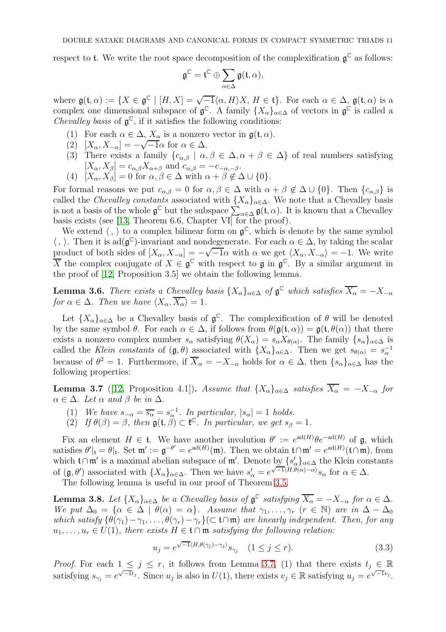respect to t. We write the root space decomposition of the complexification  $\mathfrak{g}^{\mathbb{C}}$  as follows:

$$
\mathfrak{g}^{\mathbb{C}}=\mathfrak{t}^{\mathbb{C}}\oplus \sum_{\alpha\in \Delta}\mathfrak{g}(\mathfrak{t},\alpha),
$$

where  $\mathfrak{g}(\mathfrak{t},\alpha) := \{X \in \mathfrak{g}^{\mathbb{C}} \mid [H,X] = \sqrt{-1} \langle \alpha, H \rangle X, H \in \mathfrak{t} \}.$  For each  $\alpha \in \Delta$ ,  $\mathfrak{g}(\mathfrak{t},\alpha)$  is a complex one dimensional subspace of  $\mathfrak{g}^{\mathbb{C}}$ . A family  $\{X_{\alpha}\}_{\alpha\in\Delta}$  of vectors in  $\mathfrak{g}^{\mathbb{C}}$  is called a Chevalley basis of  $\mathfrak{g}^{\mathbb{C}}$ , if it satisfies the following conditions:

- (1) For each  $\alpha \in \Delta$ ,  $X_{\alpha}$  is a nonzero vector in  $\mathfrak{g}(\mathfrak{t}, \alpha)$ .
- (2)  $[X_{\alpha}, X_{-\alpha}] = -\sqrt{-1}\alpha$  for  $\alpha \in \Delta$ .
- (3) There exists a family  $\{c_{\alpha,\beta} \mid \alpha, \beta \in \Delta, \alpha + \beta \in \Delta\}$  of real numbers satisfying  $[X_{\alpha}, X_{\beta}] = c_{\alpha,\beta} X_{\alpha+\beta}$  and  $c_{\alpha,\beta} = -c_{-\alpha,-\beta}$ .
- (4)  $[X_{\alpha}, X_{\beta}] = 0$  for  $\alpha, \beta \in \Delta$  with  $\alpha + \beta \notin \Delta \cup \{0\}.$

For formal reasons we put  $c_{\alpha,\beta} = 0$  for  $\alpha, \beta \in \Delta$  with  $\alpha + \beta \notin \Delta \cup \{0\}$ . Then  $\{c_{\alpha,\beta}\}\)$  is called the Chevalley constants associated with  $\{X_{\alpha}\}_{{\alpha}\in\Delta}$ . We note that a Chevalley basis is not a basis of the whole  $\mathfrak{g}^{\mathbb{C}}$  but the subspace  $\sum_{\alpha \in \Delta} \mathfrak{g}(\mathfrak{t}, \alpha)$ . It is known that a Chevalley basis exists (see [\[13,](#page-33-17) Theorem 6.6, Chapter VI] for the proof).

We extend  $\langle , \rangle$  to a complex bilinear form on  $\mathfrak{g}^{\mathbb{C}}$ , which is denote by the same symbol  $\langle , \rangle$ . Then it is ad( $\mathfrak{g}^{\mathbb{C}}$ )-invariant and nondegenerate. For each  $\alpha \in \Delta$ , by taking the scalar product of both sides of  $[X_{\alpha}, X_{-\alpha}] = -\sqrt{-1}\alpha$  with  $\alpha$  we get  $\langle X_{\alpha}, X_{-\alpha} \rangle = -1$ . We write  $\overline{X}$  the complex conjugate of  $X \in \mathfrak{g}^{\mathbb{C}}$  with respect to  $\mathfrak{g}$  in  $\mathfrak{g}^{\mathbb{C}}$ . By a similar argument in the proof of [\[12,](#page-33-16) Proposition 3.5] we obtain the following lemma.

<span id="page-10-3"></span>**Lemma 3.6.** There exists a Chevalley basis  $\{X_{\alpha}\}_{{\alpha \in \Delta}}$  of  $\mathfrak{g}^{\mathbb{C}}$  which satisfies  $\overline{X_{\alpha}} = -X_{-\alpha}$ for  $\alpha \in \Delta$ . Then we have  $\langle X_{\alpha}, \overline{X_{\alpha}} \rangle = 1$ .

Let  $\{X_{\alpha}\}_{{\alpha}\in\Delta}$  be a Chevalley basis of  ${\mathfrak{g}}^{\mathbb{C}}$ . The complexification of  $\theta$  will be denoted by the same symbol  $\theta$ . For each  $\alpha \in \Delta$ , if follows from  $\theta(\mathfrak{g}(\mathfrak{t}, \alpha)) = \mathfrak{g}(\mathfrak{t}, \theta(\alpha))$  that there exists a nonzero complex number  $s_{\alpha}$  satisfying  $\theta(X_{\alpha}) = s_{\alpha} X_{\theta(\alpha)}$ . The family  $\{s_{\alpha}\}_{{\alpha \in \Delta}}$  is called the Klein constants of  $(\mathfrak{g}, \theta)$  associated with  $\{X_{\alpha}\}_{{\alpha \in {\Delta}}}$ . Then we get  $s_{\theta({\alpha})} = s_{\alpha}^{-1}$ because of  $\theta^2 = 1$ . Furthermore, if  $\overline{X}_{\alpha} = -X_{-\alpha}$  holds for  $\alpha \in \Delta$ , then  $\{s_{\alpha}\}_{{\alpha \in \Delta}}$  has the following properties:

<span id="page-10-0"></span>**Lemma 3.7** ([\[12,](#page-33-16) Proposition 4.1]). Assume that  $\{X_{\alpha}\}_{{\alpha}\in{\Delta}}$  satisfies  $\overline{X_{\alpha}} = -X_{-\alpha}$  for  $\alpha \in \Delta$ . Let  $\alpha$  and  $\beta$  be in  $\Delta$ .

- (1) We have  $s_{-\alpha} = \overline{s_{\alpha}} = s_{\alpha}^{-1}$ . In particular,  $|s_{\alpha}| = 1$  holds.
- (2) If  $\theta(\beta) = \beta$ , then  $\mathfrak{g}(\mathfrak{t}, \beta) \subset \mathfrak{t}^{\mathbb{C}}$ . In particular, we get  $s_{\beta} = 1$ .

Fix an element  $H \in \mathfrak{t}$ . We have another involution  $\theta' := e^{\mathrm{ad}(H)} \theta e^{-\mathrm{ad}(H)}$  of  $\mathfrak{g}$ , which satisfies  $\theta'|_t = \theta|_t$ . Set  $\mathfrak{m}' := \mathfrak{g}^{-\theta'} = e^{\mathrm{ad}(H)}(\mathfrak{m})$ . Then we obtain  $t \cap \mathfrak{m}' = e^{\mathrm{ad}(H)}(t \cap \mathfrak{m})$ , from which  $\mathfrak{t} \cap \mathfrak{m}'$  is a maximal abelian subspace of  $\mathfrak{m}'$ . Denote by  $\{s'_\alpha\}_{\alpha \in \Delta}$  the Klein constants of  $(g, \theta')$  associated with  $\{X_{\alpha}\}_{{\alpha \in \Delta}}$ . Then we have  $s'_{\alpha} = e^{\sqrt{-1}\langle H, \theta(\alpha) - \alpha \rangle} s_{\alpha}$  for  $\alpha \in \Delta$ .

The following lemma is useful in our proof of Theorem [3.5.](#page-9-0)

<span id="page-10-2"></span>**Lemma 3.8.** Let  $\{X_{\alpha}\}_{{\alpha \in \Delta}}$  be a Chevalley basis of  $\mathfrak{g}^{\mathbb{C}}$  satisfying  $\overline{X_{\alpha}} = -X_{-\alpha}$  for  $\alpha \in \Delta$ . We put  $\Delta_0 = {\alpha \in \Delta \mid \theta(\alpha) = \alpha}$ . Assume that  $\gamma_1, \ldots, \gamma_r$  ( $r \in \mathbb{N}$ ) are in  $\Delta - \Delta_0$ which satisfy  $\{\theta(\gamma_1)-\gamma_1,\ldots,\theta(\gamma_r)-\gamma_r\}\subset \mathfrak{t}\cap\mathfrak{m}$  are linearly independent. Then, for any  $u_1, \ldots, u_r \in U(1)$ , there exists  $H \in \mathfrak{t} \cap \mathfrak{m}$  satisfying the following relation:

<span id="page-10-1"></span>
$$
u_j = e^{\sqrt{-1}\langle H, \theta(\gamma_j) - \gamma_j \rangle} s_{\gamma_j} \quad (1 \le j \le r). \tag{3.3}
$$

*Proof.* For each  $1 \leq j \leq r$ , it follows from Lemma [3.7,](#page-10-0) (1) that there exists  $t_j \in \mathbb{R}$ satisfying  $s_{\gamma_j} = e^{\sqrt{-1}t_j}$ . Since  $u_j$  is also in  $U(1)$ , there exists  $v_j \in \mathbb{R}$  satisfying  $u_j = e^{\sqrt{-1}v_j}$ .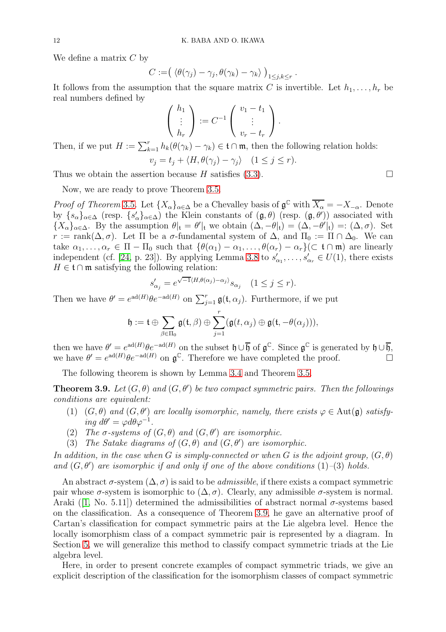We define a matrix  $C$  by

$$
C := (\langle \theta(\gamma_j) - \gamma_j, \theta(\gamma_k) - \gamma_k \rangle)_{1 \leq j,k \leq r}.
$$

It follows from the assumption that the square matrix C is invertible. Let  $h_1, \ldots, h_r$  be real numbers defined by

$$
\begin{pmatrix} h_1 \\ \vdots \\ h_r \end{pmatrix} := C^{-1} \begin{pmatrix} v_1 - t_1 \\ \vdots \\ v_r - t_r \end{pmatrix}.
$$

Then, if we put  $H := \sum_{k=1}^r h_k(\theta(\gamma_k) - \gamma_k) \in \mathfrak{t} \cap \mathfrak{m}$ , then the following relation holds:  $v_j = t_j + \langle H, \theta(\gamma_i) - \gamma_j \rangle$   $(1 \leq j \leq r).$ 

Thus we obtain the assertion because  $H$  satisfies [\(3.3\)](#page-10-1).

Now, we are ready to prove Theorem [3.5.](#page-9-0)

Proof of Theorem [3](#page-9-0).5. Let  $\{X_{\alpha}\}_{{\alpha \in \Delta}}$  be a Chevalley basis of  $\mathfrak{g}^{\mathbb{C}}$  with  $\overline{X_{\alpha}} = -X_{-\alpha}$ . Denote by  ${s_{\alpha}}_{\alpha\in\Delta}$  (resp.  ${s'_{\alpha}}_{\alpha\in\Delta}$ ) the Klein constants of  $(\mathfrak{g},\theta)$  (resp.  $(\mathfrak{g},\theta')$ ) associated with  ${X_{\alpha}}_{\alpha \in \Delta}$ . By the assumption  $\theta|_{t} = \theta'|_{t}$  we obtain  $(\Delta, -\theta|_{t}) = (\Delta, -\theta'|_{t}) = (\Delta, \sigma)$ . Set  $r := \text{rank}(\Delta, \sigma)$ . Let  $\Pi$  be a  $\sigma$ -fundamental system of  $\Delta$ , and  $\Pi_0 := \Pi \cap \Delta_0$ . We can take  $\alpha_1, \ldots, \alpha_r \in \Pi - \Pi_0$  such that  $\{\theta(\alpha_1) - \alpha_1, \ldots, \theta(\alpha_r) - \alpha_r\}(\subset \mathfrak{t} \cap \mathfrak{m})$  are linearly independent (cf. [\[24,](#page-33-13) p. 23]). By applying Lemma [3.8](#page-10-2) to  $s'_{\alpha_1}, \ldots, s'_{\alpha_r} \in U(1)$ , there exists  $H \in \mathfrak{t} \cap \mathfrak{m}$  satisfying the following relation:

$$
s'_{\alpha_j} = e^{\sqrt{-1}\langle H, \theta(\alpha_j) - \alpha_j \rangle} s_{\alpha_j} \quad (1 \le j \le r).
$$

Then we have  $\theta' = e^{ad(H)} \theta e^{-ad(H)}$  on  $\sum_{j=1}^r \mathfrak{g}(\mathfrak{t}, \alpha_j)$ . Furthermore, if we put

$$
\mathfrak{h}:=\mathfrak{t}\oplus \sum_{\beta\in \Pi_0}\mathfrak{g}(\mathfrak{t},\beta)\oplus \sum_{j=1}^r(\mathfrak{g}(t,\alpha_j)\oplus \mathfrak{g}(\mathfrak{t},-\theta(\alpha_j))),
$$

then we have  $\theta' = e^{ad(H)} \theta e^{-ad(H)}$  on the subset  $\mathfrak{h} \cup \overline{\mathfrak{h}}$  of  $\mathfrak{g}^{\mathbb{C}}$ . Since  $\mathfrak{g}^{\mathbb{C}}$  is generated by  $\mathfrak{h} \cup \overline{\mathfrak{h}}$ . we have  $\theta' = e^{ad(H)} \theta e^{-ad(H)}$  on  $\mathfrak{g}^{\mathbb{C}}$ . Therefore we have completed the proof.

The following theorem is shown by Lemma [3.4](#page-8-3) and Theorem [3.5.](#page-9-0)

<span id="page-11-0"></span>**Theorem 3.9.** Let  $(G, \theta)$  and  $(G, \theta')$  be two compact symmetric pairs. Then the followings conditions are equivalent:

- (1)  $(G, \theta)$  and  $(G, \theta')$  are locally isomorphic, namely, there exists  $\varphi \in \text{Aut}(\mathfrak{g})$  satisfying  $d\theta' = \varphi d\theta \varphi^{-1}$ .
- (2) The  $\sigma$ -systems of  $(G, \theta)$  and  $(G, \theta')$  are isomorphic.
- (3) The Satake diagrams of  $(G, \theta)$  and  $(G, \theta')$  are isomorphic.

In addition, in the case when G is simply-connected or when G is the adjoint group,  $(G, \theta)$ and  $(G, \theta')$  are isomorphic if and only if one of the above conditions  $(1)$ - $(3)$  holds.

An abstract  $\sigma$ -system  $(\Delta, \sigma)$  is said to be *admissible*, if there exists a compact symmetric pair whose  $\sigma$ -system is isomorphic to  $(\Delta, \sigma)$ . Clearly, any admissible  $\sigma$ -system is normal. Araki ([\[1,](#page-32-1) No. 5.11]) determined the admissibilities of abstract normal  $\sigma$ -systems based on the classification. As a consequence of Theorem [3.9,](#page-11-0) he gave an alternative proof of Cartan's classification for compact symmetric pairs at the Lie algebra level. Hence the locally isomorphism class of a compact symmetric pair is represented by a diagram. In Section [5,](#page-15-0) we will generalize this method to classify compact symmetric triads at the Lie algebra level.

Here, in order to present concrete examples of compact symmetric triads, we give an explicit description of the classification for the isomorphism classes of compact symmetric

$$
\Box
$$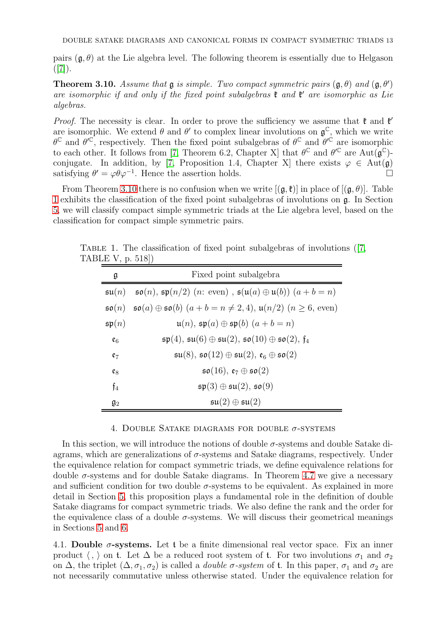pairs  $(\mathfrak{g}, \theta)$  at the Lie algebra level. The following theorem is essentially due to Helgason  $([7])$  $([7])$  $([7])$ .

<span id="page-12-2"></span>**Theorem 3.10.** Assume that  $\mathfrak{g}$  is simple. Two compact symmetric pairs  $(\mathfrak{g}, \theta)$  and  $(\mathfrak{g}, \theta')$ are isomorphic if and only if the fixed point subalgebras  $\mathfrak k$  and  $\mathfrak k'$  are isomorphic as Lie algebras.

*Proof.* The necessity is clear. In order to prove the sufficiency we assume that  $\mathfrak{k}$  and  $\mathfrak{k}'$ are isomorphic. We extend  $\theta$  and  $\theta'$  to complex linear involutions on  $\mathfrak{g}^{\mathbb{C}}$ , which we write  $\theta^{\mathbb{C}}$  and  $\theta'^{\mathbb{C}}$ , respectively. Then the fixed point subalgebras of  $\theta^{\mathbb{C}}$  and  $\theta'^{\mathbb{C}}$  are isomorphic to each other. It follows from [\[7,](#page-33-12) Theorem 6.2, Chapter X] that  $\theta^{\mathbb{C}}$  and  $\theta^{\prime\mathbb{C}}$  are Aut $(\mathfrak{g}^{\mathbb{C}})$ -conjugate. In addition, by [\[7,](#page-33-12) Proposition 1.4, Chapter X] there exists  $\varphi \in Aut(\mathfrak{g})$  satisfying  $\theta' = \varphi \theta \varphi^{-1}$  Hence the assertion holds satisfying  $\theta' = \varphi \theta \varphi^{-1}$ . Hence the assertion holds.  $\square$ 

From Theorem [3.10](#page-12-2) there is no confusion when we write  $[(\mathfrak{g},\mathfrak{k})]$  in place of  $[(\mathfrak{g},\theta)]$ . Table [1](#page-12-3) exhibits the classification of the fixed point subalgebras of involutions on g. In Section [5,](#page-15-0) we will classify compact simple symmetric triads at the Lie algebra level, based on the classification for compact simple symmetric pairs.

<span id="page-12-3"></span>

| g                  | Fixed point subalgebra                                                                                                                   |
|--------------------|------------------------------------------------------------------------------------------------------------------------------------------|
|                    | $\mathfrak{su}(n)$ $\mathfrak{so}(n)$ , $\mathfrak{sp}(n/2)$ $(n: \text{even})$ , $\mathfrak{sl}(n(a) \oplus \mathfrak{u}(b))$ $(a+b=n)$ |
|                    | $\mathfrak{so}(n)$ $\mathfrak{so}(a) \oplus \mathfrak{so}(b)$ $(a+b=n \neq 2,4)$ , $\mathfrak{u}(n/2)$ $(n \geq 6,$ even)                |
| $\mathfrak{sp}(n)$ | $\mathfrak{u}(n)$ , $\mathfrak{sp}(a) \oplus \mathfrak{sp}(b)$ $(a + b = n)$                                                             |
| $\mathfrak{e}_6$   | $\mathfrak{sp}(4)$ , $\mathfrak{su}(6) \oplus \mathfrak{su}(2)$ , $\mathfrak{so}(10) \oplus \mathfrak{so}(2)$ , $\mathfrak{f}_4$         |
| $e_7$              | $\mathfrak{su}(8)$ , $\mathfrak{so}(12) \oplus \mathfrak{su}(2)$ , $\mathfrak{e}_6 \oplus \mathfrak{so}(2)$                              |
| $\mathfrak{e}_8$   | $\mathfrak{so}(16)$ , $\mathfrak{e}_7 \oplus \mathfrak{so}(2)$                                                                           |
| $\mathfrak{f}_4$   | $\mathfrak{sp}(3) \oplus \mathfrak{su}(2)$ , $\mathfrak{so}(9)$                                                                          |
| $\mathfrak{g}_2$   | $\mathfrak{su}(2)\oplus \mathfrak{su}(2)$                                                                                                |

TABLE 1. The classification of fixed point subalgebras of involutions  $([7, \n$  $([7, \n$  $([7, \n$ TABLE V, p. 518])

## 4. DOUBLE SATAKE DIAGRAMS FOR DOUBLE  $\sigma$ -SYSTEMS

<span id="page-12-0"></span>In this section, we will introduce the notions of double  $\sigma$ -systems and double Satake diagrams, which are generalizations of  $\sigma$ -systems and Satake diagrams, respectively. Under the equivalence relation for compact symmetric triads, we define equivalence relations for double  $\sigma$ -systems and for double Satake diagrams. In Theorem [4.7](#page-14-2) we give a necessary and sufficient condition for two double  $\sigma$ -systems to be equivalent. As explained in more detail in Section [5,](#page-15-0) this proposition plays a fundamental role in the definition of double Satake diagrams for compact symmetric triads. We also define the rank and the order for the equivalence class of a double  $\sigma$ -systems. We will discuss their geometrical meanings in Sections [5](#page-15-0) and [6.](#page-25-0)

<span id="page-12-1"></span>4.1. Double  $\sigma$ -systems. Let t be a finite dimensional real vector space. Fix an inner product  $\langle , \rangle$  on t. Let  $\Delta$  be a reduced root system of t. For two involutions  $\sigma_1$  and  $\sigma_2$ on  $\Delta$ , the triplet  $(\Delta, \sigma_1, \sigma_2)$  is called a *double*  $\sigma$ *-system* of t. In this paper,  $\sigma_1$  and  $\sigma_2$  are not necessarily commutative unless otherwise stated. Under the equivalence relation for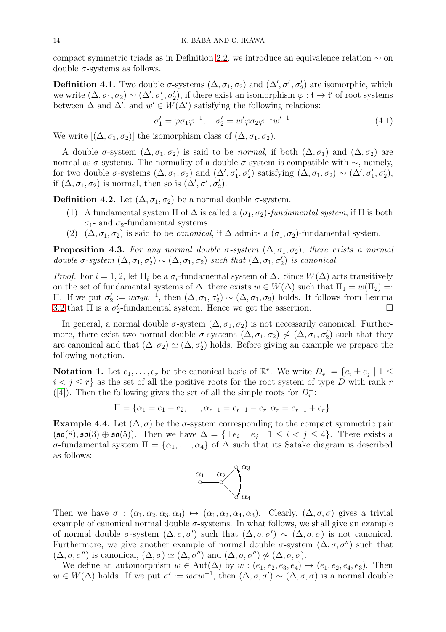compact symmetric triads as in Definition [2.2,](#page-2-1) we introduce an equivalence relation ∼ on double  $\sigma$ -systems as follows.

**Definition 4.1.** Two double  $\sigma$ -systems  $(\Delta, \sigma_1, \sigma_2)$  and  $(\Delta', \sigma'_1, \sigma'_2)$  are isomorphic, which we write  $(\Delta, \sigma_1, \sigma_2) \sim (\Delta', \sigma'_1, \sigma'_2)$ , if there exist an isomorphism  $\varphi : \mathfrak{t} \to \mathfrak{t}'$  of root systems between  $\Delta$  and  $\Delta'$ , and  $w' \in W(\Delta')$  satisfying the following relations:

<span id="page-13-0"></span>
$$
\sigma_1' = \varphi \sigma_1 \varphi^{-1}, \quad \sigma_2' = w' \varphi \sigma_2 \varphi^{-1} w'^{-1}.
$$
\n(4.1)

We write  $[(\Delta, \sigma_1, \sigma_2)]$  the isomorphism class of  $(\Delta, \sigma_1, \sigma_2)$ .

A double  $\sigma$ -system  $(\Delta, \sigma_1, \sigma_2)$  is said to be *normal*, if both  $(\Delta, \sigma_1)$  and  $(\Delta, \sigma_2)$  are normal as  $\sigma$ -systems. The normality of a double  $\sigma$ -system is compatible with  $\sim$ , namely, for two double  $\sigma$ -systems  $(\Delta, \sigma_1, \sigma_2)$  and  $(\Delta', \sigma'_1, \sigma'_2)$  satisfying  $(\Delta, \sigma_1, \sigma_2) \sim (\Delta', \sigma'_1, \sigma'_2)$ , if  $(\Delta, \sigma_1, \sigma_2)$  is normal, then so is  $(\Delta', \sigma'_1, \sigma'_2)$ .

<span id="page-13-1"></span>**Definition 4.2.** Let  $(\Delta, \sigma_1, \sigma_2)$  be a normal double  $\sigma$ -system.

- (1) A fundamental system  $\Pi$  of  $\Delta$  is called a  $(\sigma_1, \sigma_2)$ -fundamental system, if  $\Pi$  is both  $\sigma_1$ - and  $\sigma_2$ -fundamental systems.
- (2)  $(\Delta, \sigma_1, \sigma_2)$  is said to be *canonical*, if  $\Delta$  admits a  $(\sigma_1, \sigma_2)$ -fundamental system.

**Proposition 4.3.** For any normal double  $\sigma$ -system  $(\Delta, \sigma_1, \sigma_2)$ , there exists a normal double  $\sigma$ -system  $(\Delta, \sigma_1, \sigma'_2) \sim (\Delta, \sigma_1, \sigma_2)$  such that  $(\Delta, \sigma_1, \sigma'_2)$  is canonical.

*Proof.* For  $i = 1, 2$ , let  $\Pi_i$  be a  $\sigma_i$ -fundamental system of  $\Delta$ . Since  $W(\Delta)$  acts transitively on the set of fundamental systems of  $\Delta$ , there exists  $w \in W(\Delta)$  such that  $\Pi_1 = w(\Pi_2) =$ : II. If we put  $\sigma'_2 := w \sigma_2 w^{-1}$ , then  $(Δ, σ_1, σ'_2) ∼ (Δ, σ_1, σ_2)$  holds. It follows from Lemma [3.2](#page-7-0) that  $\Pi$  is a  $\sigma'_2$ -fundamental system. Hence we get the assertion.

In general, a normal double  $\sigma$ -system  $(\Delta, \sigma_1, \sigma_2)$  is not necessarily canonical. Furthermore, there exist two normal double  $\sigma$ -systems  $(\Delta, \sigma_1, \sigma_2) \nsim (\Delta, \sigma_1, \sigma_2')$  such that they are canonical and that  $(\Delta, \sigma_2) \simeq (\Delta, \sigma'_2)$  holds. Before giving an example we prepare the following notation.

<span id="page-13-2"></span>**Notation 1.** Let  $e_1, \ldots, e_r$  be the canonical basis of  $\mathbb{R}^r$ . We write  $D_r^+ = \{e_i \pm e_j \mid 1 \leq$  $i < j \leq r$  as the set of all the positive roots for the root system of type D with rank r ([\[4\]](#page-32-5)). Then the following gives the set of all the simple roots for  $D_r^+$ :

$$
\Pi = \{ \alpha_1 = e_1 - e_2, \dots, \alpha_{r-1} = e_{r-1} - e_r, \alpha_r = e_{r-1} + e_r \}.
$$

Example 4.4. Let  $(\Delta, \sigma)$  be the  $\sigma$ -system corresponding to the compact symmetric pair  $(\mathfrak{so}(8), \mathfrak{so}(3) \oplus \mathfrak{so}(5))$ . Then we have  $\Delta = \{\pm e_i \pm e_j \mid 1 \leq i < j \leq 4\}$ . There exists a σ-fundamental system Π = {α1, . . . , α4} of ∆ such that its Satake diagram is described as follows:



Then we have  $\sigma : (\alpha_1, \alpha_2, \alpha_3, \alpha_4) \mapsto (\alpha_1, \alpha_2, \alpha_4, \alpha_3)$ . Clearly,  $(\Delta, \sigma, \sigma)$  gives a trivial example of canonical normal double  $\sigma$ -systems. In what follows, we shall give an example of normal double  $\sigma$ -system  $(\Delta, \sigma, \sigma')$  such that  $(\Delta, \sigma, \sigma') \sim (\Delta, \sigma, \sigma)$  is not canonical. Furthermore, we give another example of normal double  $\sigma$ -system  $(\Delta, \sigma, \sigma'')$  such that  $(\Delta, \sigma, \sigma'')$  is canonical,  $(\Delta, \sigma) \simeq (\Delta, \sigma'')$  and  $(\Delta, \sigma, \sigma'') \nsim (\Delta, \sigma, \sigma)$ .

We define an automorphism  $w \in Aut(\Delta)$  by  $w : (e_1, e_2, e_3, e_4) \mapsto (e_1, e_2, e_4, e_3)$ . Then  $w \in W(\Delta)$  holds. If we put  $\sigma' := w \sigma w^{-1}$ , then  $(\Delta, \sigma, \sigma') \sim (\Delta, \sigma, \sigma)$  is a normal double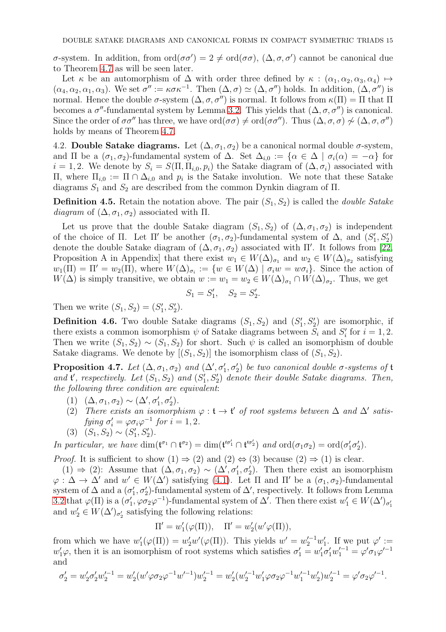$\sigma$ -system. In addition, from ord( $\sigma \sigma'$ ) = 2 ≠ ord( $\sigma \sigma$ ), (Δ, $\sigma$ , $\sigma'$ ) cannot be canonical due to Theorem [4.7](#page-14-2) as will be seen later.

Let  $\kappa$  be an automorphism of  $\Delta$  with order three defined by  $\kappa : (\alpha_1, \alpha_2, \alpha_3, \alpha_4) \mapsto$  $(\alpha_4, \alpha_2, \alpha_1, \alpha_3)$ . We set  $\sigma'' := \kappa \sigma \kappa^{-1}$ . Then  $(\Delta, \sigma) \simeq (\Delta, \sigma'')$  holds. In addition,  $(\Delta, \sigma'')$  is normal. Hence the double  $\sigma$ -system  $(\Delta, \sigma, \sigma'')$  is normal. It follows from  $\kappa(\Pi) = \Pi$  that  $\Pi$ becomes a  $\sigma''$ -fundamental system by Lemma [3.2.](#page-7-0) This yields that  $(\Delta, \sigma, \sigma'')$  is canonical. Since the order of  $\sigma \sigma''$  has three, we have  $\text{ord}(\sigma \sigma) \neq \text{ord}(\sigma \sigma'')$ . Thus  $(\Delta, \sigma, \sigma) \nsim (\Delta, \sigma, \sigma'')$ holds by means of Theorem [4.7.](#page-14-2)

<span id="page-14-1"></span>4.2. **Double Satake diagrams.** Let  $(\Delta, \sigma_1, \sigma_2)$  be a canonical normal double  $\sigma$ -system, and  $\Pi$  be a  $(\sigma_1, \sigma_2)$ -fundamental system of  $\Delta$ . Set  $\Delta_{i,0} := {\alpha \in \Delta \mid \sigma_i(\alpha) = -\alpha}$  for  $i = 1, 2$ . We denote by  $S_i = S(\Pi, \Pi_{i,0}, p_i)$  the Satake diagram of  $(\Delta, \sigma_i)$  associated with  $\Pi$ , where  $\Pi_{i,0} := \Pi ∩ Δ_{i,0}$  and  $p_i$  is the Satake involution. We note that these Satake diagrams  $S_1$  and  $S_2$  are described from the common Dynkin diagram of  $\Pi$ .

<span id="page-14-0"></span>**Definition 4.5.** Retain the notation above. The pair  $(S_1, S_2)$  is called the *double Satake* diagram of  $(\Delta, \sigma_1, \sigma_2)$  associated with  $\Pi$ .

Let us prove that the double Satake diagram  $(S_1, S_2)$  of  $(\Delta, \sigma_1, \sigma_2)$  is independent of the choice of  $\Pi$ . Let  $\Pi'$  be another  $(\sigma_1, \sigma_2)$ -fundamental system of  $\Delta$ , and  $(S'_1, S'_2)$ denote the double Satake diagram of  $(\Delta, \sigma_1, \sigma_2)$  associated with  $\Pi'$ . It follows from [\[22,](#page-33-14) Proposition A in Appendix that there exist  $w_1 \in W(\Delta)_{\sigma_1}$  and  $w_2 \in W(\Delta)_{\sigma_2}$  satisfying  $w_1(\Pi) = \Pi' = w_2(\Pi)$ , where  $W(\Delta)_{\sigma_i} := \{w \in W(\Delta) \mid \sigma_i w = w \sigma_i\}$ . Since the action of  $W(\Delta)$  is simply transitive, we obtain  $w := w_1 = w_2 \in W(\Delta)_{\sigma_1} \cap W(\Delta)_{\sigma_2}$ . Thus, we get

$$
S_1 = S'_1
$$
,  $S_2 = S'_2$ .

Then we write  $(S_1, S_2) = (S'_1, S'_2)$ .

**Definition 4.6.** Two double Satake diagrams  $(S_1, S_2)$  and  $(S'_1, S'_2)$  are isomorphic, if there exists a common isomorphism  $\psi$  of Satake diagrams between  $S_i$  and  $S'_i$  for  $i = 1, 2$ . Then we write  $(S_1, S_2) \sim (S_1, S_2)$  for short. Such  $\psi$  is called an isomorphism of double Satake diagrams. We denote by  $[(S_1, S_2)]$  the isomorphism class of  $(S_1, S_2)$ .

<span id="page-14-2"></span>**Proposition 4.7.** Let  $(\Delta, \sigma_1, \sigma_2)$  and  $(\Delta', \sigma'_1, \sigma'_2)$  be two canonical double  $\sigma$ -systems of  $\mathfrak t$ and  $\mathfrak{t}'$ , respectively. Let  $(S_1, S_2)$  and  $(S'_1, S'_2)$  denote their double Satake diagrams. Then, the following three condition are equivalent:

- (1)  $(\Delta, \sigma_1, \sigma_2) \sim (\Delta', \sigma'_1, \sigma'_2).$
- (2) There exists an isomorphism  $\varphi : \mathfrak{t} \to \mathfrak{t}'$  of root systems between  $\Delta$  and  $\Delta'$  satisfying  $\sigma_i' = \varphi \sigma_i \varphi^{-1}$  for  $i = 1, 2$ .

$$
(3) (S_1, S_2) \sim (S'_1, S'_2).
$$

In particular, we have  $\dim(\mathfrak{t}^{\sigma_1} \cap \mathfrak{t}^{\sigma_2}) = \dim(\mathfrak{t}'^{\sigma'_1} \cap \mathfrak{t}'^{\sigma'_2})$  and  $\text{ord}(\sigma_1 \sigma_2) = \text{ord}(\sigma'_1 \sigma'_2)$ .

*Proof.* It is sufficient to show  $(1) \Rightarrow (2)$  and  $(2) \Leftrightarrow (3)$  because  $(2) \Rightarrow (1)$  is clear.

(1) ⇒ (2): Assume that  $(\Delta, \sigma_1, \sigma_2) \sim (\Delta', \sigma'_1, \sigma'_2)$ . Then there exist an isomorphism  $\varphi : \Delta \to \Delta'$  and  $w' \in W(\Delta')$  satisfying [\(4.1\)](#page-13-0). Let  $\Pi$  and  $\Pi'$  be a  $(\sigma_1, \sigma_2)$ -fundamental system of  $\Delta$  and a  $(\sigma'_1, \sigma'_2)$ -fundamental system of  $\Delta'$ , respectively. It follows from Lemma [3.2](#page-7-0) that  $\varphi(\Pi)$  is a  $(\sigma'_1, \varphi \sigma_2 \varphi^{-1})$ -fundamental system of  $\Delta'$ . Then there exist  $w'_1 \in W(\Delta')_{\sigma'_1}$ and  $w'_2 \in W(\Delta')_{\sigma'_2}$  satisfying the following relations:

$$
\Pi' = w_1'(\varphi(\Pi)), \quad \Pi' = w_2'(w'\varphi(\Pi)),
$$

from which we have  $w'_1(\varphi(\Pi)) = w'_2 w'(\varphi(\Pi))$ . This yields  $w' = w_2'^{-1} w'_1$ . If we put  $\varphi' :=$  $w'_1\varphi$ , then it is an isomorphism of root systems which satisfies  $\sigma'_1 = w'_1\sigma'_1w'_1^{-1} = \varphi'\sigma_1\varphi'^{-1}$ and

$$
\sigma'_2 = w'_2 \sigma'_2 w'_2^{-1} = w'_2 (w' \varphi \sigma_2 \varphi^{-1} w'^{-1}) w'_2^{-1} = w'_2 (w'_2^{-1} w'_1 \varphi \sigma_2 \varphi^{-1} w'_1^{-1} w'_2) w'_2^{-1} = \varphi' \sigma_2 \varphi'^{-1}.
$$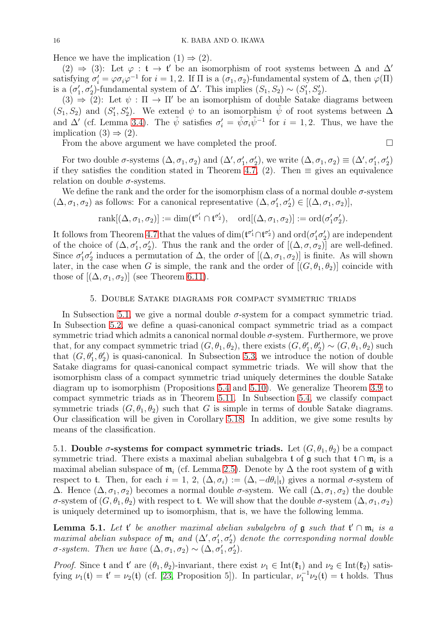Hence we have the implication  $(1) \Rightarrow (2)$ .

(2) ⇒ (3): Let  $\varphi : \mathfrak{t} \to \mathfrak{t}'$  be an isomorphism of root systems between  $\Delta$  and  $\Delta'$ satisfying  $\sigma'_i = \varphi \sigma_i \varphi^{-1}$  for  $i = 1, 2$ . If  $\Pi$  is a  $(\sigma_1, \sigma_2)$ -fundamental system of  $\Delta$ , then  $\varphi(\Pi)$ is a  $(\sigma'_1, \sigma'_2)$ -fundamental system of  $\Delta'$ . This implies  $(S_1, S_2) \sim (S'_1, S'_2)$ .

(3)  $\Rightarrow$  (2): Let  $\psi : \Pi \rightarrow \Pi'$  be an isomorphism of double Satake diagrams between  $(S_1, S_2)$  and  $(S'_1, S'_2)$ . We extend  $\psi$  to an isomorphism  $\tilde{\psi}$  of root systems between  $\Delta$ and  $\Delta'$  (cf. Lemma [3.4\)](#page-8-3). The  $\tilde{\psi}$  satisfies  $\sigma'_i = \tilde{\psi} \sigma_i \tilde{\psi}^{-1}$  for  $i = 1, 2$ . Thus, we have the implication  $(3) \Rightarrow (2)$ .

From the above argument we have completed the proof.  $\Box$ 

For two double  $\sigma$ -systems  $(\Delta, \sigma_1, \sigma_2)$  and  $(\Delta', \sigma'_1, \sigma'_2)$ , we write  $(\Delta, \sigma_1, \sigma_2) \equiv (\Delta', \sigma'_1, \sigma'_2)$ if they satisfies the condition stated in Theorem [4.7,](#page-14-2) (2). Then  $\equiv$  gives an equivalence relation on double  $\sigma$ -systems.

We define the rank and the order for the isomorphism class of a normal double  $\sigma$ -system  $(\Delta, \sigma_1, \sigma_2)$  as follows: For a canonical representative  $(\Delta, \sigma'_1, \sigma'_2) \in [(\Delta, \sigma_1, \sigma_2)],$ 

$$
\mathrm{rank}[(\Delta,\sigma_1,\sigma_2)] := \dim(\mathfrak{t}^{\sigma'_1} \cap \mathfrak{t}^{\sigma'_2}), \quad \mathrm{ord}[(\Delta,\sigma_1,\sigma_2)] := \mathrm{ord}(\sigma'_1\sigma'_2).
$$

It follows from Theorem [4.7](#page-14-2) that the values of  $\dim(\mathfrak{t}^{\sigma'_1} \cap \mathfrak{t}^{\sigma'_2})$  and  $\mathrm{ord}(\sigma'_1 \sigma'_2)$  are independent of the choice of  $(\Delta, \sigma'_1, \sigma'_2)$ . Thus the rank and the order of  $[(\Delta, \sigma, \sigma_2)]$  are well-defined. Since  $\sigma'_1 \sigma'_2$  induces a permutation of  $\Delta$ , the order of  $[(\Delta, \sigma_1, \sigma_2)]$  is finite. As will shown later, in the case when G is simple, the rank and the order of  $[(G, \theta_1, \theta_2)]$  coincide with those of  $[(\Delta, \sigma_1, \sigma_2)]$  (see Theorem [6.11\)](#page-29-1).

# 5. Double Satake diagrams for compact symmetric triads

<span id="page-15-0"></span>In Subsection [5.1,](#page-15-1) we give a normal double  $\sigma$ -system for a compact symmetric triad. In Subsection [5.2,](#page-16-0) we define a quasi-canonical compact symmetric triad as a compact symmetric triad which admits a canonical normal double  $\sigma$ -system. Furthermore, we prove that, for any compact symmetric triad  $(G, \theta_1, \theta_2)$ , there exists  $(G, \theta'_1, \theta'_2) \sim (G, \theta_1, \theta_2)$  such that  $(G, \theta_1', \theta_2')$  is quasi-canonical. In Subsection [5.3,](#page-18-1) we introduce the notion of double Satake diagrams for quasi-canonical compact symmetric triads. We will show that the isomorphism class of a compact symmetric triad uniquely determines the double Satake diagram up to isomorphism (Propositions [5.4](#page-16-1) and [5.10\)](#page-18-2). We generalize Theorem [3.9](#page-11-0) to compact symmetric triads as in Theorem [5.11.](#page-18-0) In Subsection [5.4,](#page-19-0) we classify compact symmetric triads  $(G, \theta_1, \theta_2)$  such that G is simple in terms of double Satake diagrams. Our classification will be given in Corollary [5.18.](#page-23-0) In addition, we give some results by means of the classification.

<span id="page-15-1"></span>5.1. Double  $\sigma$ -systems for compact symmetric triads. Let  $(G, \theta_1, \theta_2)$  be a compact symmetric triad. There exists a maximal abelian subalgebra t of  $\mathfrak g$  such that  $\mathfrak t \cap \mathfrak m_i$  is a maximal abelian subspace of  $m_i$  (cf. Lemma [2.5\)](#page-4-1). Denote by  $\Delta$  the root system of g with respect to t. Then, for each  $i = 1, 2, (\Delta, \sigma_i) := (\Delta, -d\theta_i|_t)$  gives a normal  $\sigma$ -system of  $\Delta$ . Hence  $(\Delta, \sigma_1, \sigma_2)$  becomes a normal double  $\sigma$ -system. We call  $(\Delta, \sigma_1, \sigma_2)$  the double σ-system of  $(G, \theta_1, \theta_2)$  with respect to t. We will show that the double σ-system  $(\Delta, \sigma_1, \sigma_2)$ is uniquely determined up to isomorphism, that is, we have the following lemma.

<span id="page-15-2"></span>**Lemma 5.1.** Let  $\mathfrak{t}'$  be another maximal abelian subalgebra of  $\mathfrak{g}$  such that  $\mathfrak{t}' \cap \mathfrak{m}_i$  is a maximal abelian subspace of  $\mathfrak{m}_i$  and  $(\Delta', \sigma'_1, \sigma'_2)$  denote the corresponding normal double  $\sigma$ -system. Then we have  $(\Delta, \sigma_1, \sigma_2) \sim (\Delta, \sigma'_1, \sigma'_2)$ .

*Proof.* Since t and t' are  $(\theta_1, \theta_2)$ -invariant, there exist  $\nu_1 \in \text{Int}(\mathfrak{k}_1)$  and  $\nu_2 \in \text{Int}(\mathfrak{k}_2)$  satisfying  $\nu_1(\mathbf{t}) = \mathbf{t}' = \nu_2(\mathbf{t})$  (cf. [\[23,](#page-33-15) Proposition 5]). In particular,  $\nu_1^{-1}\nu_2(\mathbf{t}) = \mathbf{t}$  holds. Thus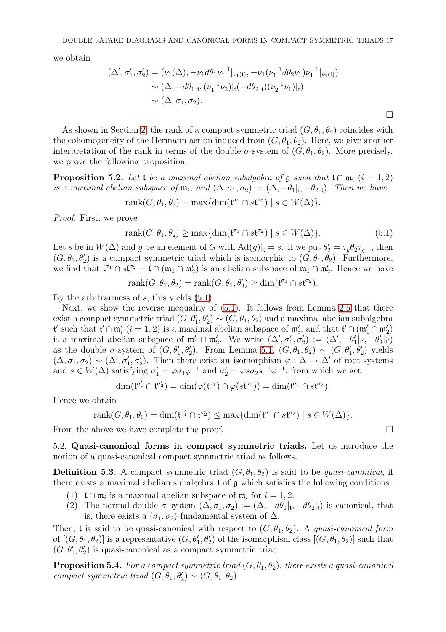we obtain

$$
(\Delta', \sigma'_1, \sigma'_2) = (\nu_1(\Delta), -\nu_1 d\theta_1 \nu_1^{-1}|_{\nu_1(\mathfrak{t})}, -\nu_1(\nu_1^{-1} d\theta_2 \nu_1) \nu_1^{-1}|_{\nu_1(\mathfrak{t})})
$$
  
\$\sim (\Delta, -d\theta\_1|\_{\mathfrak{t}}, (\nu\_1^{-1} \nu\_2)|\_{\mathfrak{t}}(-d\theta\_2|\_{\mathfrak{t}})(\nu\_2^{-1} \nu\_1)|\_{\mathfrak{t}}\$  
\$\sim (\Delta, \sigma\_1, \sigma\_2). \square\$

As shown in Section [2,](#page-2-0) the rank of a compact symmetric triad  $(G, \theta_1, \theta_2)$  coincides with the cohomogeneity of the Hermann action induced from  $(G, \theta_1, \theta_2)$ . Here, we give another interpretation of the rank in terms of the double  $\sigma$ -system of  $(G, \theta_1, \theta_2)$ . More precisely, we prove the following proposition.

<span id="page-16-4"></span>**Proposition 5.2.** Let t be a maximal abelian subalgebra of  $\mathfrak g$  such that  $\mathfrak t \cap \mathfrak m_i$  (i = 1, 2) is a maximal abelian subspace of  $\mathfrak{m}_i$ , and  $(\Delta, \sigma_1, \sigma_2) := (\Delta, -\theta_1|_t, -\theta_2|_t)$ . Then we have:

$$
rank(G, \theta_1, \theta_2) = max{dim(\mathfrak{t}^{\sigma_1} \cap s\mathfrak{t}^{\sigma_2}) \mid s \in W(\Delta)}.
$$

Proof. First, we prove

<span id="page-16-2"></span>
$$
rank(G, \theta_1, \theta_2) \ge \max\{ \dim(\mathfrak{t}^{\sigma_1} \cap s\mathfrak{t}^{\sigma_2}) \mid s \in W(\Delta) \}. \tag{5.1}
$$

Let s be in  $W(\Delta)$  and g be an element of G with  $Ad(g)|_t = s$ . If we put  $\theta_2' = \tau_g \theta_2 \tau_g^{-1}$ , then  $(G, \theta_1, \theta_2')$  is a compact symmetric triad which is isomorphic to  $(G, \theta_1, \theta_2)$ . Furthermore, we find that  $\mathfrak{t}^{\sigma_1} \cap s\mathfrak{t}^{\sigma_2} = \mathfrak{t} \cap (\mathfrak{m}_1 \cap \mathfrak{m}'_2)$  is an abelian subspace of  $\mathfrak{m}_1 \cap \mathfrak{m}'_2$ . Hence we have

$$
rank(G, \theta_1, \theta_2) = rank(G, \theta_1, \theta_2') \ge dim(\mathfrak{t}^{\sigma_1} \cap s\mathfrak{t}^{\sigma_2}).
$$

By the arbitrariness of s, this yields [\(5.1\)](#page-16-2).

Next, we show the reverse inequality of [\(5.1\)](#page-16-2). It follows from Lemma [2.5](#page-4-1) that there exist a compact symmetric triad  $(G, \theta_1', \theta_2') \sim (G, \theta_1, \theta_2)$  and a maximal abelian subalgebra **t'** such that **t'** ∩ **m'**<sub>i</sub> (*i* = 1, 2) is a maximal abelian subspace of **m'**<sub>i</sub>, and that **t'** ∩ (**m'**<sub>1</sub> ∩ **m'**<sub>2</sub>) is a maximal abelian subspace of  $\mathfrak{m}'_1 \cap \mathfrak{m}'_2$ . We write  $(\Delta', \sigma'_1, \sigma'_2) := (\Delta', -\theta'_1|_{\mathfrak{l}', \mathfrak{l}'} - \theta'_2|_{\mathfrak{l}'})$ as the double  $\sigma$ -system of  $(G, \theta'_1, \theta'_2)$ . From Lemma [5.1,](#page-15-2)  $(G, \theta_1, \theta_2) \sim (G, \theta'_1, \theta'_2)$  yields  $(\Delta, \sigma_1, \sigma_2) \sim (\Delta', \sigma'_1, \sigma'_2)$ . Then there exist an isomorphism  $\varphi : \Delta \to \Delta'$  of root systems and  $s \in W(\Delta)$  satisfying  $\sigma'_1 = \varphi \sigma_1 \varphi^{-1}$  and  $\sigma'_2 = \varphi s \sigma_2 s^{-1} \varphi^{-1}$ , from which we get

$$
\dim(\mathfrak{t}^{\sigma'_1}\cap\mathfrak{t}^{\sigma'_2})=\dim(\varphi(\mathfrak{t}^{\sigma_1})\cap\varphi(st^{\sigma_2}))=\dim(\mathfrak{t}^{\sigma_1}\cap st^{\sigma_2}).
$$

Hence we obtain

rank
$$
(G, \theta_1, \theta_2)
$$
 = dim $(\mathfrak{t}^{\sigma'_1} \cap \mathfrak{t}^{\sigma'_2}) \le \max{\dim(\mathfrak{t}^{\sigma_1} \cap s\mathfrak{t}^{\sigma_2}) \mid s \in W(\Delta)}$ .

<span id="page-16-0"></span>From the above we have complete the proof.

5.2. Quasi-canonical forms in compact symmetric triads. Let us introduce the notion of a quasi-canonical compact symmetric triad as follows.

<span id="page-16-3"></span>**Definition 5.3.** A compact symmetric triad  $(G, \theta_1, \theta_2)$  is said to be *quasi-canonical*, if there exists a maximal abelian subalgebra  $t$  of  $\alpha$  which satisfies the following conditions:

- (1)  $\mathfrak{t} \cap \mathfrak{m}_i$  is a maximal abelian subspace of  $\mathfrak{m}_i$  for  $i = 1, 2$ .
- (2) The normal double  $\sigma$ -system  $(\Delta, \sigma_1, \sigma_2) := (\Delta, -d\theta_1|_t, -d\theta_2|_t)$  is canonical, that is, there exists a  $(\sigma_1, \sigma_2)$ -fundamental system of  $\Delta$ .

Then, t is said to be quasi-canonical with respect to  $(G, \theta_1, \theta_2)$ . A quasi-canonical form of  $[(G, \theta_1, \theta_2)]$  is a representative  $(G, \theta'_1, \theta'_2)$  of the isomorphism class  $[(G, \theta_1, \theta_2)]$  such that  $(G, \theta_1', \theta_2')$  is quasi-canonical as a compact symmetric triad.

<span id="page-16-1"></span>**Proposition 5.4.** For a compact symmetric triad  $(G, \theta_1, \theta_2)$ , there exists a quasi-canonical compact symmetric triad  $(G, \theta_1, \theta'_2) \sim (G, \theta_1, \theta_2)$ .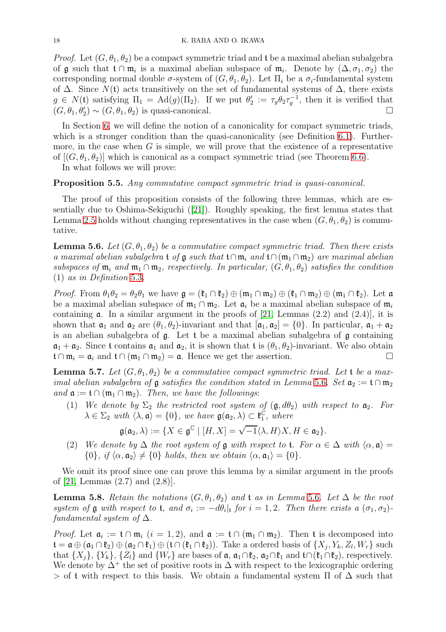*Proof.* Let  $(G, \theta_1, \theta_2)$  be a compact symmetric triad and t be a maximal abelian subalgebra of **g** such that  $t \cap m_i$  is a maximal abelian subspace of  $m_i$ . Denote by  $(\Delta, \sigma_1, \sigma_2)$  the corresponding normal double  $\sigma$ -system of  $(G, \theta_1, \theta_2)$ . Let  $\Pi_i$  be a  $\sigma_i$ -fundamental system of  $\Delta$ . Since  $N(t)$  acts transitively on the set of fundamental systems of  $\Delta$ , there exists  $g \in N(t)$  satisfying  $\Pi_1 = \text{Ad}(g)(\Pi_2)$ . If we put  $\theta_2' := \tau_g \theta_2 \tau_g^{-1}$ , then it is verified that  $(G, \theta_1, \theta_2') \sim (G, \theta_1, \theta_2)$  is quasi-canonical.

In Section [6,](#page-25-0) we will define the notion of a canonicality for compact symmetric triads, which is a stronger condition than the quasi-canonicality (see Definition [6.1\)](#page-26-0). Furthermore, in the case when  $G$  is simple, we will prove that the existence of a representative of  $[(G, \theta_1, \theta_2)]$  which is canonical as a compact symmetric triad (see Theorem [6.6\)](#page-27-0).

In what follows we will prove:

## <span id="page-17-2"></span>Proposition 5.5. Any commutative compact symmetric triad is quasi-canonical.

The proof of this proposition consists of the following three lemmas, which are essentially due to Oshima-Sekiguchi ([\[21\]](#page-33-18)). Roughly speaking, the first lemma states that Lemma [2.5](#page-4-1) holds without changing representatives in the case when  $(G, \theta_1, \theta_2)$  is commutative.

<span id="page-17-0"></span>**Lemma 5.6.** Let  $(G, \theta_1, \theta_2)$  be a commutative compact symmetric triad. Then there exists a maximal abelian subalgebra t of  $\mathfrak g$  such that t∩m<sub>i</sub> and t∩(m<sub>1</sub>∩m<sub>2</sub>) are maximal abelian subspaces of  $\mathfrak{m}_i$  and  $\mathfrak{m}_1 \cap \mathfrak{m}_2$ , respectively. In particular,  $(G, \theta_1, \theta_2)$  satisfies the condition (1) as in Definition [5.3](#page-16-3).

*Proof.* From  $\theta_1 \theta_2 = \theta_2 \theta_1$  we have  $\mathfrak{g} = (\mathfrak{k}_1 \cap \mathfrak{k}_2) \oplus (\mathfrak{m}_1 \cap \mathfrak{m}_2) \oplus (\mathfrak{k}_1 \cap \mathfrak{m}_2) \oplus (\mathfrak{m}_1 \cap \mathfrak{k}_2)$ . Let  $\mathfrak{a}$ be a maximal abelian subspace of  $\mathfrak{m}_1 \cap \mathfrak{m}_2$ . Let  $\mathfrak{a}_i$  be a maximal abelian subspace of  $\mathfrak{m}_i$ containing  $\alpha$ . In a similar argument in the proofs of [\[21,](#page-33-18) Lemmas (2.2) and (2.4)], it is shown that  $\mathfrak{a}_1$  and  $\mathfrak{a}_2$  are  $(\theta_1, \theta_2)$ -invariant and that  $[\mathfrak{a}_1, \mathfrak{a}_2] = \{0\}$ . In particular,  $\mathfrak{a}_1 + \mathfrak{a}_2$ is an abelian subalgebra of g. Let t be a maximal abelian subalgebra of g containing  $\mathfrak{a}_1 + \mathfrak{a}_2$ . Since t contains  $\mathfrak{a}_1$  and  $\mathfrak{a}_2$ , it is shown that t is  $(\theta_1, \theta_2)$ -invariant. We also obtain  $\mathfrak{t} \cap \mathfrak{m}_i = \mathfrak{a}_i$  and  $\mathfrak{t} \cap (\mathfrak{m}_1 \cap \mathfrak{m}_2) = \mathfrak{a}$ . Hence we get the assertion.

<span id="page-17-1"></span>**Lemma 5.7.** Let  $(G, \theta_1, \theta_2)$  be a commutative compact symmetric triad. Let t be a maximal abelian subalgebra of  $\mathfrak g$  satisfies the condition stated in Lemma [5](#page-17-0).6. Set  $\mathfrak a_2 := \mathfrak t \cap \mathfrak m_2$ and  $\mathfrak{a} := \mathfrak{t} \cap (\mathfrak{m}_1 \cap \mathfrak{m}_2)$ . Then, we have the followings:

(1) We denote by  $\Sigma_2$  the restricted root system of  $(\mathfrak{g}, d\theta_2)$  with respect to  $\mathfrak{a}_2$ . For  $\lambda \in \Sigma_2$  with  $\langle \lambda, \mathfrak{a} \rangle = \{0\}$ , we have  $\mathfrak{g}(\mathfrak{a}_2, \lambda) \subset \mathfrak{k}_1^{\mathfrak{C}}$  $_{1}^{\mathbb{C}},$  where

$$
\mathfrak{g}(\mathfrak{a}_2,\lambda):=\{X\in\mathfrak{g}^{\mathbb{C}}\mid [H,X]=\sqrt{-1}\langle \lambda,H\rangle X,H\in\mathfrak{a}_2\}.
$$

(2) We denote by  $\Delta$  the root system of g with respect to t. For  $\alpha \in \Delta$  with  $\langle \alpha, \mathfrak{a} \rangle =$  $\{0\}, \text{ if } \langle \alpha, \mathfrak{a}_2 \rangle \neq \{0\} \text{ holds, then we obtain } \langle \alpha, \mathfrak{a}_1 \rangle = \{0\}.$ 

We omit its proof since one can prove this lemma by a similar argument in the proofs of [\[21,](#page-33-18) Lemmas (2.7) and (2.8)].

**Lemma [5](#page-17-0).8.** Retain the notations  $(G, \theta_1, \theta_2)$  and t as in Lemma 5.6. Let  $\Delta$  be the root system of  $\mathfrak g$  with respect to  $\mathfrak t$ , and  $\sigma_i := -d\theta_i|_{\mathfrak t}$  for  $i = 1, 2$ . Then there exists a  $(\sigma_1, \sigma_2)$ fundamental system of  $\Delta$ .

*Proof.* Let  $\mathfrak{a}_i := \mathfrak{t} \cap \mathfrak{m}_i \ (i = 1, 2)$ , and  $\mathfrak{a} := \mathfrak{t} \cap (\mathfrak{m}_1 \cap \mathfrak{m}_2)$ . Then  $\mathfrak{t}$  is decomposed into  $\mathfrak{t} = \mathfrak{a} \oplus (\mathfrak{a}_1 \cap \mathfrak{k}_2) \oplus (\mathfrak{a}_2 \cap \mathfrak{k}_1) \oplus (\mathfrak{t} \cap (\mathfrak{k}_1 \cap \mathfrak{k}_2)).$  Take a ordered basis of  $\{X_j, Y_k, Z_l, W_r\}$  such that  $\{X_i\}$ ,  $\{Y_k\}$ ,  $\{Z_l\}$  and  $\{W_r\}$  are bases of  $\mathfrak{a}, \mathfrak{a}_1 \cap \mathfrak{k}_2$ ,  $\mathfrak{a}_2 \cap \mathfrak{k}_1$  and  $\mathfrak{t} \cap (\mathfrak{k}_1 \cap \mathfrak{k}_2)$ , respectively. We denote by  $\Delta^+$  the set of positive roots in  $\Delta$  with respect to the lexicographic ordering > of t with respect to this basis. We obtain a fundamental system  $\Pi$  of  $\Delta$  such that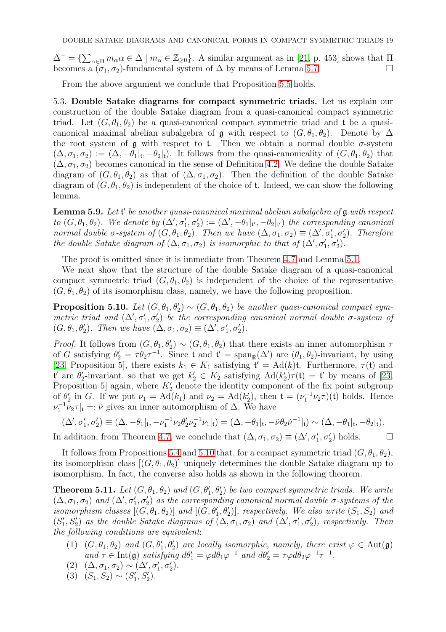$\Delta^+ = \{ \sum_{\alpha \in \Pi} m_\alpha \alpha \in \Delta \mid m_\alpha \in \mathbb{Z}_{\geq 0} \}.$  A similar argument as in [\[21,](#page-33-18) p. 453] shows that  $\Pi$ becomes a  $(\sigma_1, \sigma_2)$ -fundamental system of  $\Delta$  by means of Lemma [5.7.](#page-17-1)

<span id="page-18-1"></span>From the above argument we conclude that Proposition [5.5](#page-17-2) holds.

5.3. Double Satake diagrams for compact symmetric triads. Let us explain our construction of the double Satake diagram from a quasi-canonical compact symmetric triad. Let  $(G, \theta_1, \theta_2)$  be a quasi-canonical compact symmetric triad and t be a quasicanonical maximal abelian subalgebra of  $\mathfrak g$  with respect to  $(G, \theta_1, \theta_2)$ . Denote by  $\Delta$ the root system of  $g$  with respect to t. Then we obtain a normal double  $\sigma$ -system  $(\Delta, \sigma_1, \sigma_2) := (\Delta, -\theta_1|_{\mathfrak{t}}, -\theta_2|_{\mathfrak{t}})$ . It follows from the quasi-canonicality of  $(G, \theta_1, \theta_2)$  that  $(\Delta, \sigma_1, \sigma_2)$  becomes canonical in the sense of Definition [4.2.](#page-13-1) We define the double Satake diagram of  $(G, \theta_1, \theta_2)$  as that of  $(\Delta, \sigma_1, \sigma_2)$ . Then the definition of the double Satake diagram of  $(G, \theta_1, \theta_2)$  is independent of the choice of **t**. Indeed, we can show the following lemma.

**Lemma 5.9.** Let  $\mathfrak{t}'$  be another quasi-canonical maximal abelian subalgebra of  $\mathfrak{g}$  with respect to  $(G, \theta_1, \theta_2)$ . We denote by  $(\Delta', \sigma'_1, \sigma'_2) := (\Delta', -\theta_1|_{\mathfrak{l}',\mathfrak{l}'} - \theta_2|_{\mathfrak{l}'} )$  the corresponding canonical normal double  $\sigma$ -system of  $(G, \theta_1, \theta_2)$ . Then we have  $(\Delta, \sigma_1, \sigma_2) \equiv (\Delta', \sigma'_1, \sigma'_2)$ . Therefore the double Satake diagram of  $(\Delta, \sigma_1, \sigma_2)$  is isomorphic to that of  $(\Delta', \sigma'_1, \sigma'_2)$ .

The proof is omitted since it is immediate from Theorem [4.7](#page-14-2) and Lemma [5.1.](#page-15-2)

We next show that the structure of the double Satake diagram of a quasi-canonical compact symmetric triad  $(G, \theta_1, \theta_2)$  is independent of the choice of the representative  $(G, \theta_1, \theta_2)$  of its isomorphism class, namely, we have the following proposition.

<span id="page-18-2"></span>**Proposition 5.10.** Let  $(G, \theta_1, \theta_2) \sim (G, \theta_1, \theta_2)$  be another quasi-canonical compact symmetric triad and  $(\Delta', \sigma'_1, \sigma'_2)$  be the corresponding canonical normal double  $\sigma$ -system of  $(G, \theta_1, \theta'_2)$ . Then we have  $(\Delta, \sigma_1, \sigma_2) \equiv (\Delta', \sigma'_1, \sigma'_2)$ .

*Proof.* It follows from  $(G, \theta_1, \theta_2') \sim (G, \theta_1, \theta_2)$  that there exists an inner automorphism  $\tau$ of G satisfying  $\theta_2' = \tau \theta_2 \tau^{-1}$ . Since t and t' = span<sub>R</sub>( $\Delta'$ ) are  $(\theta_1, \theta_2)$ -invariant, by using [\[23,](#page-33-15) Proposition 5], there exists  $k_1 \in K_1$  satisfying  $\mathfrak{t}' = \text{Ad}(k)\mathfrak{t}$ . Furthermore,  $\tau(\mathfrak{t})$  and  ${\bf t}'$  are  $\theta'_2$ -invariant, so that we get  $k'_2 \in K_2$  satisfying  $\text{Ad}(k'_2)\tau({\bf t}) = {\bf t}'$  by means of [\[23,](#page-33-15) Proposition 5 again, where  $K'_{2}$  denote the identity component of the fix point subgroup of  $\theta_2'$  in G. If we put  $\nu_1 = \text{Ad}(k_1)$  and  $\nu_2 = \text{Ad}(k_2'),$  then  $\mathfrak{t} = (\nu_1^{-1} \nu_2 \tau)(\mathfrak{t})$  holds. Hence  $\nu_1^{-1}\nu_2\tau|_{\mathfrak{t}} =: \tilde{\nu}$  gives an inner automorphism of  $\Delta$ . We have

$$
(\Delta', \sigma'_1, \sigma'_2) \equiv (\Delta, -\theta_1|_{\mathfrak{t}}, -\nu_1^{-1}\nu_2\theta'_2\nu_2^{-1}\nu_1|_{\mathfrak{t}}) = (\Delta, -\theta_1|_{\mathfrak{t}}, -\tilde{\nu}\theta_2\tilde{\nu}^{-1}|_{\mathfrak{t}}) \sim (\Delta, -\theta_1|_{\mathfrak{t}}, -\theta_2|_{\mathfrak{t}}).
$$

In addition, from Theorem [4.7,](#page-14-2) we conclude that  $(\Delta, \sigma_1, \sigma_2) \equiv (\Delta', \sigma'_1, \sigma'_2)$  holds.  $\Box$ 

It follows from Propositions [5.4](#page-16-1) and [5.10](#page-18-2) that, for a compact symmetric triad  $(G, \theta_1, \theta_2)$ , its isomorphism class  $[(G, \theta_1, \theta_2)]$  uniquely determines the double Satake diagram up to isomorphism. In fact, the converse also holds as shown in the following theorem.

<span id="page-18-0"></span>**Theorem 5.11.** Let  $(G, \theta_1, \theta_2)$  and  $(G, \theta'_1, \theta'_2)$  be two compact symmetric triads. We write  $(\Delta, \sigma_1, \sigma_2)$  and  $(\Delta', \sigma_1', \sigma_2')$  as the corresponding canonical normal double  $\sigma$ -systems of the isomorphism classes  $[(G, \theta_1, \theta_2)]$  and  $[(G, \theta'_1, \theta'_2)]$ , respectively. We also write  $(S_1, S_2)$  and  $(S'_1, S'_2)$  as the double Satake diagrams of  $(\Delta, \sigma_1, \sigma_2)$  and  $(\Delta', \sigma'_1, \sigma'_2)$ , respectively. Then the following conditions are equivalent:

- (1)  $(G, \theta_1, \theta_2)$  and  $(G, \theta'_1, \theta'_2)$  are locally isomorphic, namely, there exist  $\varphi \in \text{Aut}(\mathfrak{g})$ and  $\tau \in \text{Int}(\mathfrak{g})$  satisfying  $d\theta'_1 = \varphi d\theta_1 \varphi^{-1}$  and  $d\theta'_2 = \tau \varphi d\theta_2 \varphi^{-1} \tau^{-1}$ .
- $(2) \quad (\Delta, \sigma_1, \sigma_2) \sim (\Delta', \sigma'_1, \sigma'_2).$
- (3)  $(S_1, S_2) \sim (S'_1, S'_2).$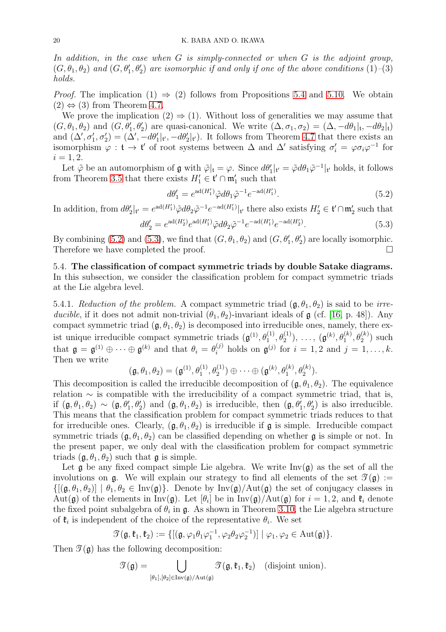In addition, in the case when  $G$  is simply-connected or when  $G$  is the adjoint group,  $(G, \theta_1, \theta_2)$  and  $(G, \theta'_1, \theta'_2)$  are isomorphic if and only if one of the above conditions  $(1)$ - $(3)$ holds.

*Proof.* The implication  $(1) \Rightarrow (2)$  follows from Propositions [5.4](#page-16-1) and [5.10.](#page-18-2) We obtain  $(2) \Leftrightarrow (3)$  from Theorem [4.7.](#page-14-2)

We prove the implication  $(2) \Rightarrow (1)$ . Without loss of generalities we may assume that  $(G, \theta_1, \theta_2)$  and  $(G, \theta'_1, \theta'_2)$  are quasi-canonical. We write  $(\Delta, \sigma_1, \sigma_2) = (\Delta, -d\theta_1|_t, -d\theta_2|_t)$ and  $(\Delta', \sigma'_1, \sigma'_2) = (\Delta', -d\theta'_1|_{\mathfrak{t}'}, -d\theta'_2|_{\mathfrak{t}'})$ . It follows from Theorem [4.7](#page-14-2) that there exists an isomorphism  $\varphi : \mathfrak{t} \to \mathfrak{t}'$  of root systems between  $\Delta$  and  $\Delta'$  satisfying  $\sigma'_i = \varphi \sigma_i \varphi^{-1}$  for  $i = 1, 2.$ 

Let  $\tilde{\varphi}$  be an automorphism of  $\mathfrak{g}$  with  $\tilde{\varphi}|_t = \varphi$ . Since  $d\theta'_1|_{t'} = \tilde{\varphi} d\theta_1 \tilde{\varphi}^{-1}|_{t'}$  holds, it follows from Theorem [3.5](#page-9-0) that there exists  $H'_1 \in \mathfrak{t}' \cap \mathfrak{m}'_1$  such that

<span id="page-19-1"></span>
$$
d\theta_1' = e^{\mathrm{ad}(H_1')} \tilde{\varphi} d\theta_1 \tilde{\varphi}^{-1} e^{-\mathrm{ad}(H_1')}.
$$
\n
$$
(5.2)
$$

In addition, from  $d\theta_2'|_{\mathfrak{t}'} = e^{ad(H_1')} \tilde{\varphi} d\theta_2 \tilde{\varphi}^{-1} e^{-ad(H_1')}|_{\mathfrak{t}'}$  there also exists  $H_2' \in \mathfrak{t}' \cap \mathfrak{m}'_2$  such that

<span id="page-19-2"></span>
$$
d\theta_2' = e^{\mathrm{ad}(H_2')} e^{\mathrm{ad}(H_1')} \tilde{\varphi} d\theta_2 \tilde{\varphi}^{-1} e^{-\mathrm{ad}(H_1')} e^{-\mathrm{ad}(H_2')}.
$$
\n(5.3)

By combining [\(5.2\)](#page-19-1) and [\(5.3\)](#page-19-2), we find that  $(G, \theta_1, \theta_2)$  and  $(G, \theta'_1, \theta'_2)$  are locally isomorphic. Therefore we have completed the proof.

<span id="page-19-0"></span>5.4. The classification of compact symmetric triads by double Satake diagrams. In this subsection, we consider the classification problem for compact symmetric triads at the Lie algebra level.

5.4.1. Reduction of the problem. A compact symmetric triad  $(\mathfrak{g}, \theta_1, \theta_2)$  is said to be irreducible, if it does not admit non-trivial  $(\theta_1, \theta_2)$ -invariant ideals of g (cf. [\[16,](#page-33-9) p. 48]). Any compact symmetric triad  $(\mathfrak{g}, \theta_1, \theta_2)$  is decomposed into irreducible ones, namely, there exist unique irreducible compact symmetric triads  $(\mathfrak{g}^{(1)}, \theta_1^{(1)}, \theta_2^{(1)}), \ldots, (\mathfrak{g}^{(k)}, \theta_1^{(k)}, \theta_2^{(k)})$  such that  $\mathfrak{g} = \mathfrak{g}^{(1)} \oplus \cdots \oplus \mathfrak{g}^{(k)}$  and that  $\theta_i = \theta_i^{(j)}$  holds on  $\mathfrak{g}^{(j)}$  for  $i = 1, 2$  and  $j = 1, \ldots, k$ . Then we write

$$
(\mathfrak{g},\theta_1,\theta_2)=(\mathfrak{g}^{(1)},\theta_1^{(1)},\theta_2^{(1)})\oplus\cdots\oplus(\mathfrak{g}^{(k)},\theta_1^{(k)},\theta_2^{(k)}).
$$

This decomposition is called the irreducible decomposition of  $(\mathfrak{g}, \theta_1, \theta_2)$ . The equivalence relation  $\sim$  is compatible with the irreducibility of a compact symmetric triad, that is, if  $(\mathfrak{g}, \theta_1, \theta_2) \sim (\mathfrak{g}, \theta'_1, \theta'_2)$  and  $(\mathfrak{g}, \theta_1, \theta_2)$  is irreducible, then  $(\mathfrak{g}, \theta'_1, \theta'_2)$  is also irreducible. This means that the classification problem for compact symmetric triads reduces to that for irreducible ones. Clearly,  $(\mathfrak{g}, \theta_1, \theta_2)$  is irreducible if  $\mathfrak{g}$  is simple. Irreducible compact symmetric triads  $(\mathfrak{g}, \theta_1, \theta_2)$  can be classified depending on whether  $\mathfrak{g}$  is simple or not. In the present paper, we only deal with the classification problem for compact symmetric triads  $(\mathfrak{a}, \theta_1, \theta_2)$  such that  $\mathfrak{a}$  is simple.

Let  $\mathfrak g$  be any fixed compact simple Lie algebra. We write  $\text{Inv}(\mathfrak g)$  as the set of all the involutions on  $\mathfrak{g}$ . We will explain our strategy to find all elements of the set  $\mathfrak{I}(\mathfrak{g}) :=$  $\{[(\mathfrak{g},\theta_1,\theta_2)] \mid \theta_1,\theta_2 \in \text{Inv}(\mathfrak{g})\}$ . Denote by  $\text{Inv}(\mathfrak{g})/\text{Aut}(\mathfrak{g})$  the set of conjugacy classes in  $\text{Aut}(\mathfrak{g})$  of the elements in  $\text{Inv}(\mathfrak{g})$ . Let  $[\theta_i]$  be in  $\text{Inv}(\mathfrak{g})/\text{Aut}(\mathfrak{g})$  for  $i = 1, 2$ , and  $\mathfrak{k}_i$  denote the fixed point subalgebra of  $\theta_i$  in  $\mathfrak{g}$ . As shown in Theorem [3.10,](#page-12-2) the Lie algebra structure of  $\mathfrak{k}_i$  is independent of the choice of the representative  $\theta_i$ . We set

$$
\mathcal{T}(\mathfrak{g},\mathfrak{k}_1,\mathfrak{k}_2):=\{[(\mathfrak{g},\varphi_1\theta_1\varphi_1^{-1},\varphi_2\theta_2\varphi_2^{-1})] \mid \varphi_1,\varphi_2\in \mathrm{Aut}(\mathfrak{g})\}.
$$

Then  $\mathcal{T}(\mathfrak{g})$  has the following decomposition:

$$
\mathcal{T}(\mathfrak{g}) = \bigcup_{[\theta_1], [\theta_2] \in \text{Inv}(\mathfrak{g})/\text{Aut}(\mathfrak{g})} \mathcal{T}(\mathfrak{g}, \mathfrak{k}_1, \mathfrak{k}_2) \quad \text{(disjoint union)}.
$$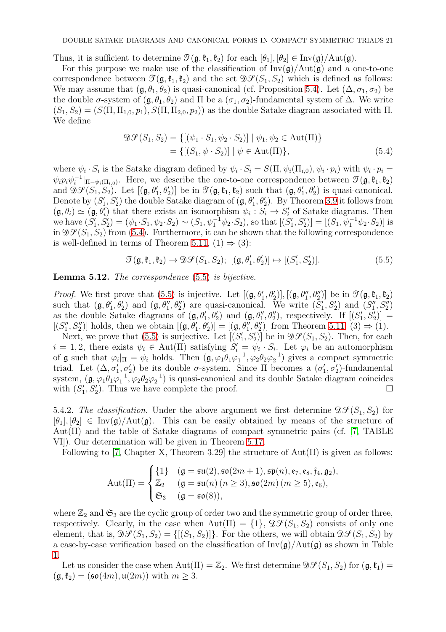Thus, it is sufficient to determine  $\mathcal{T}(\mathfrak{g},\mathfrak{k}_1,\mathfrak{k}_2)$  for each  $[\theta_1], [\theta_2] \in \text{Inv}(\mathfrak{g})/\text{Aut}(\mathfrak{g})$ .

For this purpose we make use of the classification of  $\text{Inv}(\mathfrak{g})/\text{Aut}(\mathfrak{g})$  and a one-to-one correspondence between  $\mathcal{T}(\mathfrak{g},\mathfrak{k}_1,\mathfrak{k}_2)$  and the set  $\mathcal{DF}(S_1, S_2)$  which is defined as follows: We may assume that  $(\mathfrak{g}, \theta_1, \theta_2)$  is quasi-canonical (cf. Proposition [5.4\)](#page-16-1). Let  $(\Delta, \sigma_1, \sigma_2)$  be the double  $\sigma$ -system of  $(\mathfrak{g}, \theta_1, \theta_2)$  and  $\Pi$  be a  $(\sigma_1, \sigma_2)$ -fundamental system of  $\Delta$ . We write  $(S_1, S_2) = (S(\Pi, \Pi_{1,0}, p_1), S(\Pi, \Pi_{2,0}, p_2))$  as the double Satake diagram associated with  $\Pi$ . We define

<span id="page-20-1"></span>
$$
\mathcal{D}\mathcal{S}(S_1, S_2) = \{ [(\psi_1 \cdot S_1, \psi_2 \cdot S_2)] | \psi_1, \psi_2 \in Aut(\Pi) \}
$$
  
= \{ [(S\_1, \psi \cdot S\_2)] | \psi \in Aut(\Pi) \}, \tag{5.4}

where  $\psi_i \cdot S_i$  is the Satake diagram defined by  $\psi_i \cdot S_i = S(\Pi, \psi_i(\Pi_{i,0}), \psi_i \cdot p_i)$  with  $\psi_i \cdot p_i =$  $\psi_i p_i \psi_i^{-1}|_{\Pi-\psi_i(\Pi_{i,0})}$ . Here, we describe the one-to-one correspondence between  $\mathcal{T}(\mathfrak{g},\mathfrak{k}_1,\mathfrak{k}_2)$ and  $\mathcal{DF}(S_1, S_2)$ . Let  $[(\mathfrak{g}, \theta'_1, \theta'_2)]$  be in  $\mathcal{T}(\mathfrak{g}, \mathfrak{k}_1, \mathfrak{k}_2)$  such that  $(\mathfrak{g}, \theta'_1, \theta'_2)$  is quasi-canonical. Denote by  $(S'_1, S'_2)$  the double Satake diagram of  $(\mathfrak{g}, \theta'_1, \theta'_2)$ . By Theorem [3.9](#page-11-0) it follows from  $(\mathfrak{g}, \theta_i) \simeq (\mathfrak{g}, \theta'_i)$  that there exists an isomorphism  $\psi_i : S_i \to S'_i$  of Satake diagrams. Then we have  $(S'_1, S'_2) = (\psi_1 \cdot S_1, \psi_2 \cdot S_2) \sim (S_1, \psi_1^{-1} \psi_2 \cdot S_2)$ , so that  $[(S'_1, S'_2)] = [(S_1, \psi_1^{-1} \psi_2 \cdot S_2)]$  is in  $\mathfrak{D}(\mathcal{S}_1, \mathcal{S}_2)$  from [\(5.4\)](#page-20-1). Furthermore, it can be shown that the following correspondence is well-defined in terms of Theorem [5.11,](#page-18-0)  $(1) \Rightarrow (3)$ :

<span id="page-20-2"></span>
$$
\mathcal{T}(\mathfrak{g}, \mathfrak{k}_1, \mathfrak{k}_2) \to \mathcal{D}\mathcal{S}(S_1, S_2); \; [(\mathfrak{g}, \theta'_1, \theta'_2)] \mapsto [S'_1, S'_2)]. \tag{5.5}
$$

<span id="page-20-0"></span>Lemma 5.12. The correspondence [\(5.5\)](#page-20-2) is bijective.

*Proof.* We first prove that [\(5.5\)](#page-20-2) is injective. Let  $[(\mathfrak{g}, \theta'_1, \theta'_2)], [(\mathfrak{g}, \theta''_1, \theta''_2)]$  be in  $\mathfrak{I}(\mathfrak{g}, \mathfrak{k}_1, \mathfrak{k}_2)$ such that  $(\mathfrak{g}, \theta'_1, \theta'_2)$  and  $(\mathfrak{g}, \theta''_1, \theta''_2)$  are quasi-canonical. We write  $(S'_1, S'_2)$  and  $(S''_1, S''_2)$ as the double Satake diagrams of  $(\mathfrak{g}, \theta'_1, \theta'_2)$  and  $(\mathfrak{g}, \theta''_1, \theta''_2)$ , respectively. If  $[(S'_1, S'_2)] =$  $[(S''_1, S''_2)]$  holds, then we obtain  $[(\mathfrak{g}, \theta'_1, \theta'_2)] = [(\mathfrak{g}, \theta''_1, \theta''_2)]$  from Theorem [5.11,](#page-18-0)  $(3) \Rightarrow (1)$ .

Next, we prove that [\(5.5\)](#page-20-2) is surjective. Let  $[(S'_1, S'_2)]$  be in  $\mathfrak{D} \mathcal{S}(S_1, S_2)$ . Then, for each  $i = 1, 2$ , there exists  $\psi_i \in \text{Aut}(\Pi)$  satisfying  $S'_i = \psi_i \cdot S_i$ . Let  $\varphi_i$  be an automorphism of **g** such that  $\varphi_i|_{\Pi} = \psi_i$  holds. Then  $(\mathfrak{g}, \varphi_1 \theta_1 \varphi_1^{-1}, \varphi_2 \theta_2 \varphi_2^{-1})$  gives a compact symmetric triad. Let  $(Δ, σ'_{1}, σ'_{2})$  be its double σ-system. Since Π becomes a  $(σ'_{1}, σ'_{2})$ -fundamental system,  $(\mathfrak{g}, \varphi_1 \theta_1 \varphi_1^{-1}, \varphi_2 \theta_2 \varphi_2^{-1})$  is quasi-canonical and its double Satake diagram coincides with  $(S'_1, S'_2)$ . Thus we have complete the proof.

5.4.2. The classification. Under the above argument we first determine  $\mathfrak{D}\mathcal{S}(S_1, S_2)$  for  $[\theta_1], [\theta_2] \in Inv(\mathfrak{g})/Aut(\mathfrak{g})$ . This can be easily obtained by means of the structure of  $Aut(\Pi)$  and the table of Satake diagrams of compact symmetric pairs (cf. [\[7,](#page-33-12) TABLE VI]). Our determination will be given in Theorem [5.17.](#page-22-0)

Following to [\[7,](#page-33-12) Chapter X, Theorem 3.29] the structure of  $Aut(\Pi)$  is given as follows:

$$
Aut(\Pi) = \begin{cases} \{1\} & (\mathfrak{g} = \mathfrak{su}(2), \mathfrak{so}(2m+1), \mathfrak{sp}(n), \mathfrak{e}_7, \mathfrak{e}_8, \mathfrak{f}_4, \mathfrak{g}_2), \\ \mathbb{Z}_2 & (\mathfrak{g} = \mathfrak{su}(n) \ (n \geq 3), \mathfrak{so}(2m) \ (m \geq 5), \mathfrak{e}_6), \\ \mathfrak{S}_3 & (\mathfrak{g} = \mathfrak{so}(8)), \end{cases}
$$

where  $\mathbb{Z}_2$  and  $\mathfrak{S}_3$  are the cyclic group of order two and the symmetric group of order three, respectively. Clearly, in the case when Aut( $\Pi$ ) = {1},  $\mathfrak{D}\mathcal{S}(S_1, S_2)$  consists of only one element, that is,  $\mathfrak{D}\mathcal{S}(S_1, S_2) = \{[(S_1, S_2)]\}$ . For the others, we will obtain  $\mathfrak{D}\mathcal{S}(S_1, S_2)$  by a case-by-case verification based on the classification of  $Inv(g)/Aut(g)$  as shown in Table [1.](#page-12-3)

Let us consider the case when  $Aut(\Pi) = \mathbb{Z}_2$ . We first determine  $\mathfrak{D}\mathcal{S}(S_1, S_2)$  for  $(\mathfrak{g}, \mathfrak{k}_1) =$  $(\mathfrak{g},\mathfrak{k}_2) = (\mathfrak{so}(4m),\mathfrak{u}(2m))$  with  $m \geq 3$ .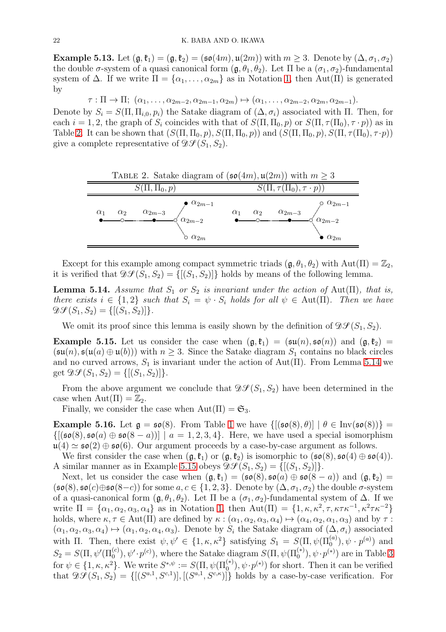<span id="page-21-3"></span>**Example 5.13.** Let  $(\mathfrak{g}, \mathfrak{k}_1) = (\mathfrak{g}, \mathfrak{k}_2) = (\mathfrak{so}(4m), \mathfrak{u}(2m))$  with  $m \geq 3$ . Denote by  $(\Delta, \sigma_1, \sigma_2)$ the double  $\sigma$ -system of a quasi canonical form  $(\mathfrak{g}, \theta_1, \theta_2)$ . Let  $\Pi$  be a  $(\sigma_1, \sigma_2)$ -fundamental system of  $\Delta$ . If we write  $\Pi = {\alpha_1, \ldots, \alpha_{2m}}$  as in Notation [1,](#page-13-2) then Aut( $\Pi$ ) is generated by

 $\tau : \Pi \to \Pi; \ (\alpha_1, \ldots, \alpha_{2m-2}, \alpha_{2m-1}, \alpha_{2m}) \mapsto (\alpha_1, \ldots, \alpha_{2m-2}, \alpha_{2m}, \alpha_{2m-1}).$ 

Denote by  $S_i = S(\Pi, \Pi_{i,0}, p_i)$  the Satake diagram of  $(\Delta, \sigma_i)$  associated with  $\Pi$ . Then, for each  $i = 1, 2$ , the graph of  $S_i$  coincides with that of  $S(\Pi, \Pi_0, p)$  or  $S(\Pi, \tau(\Pi_0), \tau \cdot p)$  as in Table [2.](#page-21-0) It can be shown that  $(S(\Pi, \Pi_0, p), S(\Pi, \Pi_0, p))$  and  $(S(\Pi, \Pi_0, p), S(\Pi, \tau(\Pi_0), \tau \cdot p))$ give a complete representative of  $\mathfrak{D}\mathcal{S}(S_1, S_2)$ .

<span id="page-21-0"></span>

| TABLE 2. Satake diagram of $(\mathfrak{so}(4m), \mathfrak{u}(2m))$ with $m \geq 3$                               |                                                                                                                                                                                                                                                                                                                                                                                                |                                            |  |  |
|------------------------------------------------------------------------------------------------------------------|------------------------------------------------------------------------------------------------------------------------------------------------------------------------------------------------------------------------------------------------------------------------------------------------------------------------------------------------------------------------------------------------|--------------------------------------------|--|--|
| $S(\Pi, \Pi_0, p)$                                                                                               | $S(\Pi, \tau(\Pi_0), \tau \cdot p))$                                                                                                                                                                                                                                                                                                                                                           |                                            |  |  |
| $\begin{array}{cc}\n\alpha_1 & \alpha_2 & \alpha_{2m-3} \\ \bullet & \circ & \bullet \qquad\bullet\n\end{array}$ | $\bullet$ $\alpha_{2m-1}$<br>$\begin{picture}(120,140)(-30,0) \put(0,0){\line(1,0){10}} \put(15,0){\line(1,0){10}} \put(15,0){\line(1,0){10}} \put(15,0){\line(1,0){10}} \put(15,0){\line(1,0){10}} \put(15,0){\line(1,0){10}} \put(15,0){\line(1,0){10}} \put(15,0){\line(1,0){10}} \put(15,0){\line(1,0){10}} \put(15,0){\line(1,0){10}} \put(15,0){\line(1,0){10}} \put(1$<br>$\alpha_{2m}$ | $\circ$ $\alpha_{2m-1}$<br>$\alpha_{2m-2}$ |  |  |

Except for this example among compact symmetric triads  $(\mathfrak{g}, \theta_1, \theta_2)$  with  $Aut(\Pi) = \mathbb{Z}_2$ , it is verified that  $\mathfrak{D}\mathcal{S}(S_1, S_2) = \{[(S_1, S_2)]\}$  holds by means of the following lemma.

<span id="page-21-1"></span>**Lemma 5.14.** Assume that  $S_1$  or  $S_2$  is invariant under the action of Aut( $\Pi$ ), that is, there exists  $i \in \{1,2\}$  such that  $S_i = \psi \cdot S_i$  holds for all  $\psi \in \text{Aut}(\Pi)$ . Then we have  $\mathcal{D}\mathcal{S}(S_1, S_2) = \{[(S_1, S_2)]\}.$ 

We omit its proof since this lemma is easily shown by the definition of  $\mathfrak{D}\mathcal{F}(S_1, S_2)$ .

<span id="page-21-2"></span>**Example 5.15.** Let us consider the case when  $(\mathfrak{g}, \mathfrak{k}_1) = (\mathfrak{su}(n), \mathfrak{so}(n))$  and  $(\mathfrak{g}, \mathfrak{k}_2) =$  $(\mathfrak{su}(n), \mathfrak{s}(\mathfrak{u}(a) \oplus \mathfrak{u}(b)))$  with  $n \geq 3$ . Since the Satake diagram  $S_1$  contains no black circles and no curved arrows,  $S_1$  is invariant under the action of Aut( $\Pi$ ). From Lemma [5.14](#page-21-1) we get  $\mathfrak{D}\mathcal{S}(S_1, S_2) = \{[(S_1, S_2)]\}.$ 

From the above argument we conclude that  $\mathfrak{D}\mathcal{S}(S_1, S_2)$  have been determined in the case when  $Aut(\Pi) = \mathbb{Z}_2$ .

Finally, we consider the case when  $Aut(\Pi) = \mathfrak{S}_3$ .

<span id="page-21-4"></span>**Example 5.16.** Let  $\mathfrak{g} = \mathfrak{so}(8)$ . From Table [1](#page-12-3) we have  $\{[(\mathfrak{so}(8), \theta)] \mid \theta \in \text{Inv}(\mathfrak{so}(8))\}$  $\{[(\mathfrak{so}(8), \mathfrak{so}(a) \oplus \mathfrak{so}(8-a))] \mid a = 1, 2, 3, 4\}.$  Here, we have used a special isomorphism  $\mathfrak{u}(4) \simeq \mathfrak{so}(2) \oplus \mathfrak{so}(6)$ . Our argument proceeds by a case-by-case argument as follows.

We first consider the case when  $(\mathfrak{g}, \mathfrak{k}_1)$  or  $(\mathfrak{g}, \mathfrak{k}_2)$  is isomorphic to  $(\mathfrak{so}(8), \mathfrak{so}(4) \oplus \mathfrak{so}(4))$ . A similar manner as in Example [5.15](#page-21-2) obeys  $\mathcal{D}\mathcal{L}(S_1, S_2) = \{[(S_1, S_2)]\}.$ 

Next, let us consider the case when  $(\mathfrak{g}, \mathfrak{k}_1) = (\mathfrak{so}(8), \mathfrak{so}(a) \oplus \mathfrak{so}(8-a))$  and  $(\mathfrak{g}, \mathfrak{k}_2) =$  $(\mathfrak{so}(8), \mathfrak{so}(c) \oplus \mathfrak{so}(8-c))$  for some  $a, c \in \{1, 2, 3\}$ . Denote by  $(\Delta, \sigma_1, \sigma_2)$  the double  $\sigma$ -system of a quasi-canonical form  $(\mathfrak{g}, \theta_1, \theta_2)$ . Let  $\Pi$  be a  $(\sigma_1, \sigma_2)$ -fundamental system of  $\Delta$ . If we write  $\Pi = {\alpha_1, \alpha_2, \alpha_3, \alpha_4}$  as in Notation [1,](#page-13-2) then  $Aut(\Pi) = {1, \kappa, \kappa^2, \tau, \kappa\tau\kappa^{-1}, \kappa^2\tau\kappa^{-2}}$ holds, where  $\kappa, \tau \in \text{Aut}(\Pi)$  are defined by  $\kappa : (\alpha_1, \alpha_2, \alpha_3, \alpha_4) \mapsto (\alpha_4, \alpha_2, \alpha_1, \alpha_3)$  and by  $\tau$ :  $(\alpha_1, \alpha_2, \alpha_3, \alpha_4) \mapsto (\alpha_1, \alpha_2, \alpha_4, \alpha_3)$ . Denote by  $S_i$  the Satake diagram of  $(\Delta, \sigma_i)$  associated with  $\Pi$ . Then, there exist  $\psi, \psi' \in \{1, \kappa, \kappa^2\}$  satisfying  $S_1 = S(\Pi, \psi(\Pi_0^{(a)}), \psi \cdot p^{(a)})$  and  $S_2 = S(\Pi, \psi'(\Pi_0^{(c)}), \psi' \cdot p^{(c)})$ , where the Satake diagram  $S(\Pi, \psi(\Pi_0^{(*)}), \psi \cdot p^{(*)})$  are in Table [3](#page-22-1) for  $\psi \in \{1, \kappa, \kappa^2\}$ . We write  $S^{*,\psi} := S(\Pi, \psi(\Pi_0^{(*)}), \psi \cdot p^{(*)})$  for short. Then it can be verified that  $\mathcal{D}\mathcal{S}(S_1, S_2) = \{[(S^{a,1}, S^{c,1})], [(S^{a,1}, S^{c,\kappa})]\}\$  holds by a case-by-case verification. For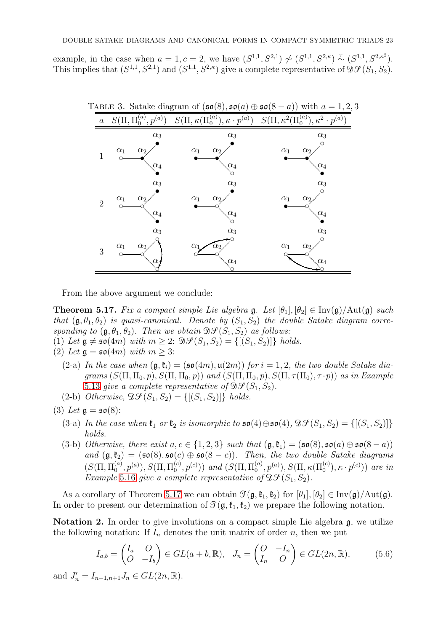example, in the case when  $a = 1, c = 2$ , we have  $(S^{1,1}, S^{2,1}) \nsim (S^{1,1}, S^{2,\kappa}) \stackrel{\tau}{\sim} (S^{1,1}, S^{2,\kappa})$ . This implies that  $(S^{1,1}, S^{2,1})$  and  $(S^{1,1}, S^{2,\kappa})$  give a complete representative of  $\mathfrak{D}\mathcal{S}(S_1, S_2)$ .

<span id="page-22-1"></span>

From the above argument we conclude:

<span id="page-22-0"></span>**Theorem 5.17.** Fix a compact simple Lie algebra g. Let  $[\theta_1], [\theta_2] \in \text{Inv}(\mathfrak{g})/\text{Aut}(\mathfrak{g})$  such that  $(\mathfrak{g}, \theta_1, \theta_2)$  is quasi-canonical. Denote by  $(S_1, S_2)$  the double Satake diagram corresponding to  $(\mathfrak{g}, \theta_1, \theta_2)$ . Then we obtain  $\mathfrak{D} \mathcal{S}(S_1, S_2)$  as follows:

(1) Let  $\mathfrak{g} \neq \mathfrak{so}(4m)$  with  $m \geq 2$ :  $\mathfrak{D}\mathcal{S}(S_1, S_2) = \{[(S_1, S_2)]\}$  holds.

(2) Let 
$$
\mathfrak{g} = \mathfrak{so}(4m)
$$
 with  $m \geq 3$ :

- (2-a) In the case when  $(\mathfrak{g},\mathfrak{k}_i) = (\mathfrak{so}(4m),\mathfrak{u}(2m))$  for  $i = 1,2$ , the two double Satake diagrams  $(S(\Pi, \Pi_0, p), S(\Pi, \Pi_0, p))$  and  $(S(\Pi, \Pi_0, p), S(\Pi, \tau(\Pi_0), \tau \cdot p))$  as in Example [5.13](#page-21-3) give a complete representative of  $\mathfrak{D} \mathcal{S} (S_1, S_2)$ .
- (2-b) Otherwise,  $\mathfrak{D} \mathcal{S}(S_1, S_2) = \{[(S_1, S_2)]\}$  holds.
- (3) Let  $\mathfrak{g} = \mathfrak{so}(8)$ :
	- (3-a) In the case when  $\mathfrak{k}_1$  or  $\mathfrak{k}_2$  is isomorphic to  $\mathfrak{so}(4) \oplus \mathfrak{so}(4)$ ,  $\mathfrak{DS}(S_1, S_2) = \{[(S_1, S_2)]\}$ holds.
	- (3-b) Otherwise, there exist  $a, c \in \{1, 2, 3\}$  such that  $(\mathfrak{g}, \mathfrak{k}_1) = (\mathfrak{so}(8), \mathfrak{so}(a) \oplus \mathfrak{so}(8-a))$ and  $(\mathfrak{g},\mathfrak{k}_2) = (\mathfrak{so}(8),\mathfrak{so}(c) \oplus \mathfrak{so}(8-c)).$  Then, the two double Satake diagrams  $(S(\Pi, \Pi_0^{(a)})$  $_{0}^{(a)},p^{(a)}),S(\Pi,\Pi_{0}^{(c)}$  $_{0}^{(c)},p^{(c)})$ ) and  $(S(\Pi,\Pi_{0}^{(a)})$  $\binom{a}{0}, p^{(a)}), S(\Pi, \kappa(\Pi_0^{(c)}), \kappa \cdot p^{(c)}))$  are in Example [5.16](#page-21-4) give a complete representative of  $\mathfrak{D}\mathcal{S}(S_1, S_2)$ .

As a corollary of Theorem [5.17](#page-22-0) we can obtain  $\mathcal{T}(\mathfrak{g},\mathfrak{k}_1,\mathfrak{k}_2)$  for  $[\theta_1], [\theta_2] \in \text{Inv}(\mathfrak{g})/\text{Aut}(\mathfrak{g})$ . In order to present our determination of  $\mathcal{T}(\mathfrak{g},\mathfrak{k}_1,\mathfrak{k}_2)$  we prepare the following notation.

**Notation 2.** In order to give involutions on a compact simple Lie algebra  $\mathfrak{g}$ , we utilize the following notation: If  $I_n$  denotes the unit matrix of order n, then we put

<span id="page-22-2"></span>
$$
I_{a,b} = \begin{pmatrix} I_a & O \\ O & -I_b \end{pmatrix} \in GL(a+b, \mathbb{R}), \quad J_n = \begin{pmatrix} O & -I_n \\ I_n & O \end{pmatrix} \in GL(2n, \mathbb{R}), \tag{5.6}
$$

and  $J'_n = I_{n-1,n+1} J_n \in GL(2n, \mathbb{R})$ .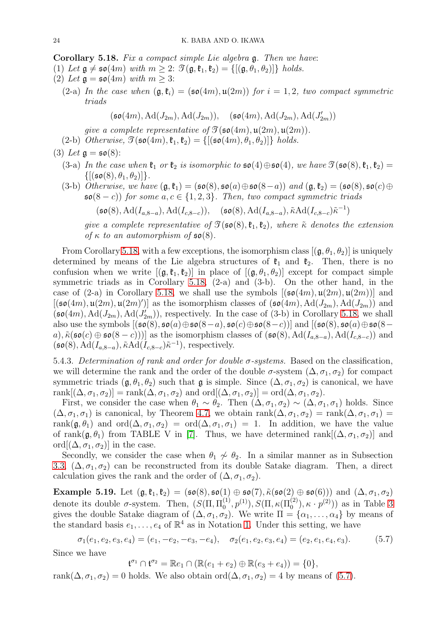<span id="page-23-0"></span>Corollary 5.18. Fix a compact simple Lie algebra g. Then we have:

- (1) Let  $\mathfrak{g} \neq \mathfrak{so}(4m)$  with  $m \geq 2$ :  $\mathfrak{I}(\mathfrak{g}, \mathfrak{k}_1, \mathfrak{k}_2) = \{[(\mathfrak{g}, \theta_1, \theta_2)]\}$  holds.
- (2) Let  $\mathfrak{g} = \mathfrak{so}(4m)$  with  $m > 3$ :
	- (2-a) In the case when  $(\mathfrak{g},\mathfrak{k}_i) = (\mathfrak{so}(4m),\mathfrak{u}(2m))$  for  $i = 1,2$ , two compact symmetric triads

$$
(\mathfrak{so}(4m), \mathrm{Ad}(J_{2m}), \mathrm{Ad}(J_{2m})), \quad (\mathfrak{so}(4m), \mathrm{Ad}(J_{2m}), \mathrm{Ad}(J'_{2m}))
$$

qive a complete representative of  $\mathfrak{I}(\mathfrak{so}(4m), \mathfrak{u}(2m), \mathfrak{u}(2m))$ .

(2-b) Otherwise,  $\mathfrak{I}(\mathfrak{so}(4m),\mathfrak{k}_1,\mathfrak{k}_2) = \{[(\mathfrak{so}(4m),\theta_1,\theta_2)]\}$  holds.

(3) Let 
$$
\mathfrak{g} = \mathfrak{so}(8)
$$
:

- (3-a) In the case when  $\mathfrak{k}_1$  or  $\mathfrak{k}_2$  is isomorphic to  $\mathfrak{so}(4) \oplus \mathfrak{so}(4)$ , we have  $\mathfrak{I}(\mathfrak{so}(8), \mathfrak{k}_1, \mathfrak{k}_2)$  =  $\{[(\mathfrak{so}(8), \theta_1, \theta_2)]\}.$
- (3-b) Otherwise, we have  $(\mathfrak{g}, \mathfrak{k}_1) = (\mathfrak{so}(8), \mathfrak{so}(a) \oplus \mathfrak{so}(8-a))$  and  $(\mathfrak{g}, \mathfrak{k}_2) = (\mathfrak{so}(8), \mathfrak{so}(c) \oplus$  $\mathfrak{so}(8-c)$  for some  $a, c \in \{1, 2, 3\}$ . Then, two compact symmetric triads

 $(\mathfrak{so}(8), \mathrm{Ad}(I_{a,8-a}), \mathrm{Ad}(I_{c,8-c})), \quad (\mathfrak{so}(8), \mathrm{Ad}(I_{a,8-a}), \tilde{\kappa} \mathrm{Ad}(I_{c,8-c})\tilde{\kappa}^{-1})$ 

give a complete representative of  $\mathcal{T}(\mathfrak{so}(8), \mathfrak{k}_1, \mathfrak{k}_2)$ , where  $\tilde{\kappa}$  denotes the extension of  $\kappa$  to an automorphism of  $\mathfrak{so}(8)$ .

From Corollary [5.18,](#page-23-0) with a few exceptions, the isomorphism class  $[(\mathfrak{g}, \theta_1, \theta_2)]$  is uniquely determined by means of the Lie algebra structures of  $\mathfrak{k}_1$  and  $\mathfrak{k}_2$ . Then, there is no confusion when we write  $[(\mathfrak{g},\mathfrak{k}_1,\mathfrak{k}_2)]$  in place of  $[(\mathfrak{g},\theta_1,\theta_2)]$  except for compact simple symmetric triads as in Corollary [5.18,](#page-23-0) (2-a) and (3-b). On the other hand, in the case of (2-a) in Corollary [5.18,](#page-23-0) we shall use the symbols  $[(\mathfrak{so}(4m), \mathfrak{u}(2m), \mathfrak{u}(2m))]$  and  $[(\mathfrak{so}(4m), \mathfrak{u}(2m), \mathfrak{u}(2m)')]$  as the isomorphism classes of  $(\mathfrak{so}(4m), \mathrm{Ad}(J_{2m}), \mathrm{Ad}(J_{2m}))$  and  $(\mathfrak{so}(4m), \mathrm{Ad}(J_{2m}), \mathrm{Ad}(J'_{2m}))$ , respectively. In the case of (3-b) in Corollary [5.18,](#page-23-0) we shall also use the symbols  $[(\mathfrak{so}(8), \mathfrak{so}(a) \oplus \mathfrak{so}(8-a), \mathfrak{so}(c) \oplus \mathfrak{so}(8-c))]$  and  $[(\mathfrak{so}(8), \mathfrak{so}(a) \oplus \mathfrak{so}(8-c))]$ a),  $\tilde{\kappa}(\mathfrak{so}(c) \oplus \mathfrak{so}(8-c))$  as the isomorphism classes of  $(\mathfrak{so}(8), \mathrm{Ad}(I_{a,8-a}), \mathrm{Ad}(I_{c,8-c}))$  and  $(\mathfrak{so}(8), \mathrm{Ad}(I_{a,8-a}), \tilde{\kappa} \mathrm{Ad}(I_{c,8-c})\tilde{\kappa}^{-1}),$  respectively.

5.4.3. Determination of rank and order for double  $\sigma$ -systems. Based on the classification, we will determine the rank and the order of the double  $\sigma$ -system  $(\Delta, \sigma_1, \sigma_2)$  for compact symmetric triads  $(\mathfrak{g}, \theta_1, \theta_2)$  such that  $\mathfrak{g}$  is simple. Since  $(\Delta, \sigma_1, \sigma_2)$  is canonical, we have rank $[(\Delta, \sigma_1, \sigma_2)] = \text{rank}(\Delta, \sigma_1, \sigma_2)$  and  $\text{ord}[(\Delta, \sigma_1, \sigma_2)] = \text{ord}(\Delta, \sigma_1, \sigma_2)$ .

First, we consider the case when  $\theta_1 \sim \theta_2$ . Then  $(\Delta, \sigma_1, \sigma_2) \sim (\Delta, \sigma_1, \sigma_1)$  holds. Since  $(\Delta, \sigma_1, \sigma_1)$  is canonical, by Theorem [4.7,](#page-14-2) we obtain rank $(\Delta, \sigma_1, \sigma_2)$  = rank $(\Delta, \sigma_1, \sigma_1)$  = rank $(\mathfrak{g}, \theta_1)$  and ord $(\Delta, \sigma_1, \sigma_2)$  = ord $(\Delta, \sigma_1, \sigma_1)$  = 1. In addition, we have the value of rank $(\mathfrak{g}, \theta_1)$  from TABLE V in [\[7\]](#page-33-12). Thus, we have determined rank $[(\Delta, \sigma_1, \sigma_2)]$  and ord $[(\Delta, \sigma_1, \sigma_2)]$  in the case.

Secondly, we consider the case when  $\theta_1 \not\sim \theta_2$ . In a similar manner as in Subsection [3.3,](#page-7-1)  $(\Delta, \sigma_1, \sigma_2)$  can be reconstructed from its double Satake diagram. Then, a direct calculation gives the rank and the order of  $(\Delta, \sigma_1, \sigma_2)$ .

Example 5.19. Let  $(\mathfrak{g}, \mathfrak{k}_1, \mathfrak{k}_2) = (\mathfrak{so}(8), \mathfrak{so}(1) \oplus \mathfrak{so}(7), \tilde{\kappa}(\mathfrak{so}(2) \oplus \mathfrak{so}(6)))$  and  $(\Delta, \sigma_1, \sigma_2)$ denote its double  $\sigma$ -system. Then,  $(S(\Pi, \Pi_0^{(1)}))$  $\mathcal{O}(1, p^{(1)}), S(\Pi, \kappa(\Pi_0^{(2)}), \kappa \cdot p^{(2)}))$  as in Table [3](#page-22-1) gives the double Satake diagram of  $(\Delta, \sigma_1, \sigma_2)$ . We write  $\Pi = {\alpha_1, \ldots, \alpha_4}$  by means of the standard basis  $e_1, \ldots, e_4$  of  $\mathbb{R}^4$  as in Notation [1.](#page-13-2) Under this setting, we have

<span id="page-23-1"></span> $\sigma_1(e_1, e_2, e_3, e_4) = (e_1, -e_2, -e_3, -e_4), \quad \sigma_2(e_1, e_2, e_3, e_4) = (e_2, e_1, e_4, e_3).$  (5.7)

Since we have

 $\mathfrak{t}^{\sigma_1} \cap \mathfrak{t}^{\sigma_2} = \mathbb{R} e_1 \cap (\mathbb{R}(e_1 + e_2) \oplus \mathbb{R}(e_3 + e_4)) = \{0\},\$ 

rank $(\Delta, \sigma_1, \sigma_2) = 0$  holds. We also obtain ord $(\Delta, \sigma_1, \sigma_2) = 4$  by means of [\(5.7\)](#page-23-1).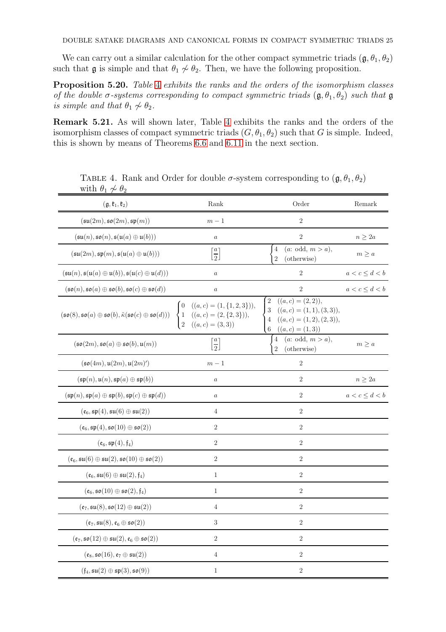We can carry out a similar calculation for the other compact symmetric triads  $(\mathfrak{g}, \theta_1, \theta_2)$ such that  $\mathfrak g$  is simple and that  $\theta_1 \nsim \theta_2$ . Then, we have the following proposition.

Proposition 5.20. Table [4](#page-24-0) exhibits the ranks and the orders of the isomorphism classes of the double  $\sigma$ -systems corresponding to compact symmetric triads  $(\mathfrak{g}, \theta_1, \theta_2)$  such that  $\mathfrak{g}$ is simple and that  $\theta_1 \not\sim \theta_2$ .

<span id="page-24-1"></span>Remark 5.21. As will shown later, Table [4](#page-24-0) exhibits the ranks and the orders of the isomorphism classes of compact symmetric triads  $(G, \theta_1, \theta_2)$  such that G is simple. Indeed, this is shown by means of Theorems [6.6](#page-27-0) and [6.11](#page-29-1) in the next section.

| with $v_1 \nsim v_2$                                                                                                             |                                                                                                                    |                                                                                                                                                             |                    |
|----------------------------------------------------------------------------------------------------------------------------------|--------------------------------------------------------------------------------------------------------------------|-------------------------------------------------------------------------------------------------------------------------------------------------------------|--------------------|
| $(\mathfrak{g},\mathfrak{k}_1,\mathfrak{k}_2)$                                                                                   | Rank                                                                                                               | Order                                                                                                                                                       | Remark             |
| $(\mathfrak{su}(2m), \mathfrak{so}(2m), \mathfrak{sp}(m))$                                                                       | $m-1\,$                                                                                                            | $\overline{2}$                                                                                                                                              |                    |
| $(\mathfrak{su}(n), \mathfrak{so}(n), \mathfrak{s}(\mathfrak{u}(a) \oplus \mathfrak{u}(b)))$                                     | $\boldsymbol{a}$                                                                                                   | $\sqrt{2}$                                                                                                                                                  | $n\geq 2a$         |
| $(\mathfrak{su}(2m), \mathfrak{sp}(m), \mathfrak{s}(\mathfrak{u}(a) \oplus \mathfrak{u}(b)))$                                    | $\left[\frac{a}{2}\right]$                                                                                         | (a: odd, m > a),<br>$\overline{4}$<br>(otherwise)<br>$\overline{2}$                                                                                         | $m\geq a$          |
| $(\mathfrak{su}(n), \mathfrak{s}(\mathfrak{u}(a) \oplus \mathfrak{u}(b)), \mathfrak{s}(\mathfrak{u}(c) \oplus \mathfrak{u}(d)))$ | $\boldsymbol{a}$                                                                                                   | $\boldsymbol{2}$                                                                                                                                            | $a < c \leq d < b$ |
| $(\mathfrak{so}(n),\mathfrak{so}(a)\oplus\mathfrak{so}(b),\mathfrak{so}(c)\oplus\mathfrak{so}(d))$                               | $\boldsymbol{a}$                                                                                                   | $\sqrt{2}$                                                                                                                                                  | $a < c \leq d < b$ |
| $(\mathfrak{so}(8),\mathfrak{so}(a)\oplus\mathfrak{so}(b),\tilde{\kappa}(\mathfrak{so}(c)\oplus\mathfrak{so}(d)))$               | $((a, c) = (1, {1, 2, 3})),$<br>$\begin{cases}\n1 & ((a, c) = (2, {2, 3})), \\ 2 & ((a, c) = (3, 3))\n\end{cases}$ | $((a, c) = (2, 2)),$<br>2<br>$((a, c) = (1, 1), (3, 3)),$<br>3<br>$((a, c) = (1, 2), (2, 3)),$<br>$\overline{4}$<br>$\boldsymbol{6}$<br>$((a, c) = (1, 3))$ |                    |
| $(\mathfrak{so}(2m),\mathfrak{so}(a)\oplus\mathfrak{so}(b),\mathfrak{u}(m))$                                                     | $\left[\frac{a}{2}\right]$                                                                                         | (a: odd, m > a),<br>$\overline{4}$<br>$\overline{2}$<br>(otherwise)                                                                                         | $m \geq a$         |
| $(\mathfrak{so}(4m), \mathfrak{u}(2m), \mathfrak{u}(2m)')$                                                                       | $m-1$                                                                                                              | $\overline{2}$                                                                                                                                              |                    |
| $(\mathfrak{sp}(n), \mathfrak{u}(n), \mathfrak{sp}(a) \oplus \mathfrak{sp}(b))$                                                  | $\boldsymbol{a}$                                                                                                   | $\sqrt{2}$                                                                                                                                                  | $n \geq 2a$        |
| $(\mathfrak{sp}(n), \mathfrak{sp}(a) \oplus \mathfrak{sp}(b), \mathfrak{sp}(c) \oplus \mathfrak{sp}(d))$                         | $\boldsymbol{a}$                                                                                                   | $\overline{2}$                                                                                                                                              | $a < c \leq d < b$ |
| $(\mathfrak{e}_6, \mathfrak{sp}(4), \mathfrak{su}(6) \oplus \mathfrak{su}(2))$                                                   | $\overline{4}$                                                                                                     | $\overline{2}$                                                                                                                                              |                    |
| $(\mathfrak{e}_6, \mathfrak{sp}(4), \mathfrak{so}(10) \oplus \mathfrak{so}(2))$                                                  | $\overline{2}$                                                                                                     | $\sqrt{2}$                                                                                                                                                  |                    |
| $(\mathfrak{e}_6, \mathfrak{sp}(4), \mathfrak{f}_4)$                                                                             | $\sqrt{2}$                                                                                                         | $\sqrt{2}$                                                                                                                                                  |                    |
| $(\mathfrak{e}_6, \mathfrak{su}(6) \oplus \mathfrak{su}(2), \mathfrak{so}(10) \oplus \mathfrak{so}(2))$                          | $\overline{2}$                                                                                                     | $\sqrt{2}$                                                                                                                                                  |                    |
| $(\mathfrak{e}_6, \mathfrak{su}(6) \oplus \mathfrak{su}(2), \mathfrak{f}_4)$                                                     | $\mathbf{1}$                                                                                                       | $\overline{2}$                                                                                                                                              |                    |
| $(\mathfrak{e}_6, \mathfrak{so}(10) \oplus \mathfrak{so}(2), \mathfrak{f}_4)$                                                    | $\mathbf{1}$                                                                                                       | $\sqrt{2}$                                                                                                                                                  |                    |
| $(\mathfrak{e}_7, \mathfrak{su}(8), \mathfrak{so}(12) \oplus \mathfrak{su}(2))$                                                  | $\overline{4}$                                                                                                     | $\sqrt{2}$                                                                                                                                                  |                    |
| $(\mathfrak{e}_7, \mathfrak{su}(8), \mathfrak{e}_6 \oplus \mathfrak{so}(2))$                                                     | $\sqrt{3}$                                                                                                         | $\sqrt{2}$                                                                                                                                                  |                    |
| $(\mathfrak{e}_7, \mathfrak{so}(12)\oplus \mathfrak{su}(2), \mathfrak{e}_6 \oplus \mathfrak{so}(2))$                             | $\overline{2}$                                                                                                     | $\overline{2}$                                                                                                                                              |                    |
| $(\mathfrak{e}_8, \mathfrak{so}(16), \mathfrak{e}_7 \oplus \mathfrak{su}(2))$                                                    | $\overline{4}$                                                                                                     | $\sqrt{2}$                                                                                                                                                  |                    |
| $(f_4, \mathfrak{su}(2) \oplus \mathfrak{sp}(3), \mathfrak{so}(9))$                                                              | $\mathbf{1}$                                                                                                       | $\boldsymbol{2}$                                                                                                                                            |                    |

<span id="page-24-0"></span>TABLE 4. Rank and Order for double  $\sigma$ -system corresponding to  $(\mathfrak{g}, \theta_1, \theta_2)$ with  $\theta_1 \sim \theta_2$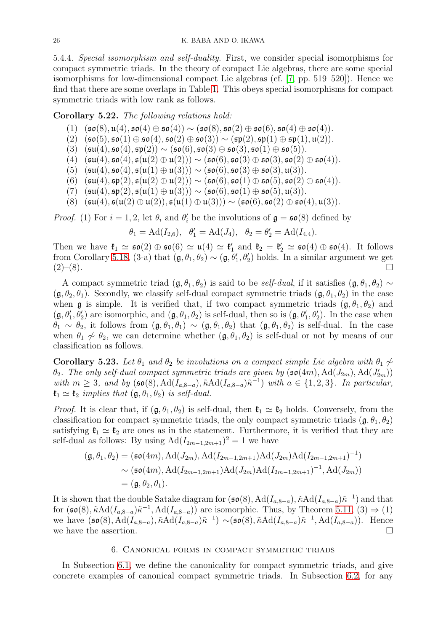5.4.4. Special isomorphism and self-duality. First, we consider special isomorphisms for compact symmetric triads. In the theory of compact Lie algebras, there are some special isomorphisms for low-dimensional compact Lie algebras (cf. [\[7,](#page-33-12) pp. 519–520]). Hence we find that there are some overlaps in Table [1.](#page-12-3) This obeys special isomorphisms for compact symmetric triads with low rank as follows.

# Corollary 5.22. The following relations hold:

- (1)  $(\mathfrak{so}(8), \mathfrak{u}(4), \mathfrak{so}(4) \oplus \mathfrak{so}(4)) \sim (\mathfrak{so}(8), \mathfrak{so}(2) \oplus \mathfrak{so}(6), \mathfrak{so}(4) \oplus \mathfrak{so}(4)).$ <br>(2)  $(\mathfrak{so}(5), \mathfrak{so}(1) \oplus \mathfrak{so}(4), \mathfrak{so}(2) \oplus \mathfrak{so}(3)) \sim (\mathfrak{sp}(2), \mathfrak{sp}(1) \oplus \mathfrak{sp}(1), \mathfrak{u}(2)).$
- (2)  $(\mathfrak{so}(5), \mathfrak{so}(1) \oplus \mathfrak{so}(4), \mathfrak{so}(2) \oplus \mathfrak{so}(3)) \sim (\mathfrak{sp}(2), \mathfrak{sp}(1) \oplus \mathfrak{sp}(1), \mathfrak{u}(2)).$ <br>(3)  $(\mathfrak{su}(4), \mathfrak{so}(4), \mathfrak{sp}(2)) \sim (\mathfrak{so}(6), \mathfrak{so}(3) \oplus \mathfrak{so}(3), \mathfrak{so}(1) \oplus \mathfrak{so}(5)).$
- (3)  $(\mathfrak{su}(4), \mathfrak{so}(4), \mathfrak{sp}(2)) \sim (\mathfrak{so}(6), \mathfrak{so}(3) \oplus \mathfrak{so}(3), \mathfrak{so}(1) \oplus \mathfrak{so}(5)).$ <br>(4)  $(\mathfrak{su}(4), \mathfrak{so}(4), \mathfrak{su}(2) \oplus \mathfrak{u}(2))) \sim (\mathfrak{so}(6), \mathfrak{so}(3) \oplus \mathfrak{so}(3), \mathfrak{so}(2))$
- $(\mathfrak{su}(4), \mathfrak{so}(4), \mathfrak{sl}(4)) \oplus \mathfrak{u}(2)) \rangle \sim (\mathfrak{so}(6), \mathfrak{so}(3) \oplus \mathfrak{so}(3), \mathfrak{so}(2) \oplus \mathfrak{so}(4)).$
- (5)  $(\mathfrak{su}(4), \mathfrak{so}(4), \mathfrak{sl}(1) \oplus \mathfrak{u}(3))) \sim (\mathfrak{so}(6), \mathfrak{so}(3) \oplus \mathfrak{so}(3), \mathfrak{u}(3)).$
- $(6)$   $(\mathfrak{su}(4), \mathfrak{sp}(2), \mathfrak{s}(\mathfrak{u}(2) \oplus \mathfrak{u}(2))) \sim (\mathfrak{so}(6), \mathfrak{so}(1) \oplus \mathfrak{so}(5), \mathfrak{so}(2) \oplus \mathfrak{so}(4)).$
- $(7)$   $(\mathfrak{su}(4), \mathfrak{sp}(2), \mathfrak{sl}(1) \oplus \mathfrak{u}(3))) \sim (\mathfrak{so}(6), \mathfrak{so}(1) \oplus \mathfrak{so}(5), \mathfrak{u}(3)).$
- (8)  $(\mathfrak{su}(4), \mathfrak{s}(\mathfrak{u}(2) \oplus \mathfrak{u}(2)), \mathfrak{s}(\mathfrak{u}(1) \oplus \mathfrak{u}(3))) \sim (\mathfrak{so}(6), \mathfrak{so}(2) \oplus \mathfrak{so}(4), \mathfrak{u}(3)).$

*Proof.* (1) For  $i = 1, 2$ , let  $\theta_i$  and  $\theta'_i$  be the involutions of  $\mathfrak{g} = \mathfrak{so}(8)$  defined by

$$
\theta_1 = \text{Ad}(I_{2,6}), \quad \theta'_1 = \text{Ad}(J_4), \quad \theta_2 = \theta'_2 = \text{Ad}(I_{4,4}).
$$

Then we have  $\mathfrak{k}_1 \simeq \mathfrak{so}(2) \oplus \mathfrak{so}(6) \simeq \mathfrak{u}(4) \simeq \mathfrak{k}'_1$  and  $\mathfrak{k}_2 = \mathfrak{k}'_2 \simeq \mathfrak{so}(4) \oplus \mathfrak{so}(4)$ . It follows from Corollary [5.18,](#page-23-0) (3-a) that  $(\mathfrak{g}, \theta_1, \theta_2) \sim (\mathfrak{g}, \theta'_1, \theta'_2)$  holds. In a similar argument we get  $(2)-(8).$ 

A compact symmetric triad  $(\mathfrak{g}, \theta_1, \theta_2)$  is said to be *self-dual*, if it satisfies  $(\mathfrak{g}, \theta_1, \theta_2) \sim$  $(\mathfrak{g}, \theta_2, \theta_1)$ . Secondly, we classify self-dual compact symmetric triads  $(\mathfrak{g}, \theta_1, \theta_2)$  in the case when g is simple. It is verified that, if two compact symmetric triads  $(\mathfrak{g}, \theta_1, \theta_2)$  and  $(\mathfrak{g}, \theta'_1, \theta'_2)$  are isomorphic, and  $(\mathfrak{g}, \theta_1, \theta_2)$  is self-dual, then so is  $(\mathfrak{g}, \theta'_1, \theta'_2)$ . In the case when  $\theta_1 \sim \theta_2$ , it follows from  $(\mathfrak{g}, \theta_1, \theta_1) \sim (\mathfrak{g}, \theta_1, \theta_2)$  that  $(\mathfrak{g}, \theta_1, \theta_2)$  is self-dual. In the case when  $\theta_1 \nsim \theta_2$ , we can determine whether  $(\mathfrak{g}, \theta_1, \theta_2)$  is self-dual or not by means of our classification as follows.

Corollary 5.23. Let  $\theta_1$  and  $\theta_2$  be involutions on a compact simple Lie algebra with  $\theta_1 \nsim$  $\theta_2$ . The only self-dual compact symmetric triads are given by  $(\mathfrak{so}(4m), \mathrm{Ad}(J_{2m}), \mathrm{Ad}(J'_{2m}))$ with  $m \geq 3$ , and by  $(\mathfrak{so}(8), \mathrm{Ad}(I_{a,8-a}), \tilde{\kappa} \mathrm{Ad}(I_{a,8-a})\tilde{\kappa}^{-1})$  with  $a \in \{1,2,3\}$ . In particular,  $\mathfrak{k}_1 \simeq \mathfrak{k}_2$  implies that  $(\mathfrak{g}, \theta_1, \theta_2)$  is self-dual.

*Proof.* It is clear that, if  $(\mathfrak{g}, \theta_1, \theta_2)$  is self-dual, then  $\mathfrak{k}_1 \simeq \mathfrak{k}_2$  holds. Conversely, from the classification for compact symmetric triads, the only compact symmetric triads  $(\mathfrak{g}, \theta_1, \theta_2)$ satisfying  $\mathfrak{k}_1 \simeq \mathfrak{k}_2$  are ones as in the statement. Furthermore, it is verified that they are self-dual as follows: By using  $\text{Ad}(I_{2m-1,2m+1})^2 = 1$  we have

$$
(\mathfrak{g}, \theta_1, \theta_2) = (\mathfrak{so}(4m), \mathrm{Ad}(J_{2m}), \mathrm{Ad}(I_{2m-1,2m+1}) \mathrm{Ad}(J_{2m}) \mathrm{Ad}(I_{2m-1,2m+1})^{-1})
$$
  
\n
$$
\sim (\mathfrak{so}(4m), \mathrm{Ad}(I_{2m-1,2m+1}) \mathrm{Ad}(J_{2m}) \mathrm{Ad}(I_{2m-1,2m+1})^{-1}, \mathrm{Ad}(J_{2m}))
$$
  
\n
$$
= (\mathfrak{g}, \theta_2, \theta_1).
$$

It is shown that the double Satake diagram for  $(\mathfrak{so}(8), \mathrm{Ad}(I_{a,8-a}), \tilde{\kappa} \mathrm{Ad}(I_{a,8-a})\tilde{\kappa}^{-1})$  and that for  $(\mathfrak{so}(8), \tilde{\kappa} \text{Ad}(I_{a,8-a})\tilde{\kappa}^{-1}, \text{Ad}(I_{a,8-a}))$  are isomorphic. Thus, by Theorem [5.11,](#page-18-0)  $(3) \Rightarrow (1)$ we have  $(\mathfrak{so}(8), \mathrm{Ad}(I_{a,8-a}), \tilde{\kappa} \mathrm{Ad}(I_{a,8-a})\tilde{\kappa}^{-1}) \sim (\mathfrak{so}(8), \tilde{\kappa} \mathrm{Ad}(I_{a,8-a})\tilde{\kappa}^{-1}, \mathrm{Ad}(I_{a,8-a})).$  Hence we have the assertion.  $\square$ 

#### 6. Canonical forms in compact symmetric triads

<span id="page-25-0"></span>In Subsection [6.1,](#page-26-1) we define the canonicality for compact symmetric triads, and give concrete examples of canonical compact symmetric triads. In Subsection [6.2,](#page-27-1) for any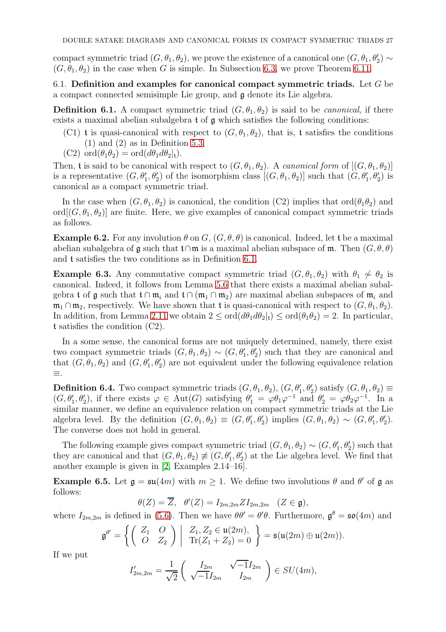compact symmetric triad  $(G, \theta_1, \theta_2)$ , we prove the existence of a canonical one  $(G, \theta_1, \theta'_2) \sim$  $(G, \theta_1, \theta_2)$  in the case when G is simple. In Subsection [6.3,](#page-29-0) we prove Theorem [6.11.](#page-29-1)

<span id="page-26-1"></span>6.1. Definition and examples for canonical compact symmetric triads. Let  $G$  be a compact connected semisimple Lie group, and g denote its Lie algebra.

<span id="page-26-0"></span>**Definition 6.1.** A compact symmetric triad  $(G, \theta_1, \theta_2)$  is said to be *canonical*, if there exists a maximal abelian subalgebra t of g which satisfies the following conditions:

- (C1) t is quasi-canonical with respect to  $(G, \theta_1, \theta_2)$ , that is, t satisfies the conditions  $(1)$  and  $(2)$  as in Definition [5.3.](#page-16-3)
- $(C2) \text{ ord}(\theta_1\theta_2) = \text{ord}(d\theta_1 d\theta_2|_t).$

Then, **t** is said to be canonical with respect to  $(G, \theta_1, \theta_2)$ . A *canonical form* of  $[(G, \theta_1, \theta_2)]$ is a representative  $(G, \theta_1', \theta_2')$  of the isomorphism class  $[(G, \theta_1, \theta_2)]$  such that  $(G, \theta_1', \theta_2')$  is canonical as a compact symmetric triad.

In the case when  $(G, \theta_1, \theta_2)$  is canonical, the condition  $(C2)$  implies that  $\text{ord}(\theta_1\theta_2)$  and ord $[(G, \theta_1, \theta_2)]$  are finite. Here, we give examples of canonical compact symmetric triads as follows.

<span id="page-26-3"></span>**Example 6.2.** For any involution  $\theta$  on  $G$ ,  $(G, \theta, \theta)$  is canonical. Indeed, let t be a maximal abelian subalgebra of  $\mathfrak g$  such that  $\mathfrak t \cap \mathfrak m$  is a maximal abelian subspace of  $\mathfrak m$ . Then  $(G, \theta, \theta)$ and t satisfies the two conditions as in Definition [6.1.](#page-26-0)

<span id="page-26-2"></span>**Example 6.3.** Any commutative compact symmetric triad  $(G, \theta_1, \theta_2)$  with  $\theta_1 \nsim \theta_2$  is canonical. Indeed, it follows from Lemma [5.6](#page-17-0) that there exists a maximal abelian subalgebra t of g such that  $t \cap m_i$  and  $t \cap (m_1 \cap m_2)$  are maximal abelian subspaces of  $m_i$  and  $\mathfrak{m}_1 \cap \mathfrak{m}_2$ , respectively. We have shown that t is quasi-canonical with respect to  $(G, \theta_1, \theta_2)$ . In addition, from Lemma [2.11](#page-5-2) we obtain  $2 \leq \text{ord}(d\theta_1 d\theta_2|_t) \leq \text{ord}(\theta_1 \theta_2) = 2$ . In particular, t satisfies the condition (C2).

In a some sense, the canonical forms are not uniquely determined, namely, there exist two compact symmetric triads  $(G, \theta_1, \theta_2) \sim (G, \theta'_1, \theta'_2)$  such that they are canonical and that  $(G, \theta_1, \theta_2)$  and  $(G, \theta'_1, \theta'_2)$  are not equivalent under the following equivalence relation ≡.

**Definition 6.4.** Two compact symmetric triads  $(G, \theta_1, \theta_2), (G, \theta'_1, \theta'_2)$  satisfy  $(G, \theta_1, \theta_2) \equiv$  $(G, \theta_1', \theta_2')$ , if there exists  $\varphi \in \text{Aut}(G)$  satisfying  $\theta_1' = \varphi \theta_1 \varphi^{-1}$  and  $\theta_2' = \varphi \theta_2 \varphi^{-1}$ . In a similar manner, we define an equivalence relation on compact symmetric triads at the Lie algebra level. By the definition  $(G, \theta_1, \theta_2) \equiv (G, \theta'_1, \theta'_2)$  implies  $(G, \theta_1, \theta_2) \sim (G, \theta'_1, \theta'_2)$ . The converse does not hold in general.

The following example gives compact symmetric triad  $(G, \theta_1, \theta_2) \sim (G, \theta'_1, \theta'_2)$  such that they are canonical and that  $(G, \theta_1, \theta_2) \neq (G, \theta'_1, \theta'_2)$  at the Lie algebra level. We find that another example is given in [\[2,](#page-32-2) Examples 2.14–16].

**Example 6.5.** Let  $\mathfrak{g} = \mathfrak{su}(4m)$  with  $m \geq 1$ . We define two involutions  $\theta$  and  $\theta'$  of  $\mathfrak{g}$  as follows:

$$
\theta(Z)=\overline{Z}, \quad \theta'(Z)=I_{2m,2m}ZI_{2m,2m} \quad (Z\in\mathfrak{g}),
$$

where  $I_{2m,2m}$  is defined in [\(5.6\)](#page-22-2). Then we have  $\theta\theta' = \theta'\theta$ . Furthermore,  $\mathfrak{g}^{\theta} = \mathfrak{so}(4m)$  and

$$
\mathfrak{g}^{\theta'} = \left\{ \left( \begin{array}{cc} Z_1 & O \\ O & Z_2 \end{array} \right) \middle| \begin{array}{c} Z_1, Z_2 \in \mathfrak{u}(2m), \\ \text{Tr}(Z_1 + Z_2) = 0 \end{array} \right\} = \mathfrak{s}(\mathfrak{u}(2m) \oplus \mathfrak{u}(2m)).
$$

If we put

$$
I'_{2m,2m} = \frac{1}{\sqrt{2}} \begin{pmatrix} I_{2m} & \sqrt{-1}I_{2m} \\ \sqrt{-1}I_{2m} & I_{2m} \end{pmatrix} \in SU(4m),
$$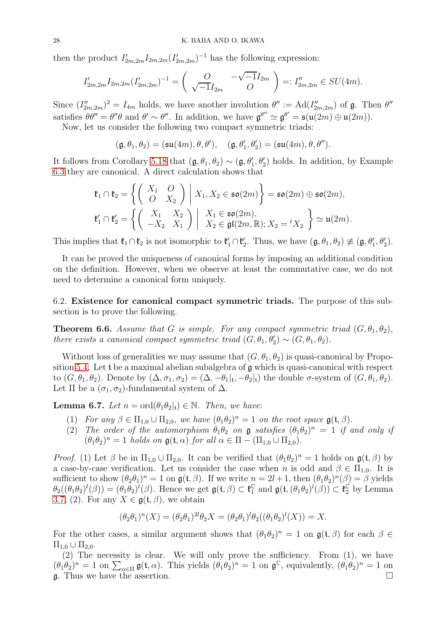then the product  $I'_{2m,2m}I_{2m,2m}(I'_{2m,2m})^{-1}$  has the following expression:

$$
I'_{2m,2m}I_{2m,2m}(I'_{2m,2m})^{-1} = \begin{pmatrix} O & -\sqrt{-1}I_{2m} \\ \sqrt{-1}I_{2m} & O \end{pmatrix} =: I''_{2m,2m} \in SU(4m).
$$

Since  $(I''_{2m,2m})^2 = I_{4m}$  holds, we have another involution  $\theta'' := \text{Ad}(I''_{2m,2m})$  of  $\mathfrak{g}$ . Then  $\theta''$ satisfies  $\theta \theta'' = \theta'' \theta$  and  $\theta' \sim \theta''$ . In addition, we have  $\mathfrak{g}^{\theta''} \simeq \mathfrak{g}^{\theta'} = \mathfrak{s}(\mathfrak{u}(2m) \oplus \mathfrak{u}(2m))$ . Now, let us consider the following two compact symmetric triads:

$$
(\mathfrak{g}, \theta_1, \theta_2) = (\mathfrak{su}(4m), \theta, \theta'), \quad (\mathfrak{g}, \theta'_1, \theta'_2) = (\mathfrak{su}(4m), \theta, \theta'').
$$

It follows from Corollary [5.18](#page-23-0) that  $(\mathfrak{g}, \theta_1, \theta_2) \sim (\mathfrak{g}, \theta'_1, \theta'_2)$  holds. In addition, by Example [6.3](#page-26-2) they are canonical. A direct calculation shows that

$$
\mathfrak{k}_1 \cap \mathfrak{k}_2 = \left\{ \begin{pmatrix} X_1 & O \\ O & X_2 \end{pmatrix} \middle| X_1, X_2 \in \mathfrak{so}(2m) \right\} = \mathfrak{so}(2m) \oplus \mathfrak{so}(2m),
$$
\n
$$
\mathfrak{k}_1' \cap \mathfrak{k}_2' = \left\{ \begin{pmatrix} X_1 & X_2 \\ -X_2 & X_1 \end{pmatrix} \middle| \begin{array}{l} X_1 \in \mathfrak{so}(2m), \\ X_2 \in \mathfrak{gl}(2m, \mathbb{R}); X_2 = {}^t X_2 \end{array} \right\} \simeq \mathfrak{u}(2m).
$$

This implies that  $\mathfrak{k}_1 \cap \mathfrak{k}_2$  is not isomorphic to  $\mathfrak{k}'_1 \cap \mathfrak{k}'_2$ . Thus, we have  $(\mathfrak{g}, \theta_1, \theta_2) \not\equiv (\mathfrak{g}, \theta'_1, \theta'_2)$ .

It can be proved the uniqueness of canonical forms by imposing an additional condition on the definition. However, when we observe at least the commutative case, we do not need to determine a canonical form uniquely.

<span id="page-27-1"></span>6.2. Existence for canonical compact symmetric triads. The purpose of this subsection is to prove the following.

<span id="page-27-0"></span>**Theorem 6.6.** Assume that G is simple. For any compact symmetric triad  $(G, \theta_1, \theta_2)$ , there exists a canonical compact symmetric triad  $(G, \theta_1, \theta'_2) \sim (G, \theta_1, \theta_2)$ .

Without loss of generalities we may assume that  $(G, \theta_1, \theta_2)$  is quasi-canonical by Proposition [5.4.](#page-16-1) Let t be a maximal abelian subalgebra of g which is quasi-canonical with respect to  $(G, \theta_1, \theta_2)$ . Denote by  $(\Delta, \sigma_1, \sigma_2) = (\Delta, -\theta_1|_{\mathfrak{t}}, -\theta_2|_{\mathfrak{t}})$  the double  $\sigma$ -system of  $(G, \theta_1, \theta_2)$ . Let  $\Pi$  be a  $(\sigma_1, \sigma_2)$ -fundamental system of  $\Delta$ .

<span id="page-27-2"></span>**Lemma 6.7.** Let  $n = \text{ord}(\theta_1 \theta_2 |_{\mathfrak{t}}) \in \mathbb{N}$ . Then, we have:

- (1) For any  $\beta \in \Pi_{1,0} \cup \Pi_{2,0}$ , we have  $(\theta_1 \theta_2)^n = 1$  on the root space  $\mathfrak{g}(\mathfrak{t}, \beta)$ .
- (2) The order of the automorphism  $\theta_1 \theta_2$  on  $\mathfrak g$  satisfies  $(\theta_1 \theta_2)^n = 1$  if and only if  $(\theta_1 \theta_2)^n = 1$  holds on  $\mathfrak{g}(\mathfrak{t}, \alpha)$  for all  $\alpha \in \Pi - (\Pi_{1,0} \cup \Pi_{2,0})$ .

*Proof.* (1) Let  $\beta$  be in  $\Pi_{1,0} \cup \Pi_{2,0}$ . It can be verified that  $(\theta_1 \theta_2)^n = 1$  holds on  $\mathfrak{g}(\mathfrak{t}, \beta)$  by a case-by-case verification. Let us consider the case when n is odd and  $\beta \in \Pi_{1,0}$ . It is sufficient to show  $(\theta_2 \theta_1)^n = 1$  on  $\mathfrak{g}(\mathfrak{t}, \beta)$ . If we write  $n = 2l + 1$ , then  $(\theta_1 \theta_2)^n(\beta) = \beta$  yields  $\theta_2((\theta_1\theta_2)^l(\beta)) = (\theta_1\theta_2)^l(\beta)$ . Hence we get  $\mathfrak{g}(\mathfrak{t}, \beta) \subset \mathfrak{k}_1^{\mathbb{C}}$  $_1^{\mathbb{C}}$  and  $\mathfrak{g}(\mathfrak{t},(\theta_1\theta_2)^l(\beta)) \subset \mathfrak{k}_2^{\mathbb{C}}$  by Lemma [3.7,](#page-10-0) (2). For any  $X \in \mathfrak{g}(\mathfrak{t}, \beta)$ , we obtain

$$
(\theta_2 \theta_1)^n(X) = (\theta_2 \theta_1)^{2l} \theta_2 X = (\theta_2 \theta_1)^l \theta_2 ((\theta_1 \theta_2)^l(X)) = X.
$$

For the other cases, a similar argument shows that  $(\theta_1 \theta_2)^n = 1$  on  $\mathfrak{g}(\mathfrak{t}, \beta)$  for each  $\beta \in \mathbb{R}$  $\Pi_{1,0} \cup \Pi_{2,0}.$ 

(2) The necessity is clear. We will only prove the sufficiency. From (1), we have  $(\theta_1 \theta_2)^n = 1$  on  $\sum_{\alpha \in \Pi} \mathfrak{g}(\mathfrak{t}, \alpha)$ . This yields  $(\theta_1 \theta_2)^n = 1$  on  $\mathfrak{g}^{\mathbb{C}}$ , equivalently,  $(\theta_1 \theta_2)^n = 1$  on g. Thus we have the assertion.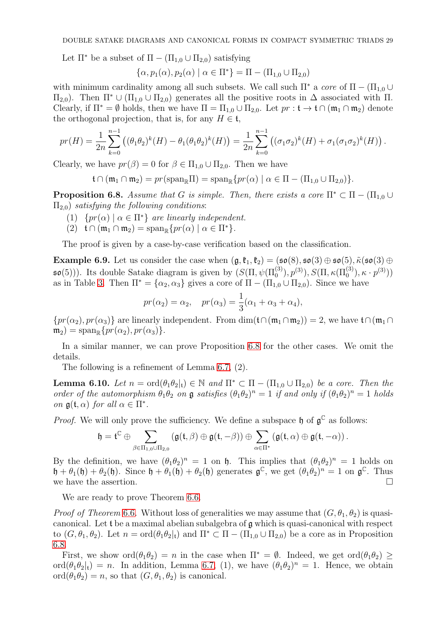Let  $\Pi^*$  be a subset of  $\Pi - (\Pi_{1,0} \cup \Pi_{2,0})$  satisfying

$$
\{\alpha, p_1(\alpha), p_2(\alpha) \mid \alpha \in \Pi^*\} = \Pi - (\Pi_{1,0} \cup \Pi_{2,0})
$$

with minimum cardinality among all such subsets. We call such  $\Pi^*$  a core of  $\Pi - (\Pi_{1,0} \cup$  $\Pi_{2,0}$ ). Then  $\Pi^*$  ∪ ( $\Pi_{1,0}$  ∪  $\Pi_{2,0}$ ) generates all the positive roots in  $\Delta$  associated with  $\Pi$ . Clearly, if  $\Pi^* = \emptyset$  holds, then we have  $\Pi = \Pi_{1,0} \cup \Pi_{2,0}$ . Let  $pr : \mathfrak{t} \to \mathfrak{t} \cap (\mathfrak{m}_1 \cap \mathfrak{m}_2)$  denote the orthogonal projection, that is, for any  $H \in \mathfrak{t}$ ,

$$
pr(H) = \frac{1}{2n} \sum_{k=0}^{n-1} \left( (\theta_1 \theta_2)^k(H) - \theta_1 (\theta_1 \theta_2)^k(H) \right) = \frac{1}{2n} \sum_{k=0}^{n-1} \left( (\sigma_1 \sigma_2)^k(H) + \sigma_1 (\sigma_1 \sigma_2)^k(H) \right).
$$

Clearly, we have  $pr(\beta) = 0$  for  $\beta \in \Pi_{1,0} \cup \Pi_{2,0}$ . Then we have

$$
\mathfrak{t}\cap(\mathfrak{m}_1\cap\mathfrak{m}_2)=pr(\mathrm{span}_{\mathbb{R}}\Pi)=\mathrm{span}_{\mathbb{R}}\{pr(\alpha)\mid\alpha\in\Pi-(\Pi_{1,0}\cup\Pi_{2,0})\}.
$$

<span id="page-28-0"></span>**Proposition 6.8.** Assume that G is simple. Then, there exists a core  $\Pi^* \subset \Pi - (\Pi_{1,0} \cup$  $\Pi_{2,0}$ ) satisfying the following conditions:

- (1)  $\{pr(\alpha) \mid \alpha \in \Pi^*\}$  are linearly independent.
- $(2)$   $\mathfrak{t} \cap (\mathfrak{m}_1 \cap \mathfrak{m}_2) = \mathrm{span}_{\mathbb{R}} \{ pr(\alpha) \mid \alpha \in \Pi^* \}.$

The proof is given by a case-by-case verification based on the classification.

**Example 6.9.** Let us consider the case when  $(\mathfrak{g}, \mathfrak{k}_1, \mathfrak{k}_2) = (\mathfrak{so}(8), \mathfrak{so}(3) \oplus \mathfrak{so}(5), \tilde{\kappa}(\mathfrak{so}(3) \oplus$  $\mathfrak{so}(5))$ ). Its double Satake diagram is given by  $(S(\Pi, \psi(\Pi_0^{(3)}), p^{(3)}), S(\Pi, \kappa(\Pi_0^{(3)}), \kappa \cdot p^{(3)}))$ as in Table [3.](#page-22-1) Then  $\Pi^* = {\alpha_2, \alpha_3}$  gives a core of  $\Pi - (\Pi_{1,0} \cup \Pi_{2,0})$ . Since we have

$$
pr(\alpha_2) = \alpha_2
$$
,  $pr(\alpha_3) = \frac{1}{3}(\alpha_1 + \alpha_3 + \alpha_4)$ ,

 ${pr(\alpha_2), pr(\alpha_3)}$  are linearly independent. From  $dim(f\cap(\mathfrak{m}_1\cap\mathfrak{m}_2))=2$ , we have  $f\cap(\mathfrak{m}_1\cap\mathfrak{m}_2)$  $m_2$ ) = span<sub>R</sub>{ $pr(\alpha_2)$ ,  $pr(\alpha_3)$ }.

In a similar manner, we can prove Proposition [6.8](#page-28-0) for the other cases. We omit the details.

The following is a refinement of Lemma [6.7,](#page-27-2) (2).

<span id="page-28-1"></span>**Lemma 6.10.** Let  $n = \text{ord}(\theta_1\theta_2|_t) \in \mathbb{N}$  and  $\Pi^* \subset \Pi - (\Pi_{1,0} \cup \Pi_{2,0})$  be a core. Then the order of the automorphism  $\theta_1\theta_2$  on  $\mathfrak g$  satisfies  $(\theta_1\theta_2)^n=1$  if and only if  $(\theta_1\theta_2)^n=1$  holds on  $\mathfrak{g}(\mathfrak{t},\alpha)$  for all  $\alpha \in \Pi^*$ .

*Proof.* We will only prove the sufficiency. We define a subspace  $\mathfrak{h}$  of  $\mathfrak{g}^{\mathbb{C}}$  as follows:

$$
\mathfrak{h}=\mathfrak{t}^{\mathbb{C}}\oplus \sum_{\beta\in\Pi_{1,0}\cup\Pi_{2,0}}\left(\mathfrak{g}(\mathfrak{t},\beta)\oplus\mathfrak{g}(\mathfrak{t},-\beta)\right)\oplus \sum_{\alpha\in\Pi^{*}}\left(\mathfrak{g}(\mathfrak{t},\alpha)\oplus\mathfrak{g}(\mathfrak{t},-\alpha)\right).
$$

By the definition, we have  $(\theta_1 \theta_2)^n = 1$  on **h**. This implies that  $(\theta_1 \theta_2)^n = 1$  holds on  $\mathfrak{h} + \theta_1(\mathfrak{h}) + \theta_2(\mathfrak{h})$ . Since  $\mathfrak{h} + \theta_1(\mathfrak{h}) + \theta_2(\mathfrak{h})$  generates  $\mathfrak{g}^{\mathbb{C}}$ , we get  $(\theta_1 \theta_2)^n = 1$  on  $\mathfrak{g}^{\mathbb{C}}$ . Thus we have the assertion.  $\Box$ 

We are ready to prove Theorem [6.6.](#page-27-0)

*Proof of Theorem* [6](#page-27-0).6. Without loss of generalities we may assume that  $(G, \theta_1, \theta_2)$  is quasicanonical. Let  $\mathfrak t$  be a maximal abelian subalgebra of  $\mathfrak g$  which is quasi-canonical with respect to  $(G, \theta_1, \theta_2)$ . Let  $n = \text{ord}(\theta_1 \theta_2|_t)$  and  $\Pi^* \subset \Pi - (\Pi_{1,0} \cup \Pi_{2,0})$  be a core as in Proposition [6.8.](#page-28-0)

First, we show  $\text{ord}(\theta_1\theta_2) = n$  in the case when  $\Pi^* = \emptyset$ . Indeed, we get  $\text{ord}(\theta_1\theta_2)$ ord $(\theta_1 \theta_2|_t) = n$ . In addition, Lemma [6.7,](#page-27-2) (1), we have  $(\theta_1 \theta_2)^n = 1$ . Hence, we obtain ord $(\theta_1 \theta_2) = n$ , so that  $(G, \theta_1, \theta_2)$  is canonical.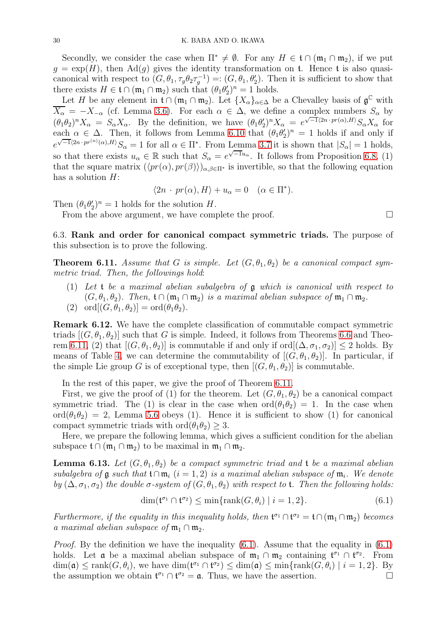Secondly, we consider the case when  $\Pi^* \neq \emptyset$ . For any  $H \in \mathfrak{t} \cap (\mathfrak{m}_1 \cap \mathfrak{m}_2)$ , if we put  $g = \exp(H)$ , then  $\text{Ad}(g)$  gives the identity transformation on t. Hence t is also quasicanonical with respect to  $(G, \theta_1, \tau_g \theta_2 \tau_g^{-1}) =: (G, \theta_1, \theta_2')$ . Then it is sufficient to show that there exists  $H \in \mathfrak{t} \cap (\mathfrak{m}_1 \cap \mathfrak{m}_2)$  such that  $(\theta_1 \theta_2)^n = 1$  holds.

Let H be any element in  $\mathfrak{t} \cap (\mathfrak{m}_1 \cap \mathfrak{m}_2)$ . Let  $\{X_\alpha\}_{\alpha \in \Delta}$  be a Chevalley basis of  $\mathfrak{g}^{\mathbb{C}}$  with  $\overline{X_{\alpha}} = -X_{-\alpha}$  (cf. Lemma [3.6\)](#page-10-3). For each  $\alpha \in \Delta$ , we define a complex numbers  $S_{\alpha}$  by  $(\hat{\theta}_1 \hat{\theta}_2)^n X_\alpha = S_\alpha X_\alpha$ . By the definition, we have  $(\hat{\theta}_1 \hat{\theta}_2)^n X_\alpha = e^{\sqrt{-1}(2n \cdot pr(\alpha), H)} S_\alpha X_\alpha$  for each  $\alpha \in \Delta$ . Then, it follows from Lemma [6.10](#page-28-1) that  $(\theta_1 \theta_2')^n = 1$  holds if and only if  $e^{\sqrt{-1}\langle 2n\cdot pr^{(n)}(\alpha),H\rangle}S_{\alpha}=1$  for all  $\alpha\in\Pi^*$ . From Lemma [3.7](#page-10-0) it is shown that  $|S_{\alpha}|=1$  holds, so that there exists  $u_{\alpha} \in \mathbb{R}$  such that  $S_{\alpha} = e^{\sqrt{-1}u_{\alpha}}$ . It follows from Proposition [6.8,](#page-28-0) (1) that the square matrix  $(\langle pr(\alpha), pr(\beta) \rangle)_{\alpha,\beta \in \Pi^*}$  is invertible, so that the following equation has a solution  $H$ :

$$
\langle 2n \cdot pr(\alpha), H \rangle + u_{\alpha} = 0 \quad (\alpha \in \Pi^*).
$$

Then  $(\theta_1 \theta_2')^n = 1$  holds for the solution H.

From the above argument, we have complete the proof.  $\square$ 

<span id="page-29-0"></span>6.3. Rank and order for canonical compact symmetric triads. The purpose of this subsection is to prove the following.

<span id="page-29-1"></span>**Theorem 6.11.** Assume that G is simple. Let  $(G, \theta_1, \theta_2)$  be a canonical compact symmetric triad. Then, the followings hold:

(1) Let t be a maximal abelian subalgebra of g which is canonical with respect to  $(G, \theta_1, \theta_2)$ . Then,  $\mathfrak{t} \cap (\mathfrak{m}_1 \cap \mathfrak{m}_2)$  is a maximal abelian subspace of  $\mathfrak{m}_1 \cap \mathfrak{m}_2$ . (2) ord $[(G, \theta_1, \theta_2)] = \text{ord}(\theta_1\theta_2).$ 

Remark 6.12. We have the complete classification of commutable compact symmetric triads  $[(G, \theta_1, \theta_2)]$  such that G is simple. Indeed, it follows from Theorems [6.6](#page-27-0) and Theo-rem [6.11,](#page-29-1) (2) that  $[(G, \theta_1, \theta_2)]$  is commutable if and only if ord $[(\Delta, \sigma_1, \sigma_2)] \leq 2$  holds. By means of Table [4,](#page-24-0) we can determine the commutability of  $[(G, \theta_1, \theta_2)]$ . In particular, if the simple Lie group G is of exceptional type, then  $[(G, \theta_1, \theta_2)]$  is commutable.

In the rest of this paper, we give the proof of Theorem [6.11.](#page-29-1)

First, we give the proof of (1) for the theorem. Let  $(G, \theta_1, \theta_2)$  be a canonical compact symmetric triad. The (1) is clear in the case when  $\text{ord}(\theta_1\theta_2) = 1$ . In the case when ord $(\theta_1\theta_2) = 2$ , Lemma [5.6](#page-17-0) obeys (1). Hence it is sufficient to show (1) for canonical compact symmetric triads with  $\text{ord}(\theta_1\theta_2) \geq 3$ .

Here, we prepare the following lemma, which gives a sufficient condition for the abelian subspace  $\mathfrak{t} \cap (\mathfrak{m}_1 \cap \mathfrak{m}_2)$  to be maximal in  $\mathfrak{m}_1 \cap \mathfrak{m}_2$ .

**Lemma 6.13.** Let  $(G, \theta_1, \theta_2)$  be a compact symmetric triad and t be a maximal abelian subalgebra of  $\mathfrak g$  such that  $\mathfrak t \cap \mathfrak m_i$   $(i = 1, 2)$  is a maximal abelian subspace of  $\mathfrak m_i$ . We denote by  $(\Delta, \sigma_1, \sigma_2)$  the double  $\sigma$ -system of  $(G, \theta_1, \theta_2)$  with respect to **t**. Then the following holds:

<span id="page-29-2"></span>
$$
\dim(\mathfrak{t}^{\sigma_1} \cap \mathfrak{t}^{\sigma_2}) \le \min\{\text{rank}(G, \theta_i) \mid i = 1, 2\}.
$$
\n(6.1)

Furthermore, if the equality in this inequality holds, then  $\mathfrak{t}^{\sigma_1} \cap \mathfrak{t}^{\sigma_2} = \mathfrak{t} \cap (\mathfrak{m}_1 \cap \mathfrak{m}_2)$  becomes a maximal abelian subspace of  $\mathfrak{m}_1 \cap \mathfrak{m}_2$ .

*Proof.* By the definition we have the inequality  $(6.1)$ . Assume that the equality in  $(6.1)$ holds. Let **a** be a maximal abelian subspace of  $\mathfrak{m}_1 \cap \mathfrak{m}_2$  containing  $\mathfrak{t}^{\sigma_1} \cap \mathfrak{t}^{\sigma_2}$ . From  $\dim(\mathfrak{a}) \leq \text{rank}(G, \theta_i)$ , we have  $\dim(\mathfrak{t}^{\sigma_1} \cap \mathfrak{t}^{\sigma_2}) \leq \dim(\mathfrak{a}) \leq \min\{\text{rank}(G, \theta_i) \mid i = 1, 2\}$ . By the assumption we obtain  $\mathfrak{t}^{\sigma_1} \cap \mathfrak{t}^{\sigma_2} = \mathfrak{a}$ . Thus, we have the assertion.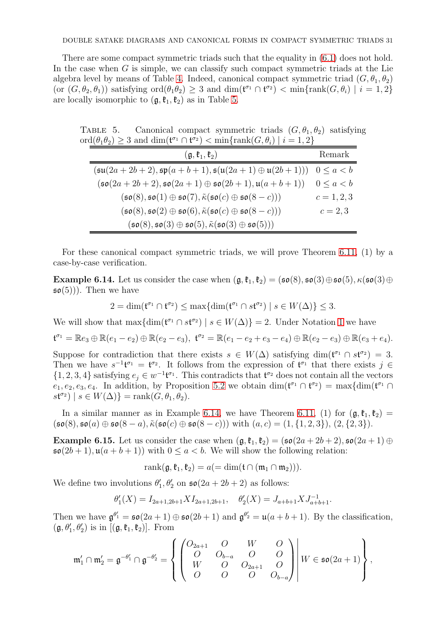There are some compact symmetric triads such that the equality in [\(6.1\)](#page-29-2) does not hold. In the case when G is simple, we can classify such compact symmetric triads at the Lie algebra level by means of Table [4.](#page-24-0) Indeed, canonical compact symmetric triad  $(G, \theta_1, \theta_2)$ (or  $(G, \theta_2, \theta_1)$ ) satisfying  $\text{ord}(\theta_1\theta_2) \geq 3$  and  $\dim(\mathfrak{t}^{\sigma_1} \cap \mathfrak{t}^{\sigma_2}) < \min\{\text{rank}(G, \theta_i) \mid i = 1, 2\}$ are locally isomorphic to  $(\mathfrak{g}, \mathfrak{k}_1, \mathfrak{k}_2)$  as in Table [5.](#page-30-0)

TABLE 5. Canonical compact symmetric triads  $(G, \theta_1, \theta_2)$  satisfying  $\text{ord}(\theta_1\theta_2) \geq 3$  and  $\dim(\mathfrak{t}^{\sigma_1} \cap \mathfrak{t}^{\sigma_2}) < \min\{\text{rank}(G, \theta_i) \mid i = 1, 2\}$ 

<span id="page-30-0"></span>

| $(\mathfrak{g}, \mathfrak{k}_1, \mathfrak{k}_2)$                                                                     | Remark            |
|----------------------------------------------------------------------------------------------------------------------|-------------------|
| $(\mathfrak{su}(2a+2b+2), \mathfrak{sp}(a+b+1), \mathfrak{s}(\mathfrak{u}(2a+1) \oplus \mathfrak{u}(2b+1)))$         | $0 \leq a \leq b$ |
| $(\mathfrak{so}(2a+2b+2), \mathfrak{so}(2a+1) \oplus \mathfrak{so}(2b+1), \mathfrak{u}(a+b+1))$                      | $0 \leq a \leq b$ |
| $(\mathfrak{so}(8),\mathfrak{so}(1)\oplus\mathfrak{so}(7),\tilde{\kappa}(\mathfrak{so}(c)\oplus\mathfrak{so}(8-c)))$ | $c = 1, 2, 3$     |
| $(\mathfrak{so}(8),\mathfrak{so}(2)\oplus\mathfrak{so}(6),\tilde{\kappa}(\mathfrak{so}(c)\oplus\mathfrak{so}(8-c)))$ | $c = 2, 3$        |
| $(\mathfrak{so}(8),\mathfrak{so}(3)\oplus\mathfrak{so}(5),\tilde{\kappa}(\mathfrak{so}(3)\oplus\mathfrak{so}(5)))$   |                   |

For these canonical compact symmetric triads, we will prove Theorem [6.11,](#page-29-1) (1) by a case-by-case verification.

<span id="page-30-1"></span>Example 6.14. Let us consider the case when  $(g, \mathfrak{k}_1, \mathfrak{k}_2) = (\mathfrak{so}(8), \mathfrak{so}(3) \oplus \mathfrak{so}(5), \kappa(\mathfrak{so}(3) \oplus$  $\mathfrak{so}(5)$ ). Then we have

$$
2 = \dim(\mathfrak{t}^{\sigma_1} \cap \mathfrak{t}^{\sigma_2}) \le \max\{\dim(\mathfrak{t}^{\sigma_1} \cap s\mathfrak{t}^{\sigma_2}) \mid s \in W(\Delta)\} \le 3.
$$

We will show that  $\max\{\dim(\mathfrak{t}^{\sigma_1}\cap s\mathfrak{t}^{\sigma_2})\mid s\in W(\Delta)\}=2$ . Under Notation [1](#page-13-2) we have

$$
\mathfrak{t}^{\sigma_1} = \mathbb{R} e_3 \oplus \mathbb{R} (e_1 - e_2) \oplus \mathbb{R} (e_2 - e_3), \ \mathfrak{t}^{\sigma_2} = \mathbb{R} (e_1 - e_2 + e_3 - e_4) \oplus \mathbb{R} (e_2 - e_3) \oplus \mathbb{R} (e_3 + e_4).
$$

Suppose for contradiction that there exists  $s \in W(\Delta)$  satisfying dim( $\mathfrak{t}^{\sigma_1} \cap s\mathfrak{t}^{\sigma_2}$ ) = 3. Then we have  $s^{-1}t^{\sigma_1} = t^{\sigma_2}$ . It follows from the expression of  $t^{\sigma_1}$  that there exists  $j \in$  $\{1, 2, 3, 4\}$  satisfying  $e_j \in w^{-1}$ **t**<sup> $\sigma_1$ </sup>. This contradicts that  $t^{\sigma_2}$  does not contain all the vectors  $e_1, e_2, e_3, e_4$ . In addition, by Proposition [5.2](#page-16-4) we obtain  $\dim(\mathfrak{t}^{\sigma_1} \cap \mathfrak{t}^{\sigma_2}) = \max\{\dim(\mathfrak{t}^{\sigma_1} \cap \mathfrak{t}^{\sigma_2} \cap \mathfrak{t}^{\sigma_3} \cap \mathfrak{t}^{\sigma_4} \cap \mathfrak{t}^{\sigma_5} \}$  $s\mathfrak{t}^{\sigma_2}$  |  $s \in W(\Delta)$ } = rank $(G, \theta_1, \theta_2)$ .

In a similar manner as in Example [6.14,](#page-30-1) we have Theorem [6.11,](#page-29-1) (1) for  $(\mathfrak{g}, \mathfrak{k}_1, \mathfrak{k}_2)$  =  $(\mathfrak{so}(8), \mathfrak{so}(a) \oplus \mathfrak{so}(8-a), \tilde{\kappa}(\mathfrak{so}(c) \oplus \mathfrak{so}(8-c)))$  with  $(a, c) = (1, \{1, 2, 3\})$ ,  $(2, \{2, 3\})$ .

Example 6.15. Let us consider the case when  $(\mathfrak{g}, \mathfrak{k}_1, \mathfrak{k}_2) = (\mathfrak{so}(2a + 2b + 2), \mathfrak{so}(2a + 1) \oplus$  $\mathfrak{so}(2b+1), \mathfrak{u}(a+b+1)$  with  $0 \leq a < b$ . We will show the following relation:

$$
rank(\mathfrak{g}, \mathfrak{k}_1, \mathfrak{k}_2) = a (= dim(\mathfrak{t} \cap (\mathfrak{m}_1 \cap \mathfrak{m}_2))).
$$

We define two involutions  $\theta'_1$ ,  $\theta'_2$  on  $\mathfrak{so}(2a + 2b + 2)$  as follows:

$$
\theta_1'(X) = I_{2a+1,2b+1} X I_{2a+1,2b+1}, \quad \theta_2'(X) = J_{a+b+1} X J_{a+b+1}^{-1}.
$$

Then we have  $\mathfrak{g}^{\theta'_1} = \mathfrak{so}(2a+1) \oplus \mathfrak{so}(2b+1)$  and  $\mathfrak{g}^{\theta'_2} = \mathfrak{u}(a+b+1)$ . By the classification,  $(\mathfrak{g}, \theta'_1, \theta'_2)$  is in  $[(\mathfrak{g}, \mathfrak{k}_1, \mathfrak{k}_2)]$ . From

$$
\mathfrak{m}'_1 \cap \mathfrak{m}'_2 = \mathfrak{g}^{-\theta'_1} \cap \mathfrak{g}^{-\theta'_2} = \left\{ \begin{pmatrix} O_{2a+1} & O & W & O \\ O & O_{b-a} & O & O \\ W & O & O_{2a+1} & O \\ O & O & O & O_{b-a} \end{pmatrix} \middle| W \in \mathfrak{so}(2a+1) \right\},\,
$$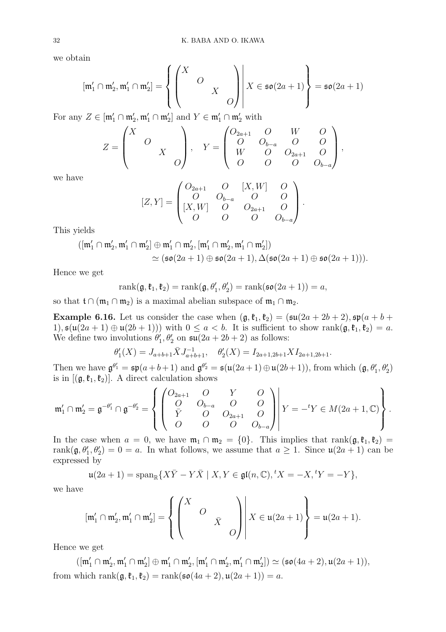we obtain

$$
[\mathfrak{m}'_1 \cap \mathfrak{m}'_2, \mathfrak{m}'_1 \cap \mathfrak{m}'_2] = \left\{ \begin{pmatrix} X & & \\ & O & \\ & & X & \\ & & & O \end{pmatrix} \middle| X \in \mathfrak{so}(2a+1) \right\} = \mathfrak{so}(2a+1)
$$

For any  $Z \in [\mathfrak{m}'_1 \cap \mathfrak{m}'_2, \mathfrak{m}'_1 \cap \mathfrak{m}'_2]$  and  $Y \in \mathfrak{m}'_1 \cap \mathfrak{m}'_2$  with

$$
Z = \begin{pmatrix} X & & \\ & O & \\ & & X & \\ & & & O \end{pmatrix}, \quad Y = \begin{pmatrix} O_{2a+1} & O & W & O \\ O & O_{b-a} & O & O \\ W & O & O_{2a+1} & O \\ O & O & O & O_{b-a} \end{pmatrix},
$$

we have

$$
[Z,Y] = \begin{pmatrix} O_{2a+1} & O & [X,W] & O \\ O & O_{b-a} & O & O \\ [X,W] & O & O_{2a+1} & O \\ O & O & O & O_{b-a} \end{pmatrix}.
$$

This yields

$$
([\mathfrak{m}'_1 \cap \mathfrak{m}'_2, \mathfrak{m}'_1 \cap \mathfrak{m}'_2] \oplus \mathfrak{m}'_1 \cap \mathfrak{m}'_2, [\mathfrak{m}'_1 \cap \mathfrak{m}'_2, \mathfrak{m}'_1 \cap \mathfrak{m}'_2]) \newline \simeq (\mathfrak{so}(2a+1) \oplus \mathfrak{so}(2a+1), \Delta(\mathfrak{so}(2a+1) \oplus \mathfrak{so}(2a+1))).
$$

Hence we get

$$
rank(\mathfrak{g}, \mathfrak{k}_1, \mathfrak{k}_2) = rank(\mathfrak{g}, \theta'_1, \theta'_2) = rank(\mathfrak{so}(2a+1)) = a,
$$

so that  $\mathfrak{t} \cap (\mathfrak{m}_1 \cap \mathfrak{m}_2)$  is a maximal abelian subspace of  $\mathfrak{m}_1 \cap \mathfrak{m}_2$ .

**Example 6.16.** Let us consider the case when  $(\mathfrak{g}, \mathfrak{k}_1, \mathfrak{k}_2) = (\mathfrak{su}(2a + 2b + 2), \mathfrak{sp}(a + b +$ 1),  $\mathfrak{s}(\mathfrak{u}(2a+1) \oplus \mathfrak{u}(2b+1))$  with  $0 \leq a < b$ . It is sufficient to show rank $(\mathfrak{g}, \mathfrak{k}_1, \mathfrak{k}_2) = a$ . We define two involutions  $\theta'_1$ ,  $\theta'_2$  on  $\mathfrak{su}(2a + 2b + 2)$  as follows:

$$
\theta_1'(X) = J_{a+b+1} \bar{X} J_{a+b+1}^{-1}, \quad \theta_2'(X) = I_{2a+1,2b+1} X I_{2a+1,2b+1}.
$$

Then we have  $\mathfrak{g}^{\theta'_1} = \mathfrak{sp}(a+b+1)$  and  $\mathfrak{g}^{\theta'_2} = \mathfrak{s}(\mathfrak{u}(2a+1) \oplus \mathfrak{u}(2b+1))$ , from which  $(\mathfrak{g}, \theta'_1, \theta'_2)$ is in  $[(\mathfrak{g},\mathfrak{k}_1,\mathfrak{k}_2)]$ . A direct calculation shows

$$
\mathfrak{m}'_1 \cap \mathfrak{m}'_2 = \mathfrak{g}^{-\theta'_1} \cap \mathfrak{g}^{-\theta'_2} = \left\{ \begin{pmatrix} O_{2a+1} & O & Y & O \\ O & O_{b-a} & O & O \\ \bar{Y} & O & O_{2a+1} & O \\ O & O & O & O_{b-a} \end{pmatrix} \middle| Y = -{}^t Y \in M(2a+1, \mathbb{C}) \right\}.
$$

In the case when  $a = 0$ , we have  $\mathfrak{m}_1 \cap \mathfrak{m}_2 = \{0\}$ . This implies that rank $(\mathfrak{g}, \mathfrak{k}_1, \mathfrak{k}_2) =$ rank $(\mathfrak{g}, \theta'_1, \theta'_2) = 0 = a$ . In what follows, we assume that  $a \geq 1$ . Since  $\mathfrak{u}(2a + 1)$  can be expressed by

$$
\mathfrak{u}(2a+1) = \operatorname{span}_{\mathbb{R}} \{ X\overline{Y} - Y\overline{X} \mid X, Y \in \mathfrak{gl}(n, \mathbb{C}), {}^{t} X = -X, {}^{t} Y = -Y \},
$$

we have

$$
[\mathfrak{m}'_1 \cap \mathfrak{m}'_2, \mathfrak{m}'_1 \cap \mathfrak{m}'_2] = \left\{ \begin{pmatrix} X & & \\ & O & \\ & & \bar{X} & \\ & & & O \end{pmatrix} \middle| X \in \mathfrak{u}(2a+1) \right\} = \mathfrak{u}(2a+1).
$$

Hence we get

 $([m'_1 \cap m'_2, m'_1 \cap m'_2] \oplus m'_1 \cap m'_2, [m'_1 \cap m'_2, m'_1 \cap m'_2]) \simeq (\mathfrak{so}(4a+2), \mathfrak{u}(2a+1)),$ from which rank $(\mathfrak{g}, \mathfrak{k}_1, \mathfrak{k}_2) = \text{rank}(\mathfrak{so}(4a + 2), \mathfrak{u}(2a + 1)) = a$ .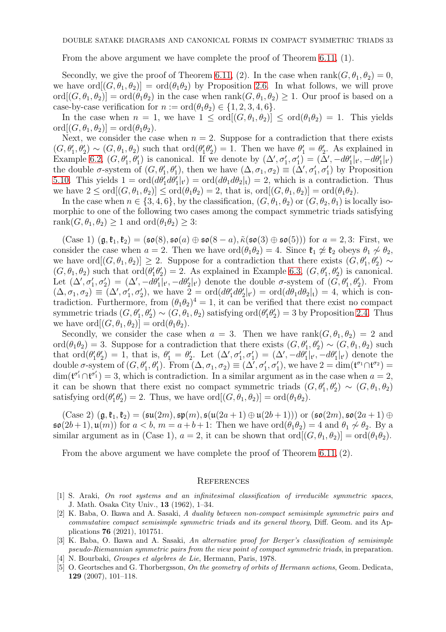From the above argument we have complete the proof of Theorem [6.11,](#page-29-1) (1).

Secondly, we give the proof of Theorem [6.11,](#page-29-1) (2). In the case when  $\text{rank}(G, \theta_1, \theta_2) = 0$ , we have ord $[(G, \theta_1, \theta_2)] = \text{ord}(\theta_1 \theta_2)$  by Proposition [2.6.](#page-4-2) In what follows, we will prove  $\text{ord}[(G, \theta_1, \theta_2)] = \text{ord}(\theta_1\theta_2)$  in the case when  $\text{rank}(G, \theta_1, \theta_2) \geq 1$ . Our proof is based on a case-by-case verification for  $n := \text{ord}(\theta_1\theta_2) \in \{1, 2, 3, 4, 6\}.$ 

In the case when  $n = 1$ , we have  $1 \leq \text{ord}(G, \theta_1, \theta_2) \leq \text{ord}(\theta_1 \theta_2) = 1$ . This yields  $\text{ord}[(G, \theta_1, \theta_2)] = \text{ord}(\theta_1\theta_2).$ 

Next, we consider the case when  $n = 2$ . Suppose for a contradiction that there exists  $(G, \theta_1', \theta_2') \sim (G, \theta_1, \theta_2)$  such that  $\text{ord}(\theta_1' \theta_2') = 1$ . Then we have  $\theta_1' = \theta_2'$ . As explained in Example [6.2,](#page-26-3)  $(G, \theta_1', \theta_1')$  is canonical. If we denote by  $(\Delta', \sigma_1', \sigma_1') = (\Delta', -d\theta_1' |_{t'}, -d\theta_1' |_{t'})$ the double  $\sigma$ -system of  $(G, \theta_1', \theta_1')$ , then we have  $(\Delta, \sigma_1, \sigma_2) \equiv (\Delta', \sigma_1', \sigma_1')$  by Proposition [5.10.](#page-18-2) This yields  $1 = \text{ord}(d\theta'_1 d\theta'_1 |_{t'}) = \text{ord}(d\theta_1 d\theta_2 |_{t}) = 2$ , which is a contradiction. Thus we have  $2 \leq \text{ord}[(G, \theta_1, \theta_2)] \leq \text{ord}(\theta_1\theta_2) = 2$ , that is,  $\text{ord}[(G, \theta_1, \theta_2)] = \text{ord}(\theta_1\theta_2)$ .

In the case when  $n \in \{3, 4, 6\}$ , by the classification,  $(G, \theta_1, \theta_2)$  or  $(G, \theta_2, \theta_1)$  is locally isomorphic to one of the following two cases among the compact symmetric triads satisfying rank $(G, \theta_1, \theta_2) \geq 1$  and  $\text{ord}(\theta_1\theta_2) \geq 3$ :

 $(Case 1)$   $(\mathfrak{g}, \mathfrak{k}_1, \mathfrak{k}_2) = (\mathfrak{so}(8), \mathfrak{so}(a) \oplus \mathfrak{so}(8-a), \tilde{\kappa}(\mathfrak{so}(3) \oplus \mathfrak{so}(5)))$  for  $a = 2, 3$ : First, we consider the case when  $a = 2$ . Then we have  $\text{ord}(\theta_1\theta_2) = 4$ . Since  $\mathfrak{k}_1 \not\approx \mathfrak{k}_2$  obeys  $\theta_1 \not\sim \theta_2$ , we have  $\text{ord}[(G, \theta_1, \theta_2)] \geq 2$ . Suppose for a contradiction that there exists  $(G, \theta'_1, \theta'_2) \sim$  $(G, \theta_1, \theta_2)$  such that  $\text{ord}(\theta_1' \theta_2') = 2$ . As explained in Example [6.3,](#page-26-2)  $(G, \theta_1', \theta_2')$  is canonical. Let  $(\Delta', \sigma'_1, \sigma'_2) = (\Delta', -d\theta'_1|_{t'}, -d\theta'_2|_{t'})$  denote the double  $\sigma$ -system of  $(G, \theta'_1, \theta'_2)$ . From  $(\Delta, \sigma_1, \sigma_2) \equiv (\Delta', \sigma'_1, \sigma'_2)$ , we have  $2 = \text{ord}(d\theta'_1 d\theta'_2 | \nu) = \text{ord}(d\theta_1 d\theta_2 | \nu) = 4$ , which is contradiction. Furthermore, from  $(\theta_1 \theta_2)^4 = 1$ , it can be verified that there exist no compact symmetric triads  $(G, \theta_1', \theta_2') \sim (G, \theta_1, \theta_2)$  satisfying  $\text{ord}(\theta_1' \theta_2') = 3$  by Proposition [2.4.](#page-3-0) Thus we have  $\text{ord}[(G, \theta_1, \theta_2)] = \text{ord}(\theta_1\theta_2).$ 

Secondly, we consider the case when  $a = 3$ . Then we have rank $(G, \theta_1, \theta_2) = 2$  and ord $(\theta_1 \theta_2) = 3$ . Suppose for a contradiction that there exists  $(G, \theta'_1, \theta'_2) \sim (G, \theta_1, \theta_2)$  such that  $\text{ord}(\theta_1'\theta_2')=1$ , that is,  $\theta_1'=\theta_2'$ . Let  $(\Delta',\sigma_1',\sigma_1')=(\Delta',-d\theta_1'|\nu,-d\theta_1'|\nu)$  denote the double  $\sigma$ -system of  $(G, \theta_1', \theta_1')$ . From  $(\Delta, \sigma_1, \sigma_2) \equiv (\Delta', \sigma_1', \sigma_1')$ , we have  $2 = \dim(\mathfrak{t}^{\sigma_1} \cap \mathfrak{t}^{\sigma_2}) =$  $\dim(\mathfrak{t}^{\sigma'_1} \cap \mathfrak{t}^{\sigma'_1}) = 3$ , which is contradiction. In a similar argument as in the case when  $a = 2$ , it can be shown that there exist no compact symmetric triads  $(G, \theta_1', \theta_2') \sim (G, \theta_1, \theta_2)$ satisfying  $\text{ord}(\theta'_1\theta'_2)=2$ . Thus, we have  $\text{ord}[(G,\theta_1,\theta_2)] = \text{ord}(\theta_1\theta_2)$ .

 $(Case 2)$   $(\mathfrak{g}, \mathfrak{k}_1, \mathfrak{k}_2) = (\mathfrak{su}(2m), \mathfrak{sp}(m), \mathfrak{sl}(2a+1) \oplus \mathfrak{u}(2b+1)))$  or  $(\mathfrak{so}(2m), \mathfrak{so}(2a+1) \oplus$  $\mathfrak{so}(2b+1), \mathfrak{u}(m))$  for  $a < b, m = a+b+1$ : Then we have  $\text{ord}(\theta_1\theta_2) = 4$  and  $\theta_1 \nsim \theta_2$ . By a similar argument as in (Case 1),  $a = 2$ , it can be shown that  $\text{ord}[(G, \theta_1, \theta_2)] = \text{ord}(\theta_1\theta_2)$ .

From the above argument we have complete the proof of Theorem  $6.11, (2)$  $6.11, (2)$  $6.11, (2)$ .

#### <span id="page-32-0"></span>**REFERENCES**

- <span id="page-32-1"></span>[1] S. Araki, On root systems and an infinitesimal classification of irreducible symmetric spaces, J. Math. Osaka City Univ., 13 (1962), 1–34.
- <span id="page-32-2"></span>[2] K. Baba, O. Ikawa and A. Sasaki, A duality between non-compact semisimple symmetric pairs and commutative compact semisimple symmetric triads and its general theory, Diff. Geom. and its Applications 76 (2021), 101751.
- <span id="page-32-3"></span>[3] K. Baba, O. Ikawa and A. Sasaki, An alternative proof for Berger's classification of semisimple pseudo-Riemannian symmetric pairs from the view point of compact symmetric triads, in preparation.
- <span id="page-32-5"></span><span id="page-32-4"></span>[4] N. Bourbaki, Groupes et algebres de Lie, Hermann, Paris, 1978.
- [5] O. Geortsches and G. Thorbergsson, On the geometry of orbits of Hermann actions, Geom. Dedicata, 129 (2007), 101–118.